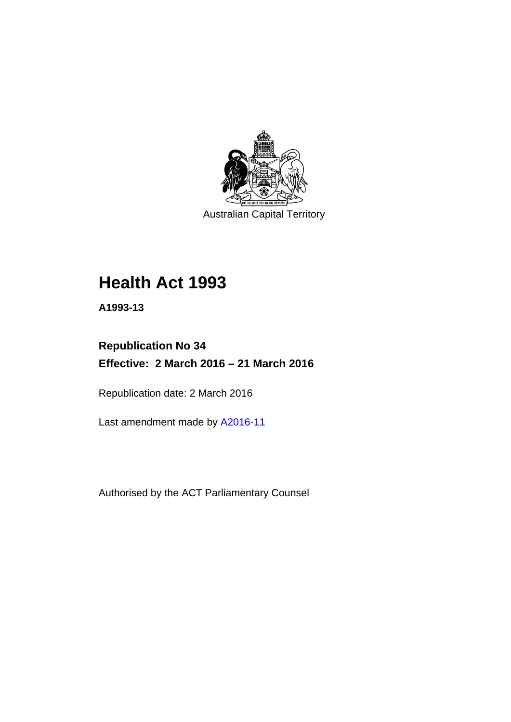

Australian Capital Territory

# **Health Act 1993**

**A1993-13** 

# **Republication No 34 Effective: 2 March 2016 – 21 March 2016**

Republication date: 2 March 2016

Last amendment made by [A2016-11](http://www.legislation.act.gov.au/a/2016-11)

Authorised by the ACT Parliamentary Counsel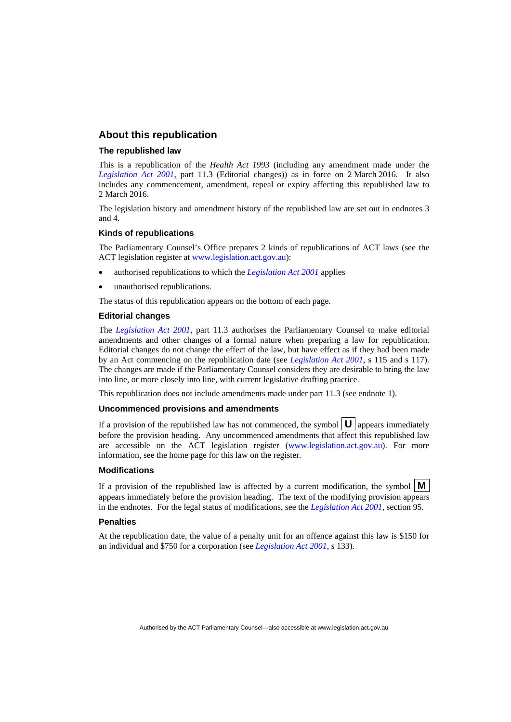#### **About this republication**

#### **The republished law**

This is a republication of the *Health Act 1993* (including any amendment made under the *[Legislation Act 2001](http://www.legislation.act.gov.au/a/2001-14)*, part 11.3 (Editorial changes)) as in force on 2 March 2016*.* It also includes any commencement, amendment, repeal or expiry affecting this republished law to 2 March 2016.

The legislation history and amendment history of the republished law are set out in endnotes 3 and 4.

#### **Kinds of republications**

The Parliamentary Counsel's Office prepares 2 kinds of republications of ACT laws (see the ACT legislation register at [www.legislation.act.gov.au](http://www.legislation.act.gov.au/)):

- authorised republications to which the *[Legislation Act 2001](http://www.legislation.act.gov.au/a/2001-14)* applies
- unauthorised republications.

The status of this republication appears on the bottom of each page.

#### **Editorial changes**

The *[Legislation Act 2001](http://www.legislation.act.gov.au/a/2001-14)*, part 11.3 authorises the Parliamentary Counsel to make editorial amendments and other changes of a formal nature when preparing a law for republication. Editorial changes do not change the effect of the law, but have effect as if they had been made by an Act commencing on the republication date (see *[Legislation Act 2001](http://www.legislation.act.gov.au/a/2001-14)*, s 115 and s 117). The changes are made if the Parliamentary Counsel considers they are desirable to bring the law into line, or more closely into line, with current legislative drafting practice.

This republication does not include amendments made under part 11.3 (see endnote 1).

#### **Uncommenced provisions and amendments**

If a provision of the republished law has not commenced, the symbol  $\mathbf{U}$  appears immediately before the provision heading. Any uncommenced amendments that affect this republished law are accessible on the ACT legislation register [\(www.legislation.act.gov.au\)](http://www.legislation.act.gov.au/). For more information, see the home page for this law on the register.

#### **Modifications**

If a provision of the republished law is affected by a current modification, the symbol  $\mathbf{M}$ appears immediately before the provision heading. The text of the modifying provision appears in the endnotes. For the legal status of modifications, see the *[Legislation Act 2001](http://www.legislation.act.gov.au/a/2001-14)*, section 95.

#### **Penalties**

At the republication date, the value of a penalty unit for an offence against this law is \$150 for an individual and \$750 for a corporation (see *[Legislation Act 2001](http://www.legislation.act.gov.au/a/2001-14)*, s 133).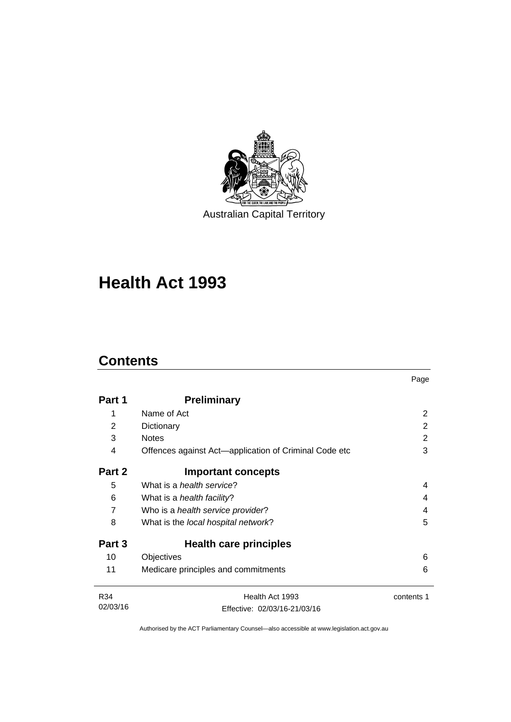

Australian Capital Territory

# **Health Act 1993**

# **Contents**

l,

|                |                                                       | Page       |
|----------------|-------------------------------------------------------|------------|
| Part 1         | <b>Preliminary</b>                                    |            |
| 1              | Name of Act                                           | 2          |
| 2              | Dictionary                                            | 2          |
| 3              | <b>Notes</b>                                          | 2          |
| 4              | Offences against Act-application of Criminal Code etc | 3          |
| Part 2         | <b>Important concepts</b>                             |            |
| 5              | What is a <i>health service</i> ?                     | 4          |
| 6              | What is a <i>health facility</i> ?                    | 4          |
| $\overline{7}$ | Who is a health service provider?                     | 4          |
| 8              | What is the local hospital network?                   | 5          |
| Part 3         | Health care principles                                |            |
| 10             | Objectives                                            | 6          |
| 11             | Medicare principles and commitments                   | 6          |
| R34            | Health Act 1993                                       | contents 1 |
| 02/03/16       | Effective: 02/03/16-21/03/16                          |            |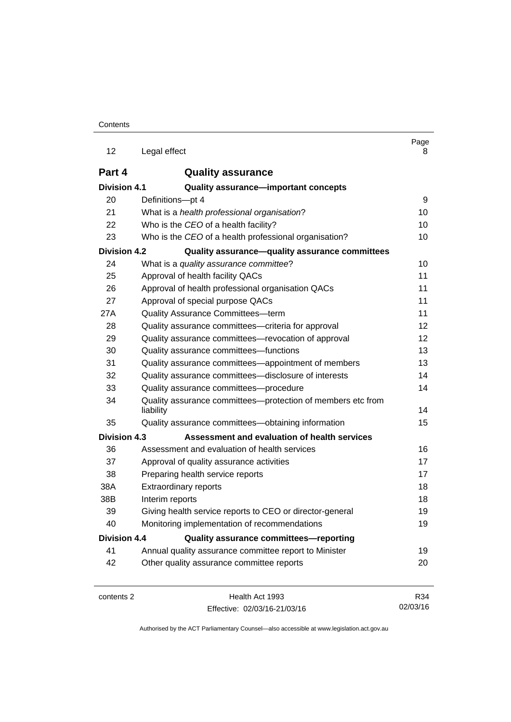| 12                  | Legal effect                                                             | Page<br>8       |
|---------------------|--------------------------------------------------------------------------|-----------------|
| Part 4              | <b>Quality assurance</b>                                                 |                 |
| <b>Division 4.1</b> | Quality assurance-important concepts                                     |                 |
| 20                  | Definitions-pt 4                                                         | 9               |
| 21                  | What is a health professional organisation?                              | 10              |
| 22                  | Who is the CEO of a health facility?                                     | 10              |
| 23                  | Who is the CEO of a health professional organisation?                    | 10              |
| <b>Division 4.2</b> | Quality assurance-quality assurance committees                           |                 |
| 24                  | What is a quality assurance committee?                                   | 10              |
| 25                  | Approval of health facility QACs                                         | 11              |
| 26                  | Approval of health professional organisation QACs                        | 11              |
| 27                  | Approval of special purpose QACs                                         | 11              |
| 27A                 | Quality Assurance Committees-term                                        | 11              |
| 28                  | Quality assurance committees-criteria for approval                       | 12              |
| 29                  | Quality assurance committees—revocation of approval                      | 12 <sup>2</sup> |
| 30                  | Quality assurance committees-functions                                   | 13              |
| 31                  | Quality assurance committees—appointment of members                      | 13              |
| 32                  | Quality assurance committees-disclosure of interests                     | 14              |
| 33                  | Quality assurance committees-procedure                                   | 14              |
| 34                  | Quality assurance committees-protection of members etc from<br>liability | 14              |
| 35                  | Quality assurance committees-obtaining information                       | 15              |
| <b>Division 4.3</b> | Assessment and evaluation of health services                             |                 |
| 36                  | Assessment and evaluation of health services                             | 16              |
| 37                  | Approval of quality assurance activities                                 | 17              |
| 38                  | Preparing health service reports                                         | 17              |
| 38A                 | <b>Extraordinary reports</b>                                             | 18              |
| 38B                 | Interim reports                                                          | 18              |
| 39                  | Giving health service reports to CEO or director-general                 | 19              |
| 40                  | Monitoring implementation of recommendations                             | 19              |
| <b>Division 4.4</b> | Quality assurance committees-reporting                                   |                 |
| 41                  | Annual quality assurance committee report to Minister                    | 19              |
| 42                  | Other quality assurance committee reports                                | 20              |
|                     |                                                                          |                 |

contents 2 Health Act 1993 Effective: 02/03/16-21/03/16

R34 02/03/16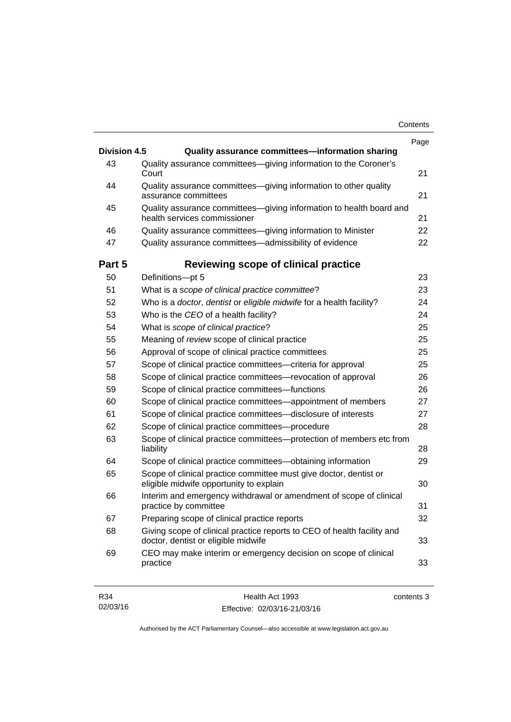|                     |                                                                                                                | Page       |
|---------------------|----------------------------------------------------------------------------------------------------------------|------------|
| <b>Division 4.5</b> | Quality assurance committees-information sharing                                                               |            |
| 43                  | Quality assurance committees-giving information to the Coroner's<br>Court                                      | 21         |
| 44                  | Quality assurance committees-giving information to other quality<br>assurance committees                       | 21         |
| 45                  | Quality assurance committees-giving information to health board and<br>health services commissioner            | 21         |
| 46                  | Quality assurance committees—giving information to Minister                                                    | 22         |
| 47                  | Quality assurance committees-admissibility of evidence                                                         | 22         |
| Part 5              | Reviewing scope of clinical practice                                                                           |            |
| 50                  | Definitions-pt 5                                                                                               | 23         |
| 51                  | What is a scope of clinical practice committee?                                                                | 23         |
| 52                  | Who is a doctor, dentist or eligible midwife for a health facility?                                            | 24         |
| 53                  | Who is the CEO of a health facility?                                                                           | 24         |
| 54                  | What is scope of clinical practice?                                                                            | 25         |
| 55                  | Meaning of review scope of clinical practice                                                                   | 25         |
| 56                  | Approval of scope of clinical practice committees                                                              | 25         |
| 57                  | Scope of clinical practice committees-criteria for approval                                                    | 25         |
| 58                  | Scope of clinical practice committees-revocation of approval                                                   | 26         |
| 59                  | Scope of clinical practice committees—functions                                                                | 26         |
| 60                  | Scope of clinical practice committees—appointment of members                                                   | 27         |
| 61                  | Scope of clinical practice committees-disclosure of interests                                                  | 27         |
| 62                  | Scope of clinical practice committees---procedure                                                              | 28         |
| 63                  | Scope of clinical practice committees—protection of members etc from<br>liability                              | 28         |
| 64                  | Scope of clinical practice committees—obtaining information                                                    | 29         |
| 65                  | Scope of clinical practice committee must give doctor, dentist or<br>eligible midwife opportunity to explain   | 30         |
| 66                  | Interim and emergency withdrawal or amendment of scope of clinical<br>practice by committee                    | 31         |
| 67                  | Preparing scope of clinical practice reports                                                                   | 32         |
| 68                  | Giving scope of clinical practice reports to CEO of health facility and<br>doctor, dentist or eligible midwife | 33         |
| 69                  | CEO may make interim or emergency decision on scope of clinical<br>practice                                    | 33         |
| R34                 | Health Act 1993                                                                                                | contents 3 |

Authorised by the ACT Parliamentary Counsel—also accessible at www.legislation.act.gov.au

Effective: 02/03/16-21/03/16

R34 02/03/16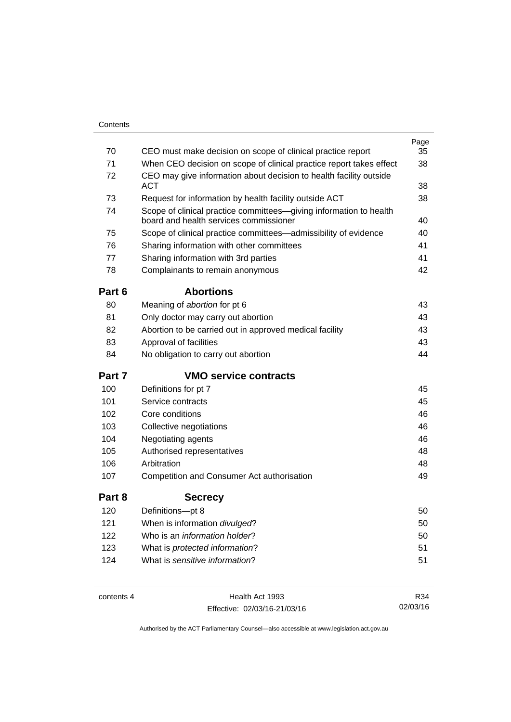| 70     | CEO must make decision on scope of clinical practice report                                                  | Page<br>35 |
|--------|--------------------------------------------------------------------------------------------------------------|------------|
| 71     | When CEO decision on scope of clinical practice report takes effect                                          | 38         |
| 72     | CEO may give information about decision to health facility outside<br><b>ACT</b>                             | 38         |
| 73     | Request for information by health facility outside ACT                                                       | 38         |
| 74     | Scope of clinical practice committees—giving information to health<br>board and health services commissioner | 40         |
| 75     | Scope of clinical practice committees-admissibility of evidence                                              | 40         |
| 76     | Sharing information with other committees                                                                    | 41         |
| 77     | Sharing information with 3rd parties                                                                         | 41         |
| 78     | Complainants to remain anonymous                                                                             | 42         |
| Part 6 | <b>Abortions</b>                                                                                             |            |
| 80     | Meaning of abortion for pt 6                                                                                 | 43         |
| 81     | Only doctor may carry out abortion                                                                           | 43         |
| 82     | Abortion to be carried out in approved medical facility                                                      | 43         |
| 83     | Approval of facilities                                                                                       | 43         |
| 84     | No obligation to carry out abortion                                                                          | 44         |
| Part 7 | <b>VMO service contracts</b>                                                                                 |            |
| 100    | Definitions for pt 7                                                                                         | 45         |
| 101    | Service contracts                                                                                            | 45         |
| 102    | Core conditions                                                                                              | 46         |
| 103    | Collective negotiations                                                                                      | 46         |
| 104    | Negotiating agents                                                                                           | 46         |
| 105    | Authorised representatives                                                                                   | 48         |
| 106    | Arbitration                                                                                                  | 48         |
| 107    | Competition and Consumer Act authorisation                                                                   | 49         |
| Part 8 | <b>Secrecy</b>                                                                                               |            |
| 120    | Definitions-pt 8                                                                                             | 50         |
| 121    | When is information divulged?                                                                                | 50         |
| 122    | Who is an <i>information holder</i> ?                                                                        | 50         |
| 123    | What is protected information?                                                                               | 51         |
| 124    | What is sensitive information?                                                                               | 51         |
|        |                                                                                                              |            |

contents 4 Health Act 1993 Effective: 02/03/16-21/03/16

R34 02/03/16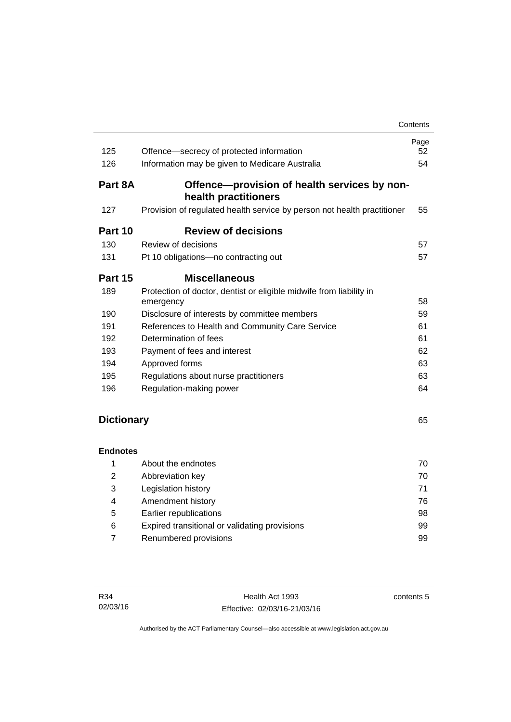|                   |                                                                                  | Contents |
|-------------------|----------------------------------------------------------------------------------|----------|
|                   |                                                                                  | Page     |
| 125               | Offence-secrecy of protected information                                         | 52       |
| 126               | Information may be given to Medicare Australia                                   | 54       |
| Part 8A           | Offence-provision of health services by non-<br>health practitioners             |          |
| 127               | Provision of regulated health service by person not health practitioner          | 55       |
| Part 10           | <b>Review of decisions</b>                                                       |          |
| 130               | Review of decisions                                                              | 57       |
| 131               | Pt 10 obligations-no contracting out                                             | 57       |
| Part 15           | <b>Miscellaneous</b>                                                             |          |
| 189               | Protection of doctor, dentist or eligible midwife from liability in<br>emergency | 58       |
| 190               | Disclosure of interests by committee members                                     | 59       |
| 191               | References to Health and Community Care Service                                  | 61       |
| 192               | Determination of fees                                                            | 61       |
| 193               | Payment of fees and interest                                                     | 62       |
| 194               | Approved forms                                                                   | 63       |
| 195               | Regulations about nurse practitioners                                            | 63       |
| 196               | Regulation-making power                                                          | 64       |
|                   |                                                                                  |          |
| <b>Dictionary</b> |                                                                                  | 65       |
| <b>Endnotes</b>   |                                                                                  |          |
| 1                 | About the endnotes                                                               | 70       |
| 2                 | Abbreviation key                                                                 | 70       |
|                   | Logiolotica biotony                                                              | 74       |

|   | <b>AUVICYMUULI NGY</b>                        | 1 U |
|---|-----------------------------------------------|-----|
| 3 | Legislation history                           |     |
| 4 | Amendment history                             | 76. |
| 5 | Earlier republications                        | 98  |
| 6 | Expired transitional or validating provisions | 99  |
|   | Renumbered provisions                         | 99  |
|   |                                               |     |

contents 5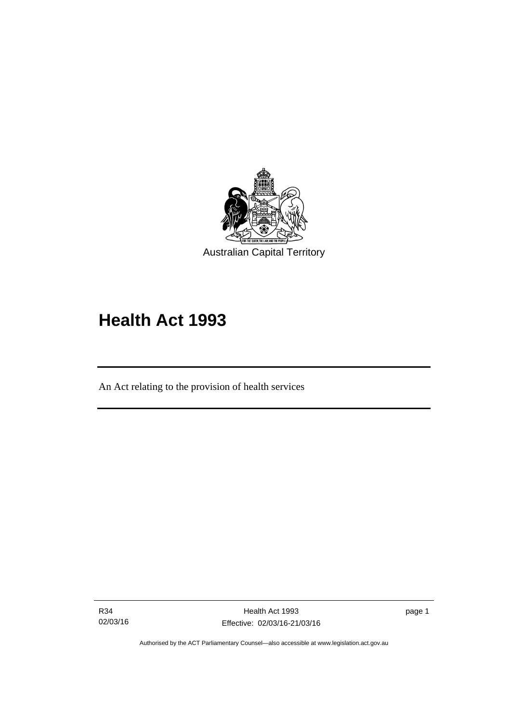

# **Health Act 1993**

An Act relating to the provision of health services

R34 02/03/16

l

page 1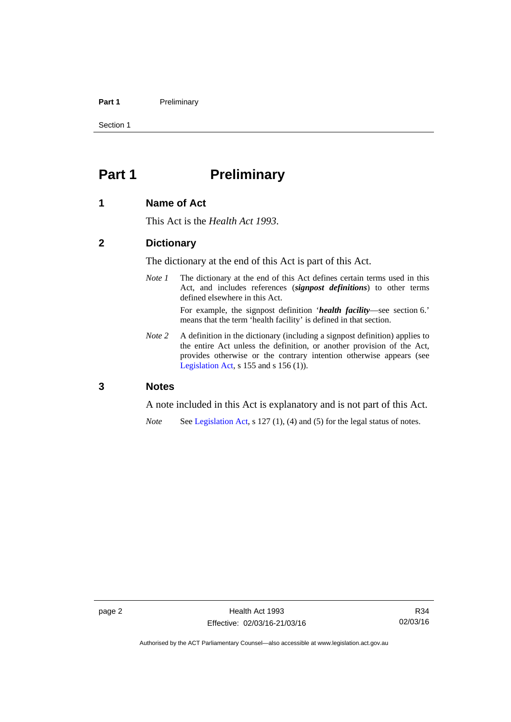#### Part 1 **Preliminary**

Section 1

# <span id="page-9-0"></span>**Part 1** Preliminary

#### <span id="page-9-1"></span>**1 Name of Act**

This Act is the *Health Act 1993*.

#### <span id="page-9-2"></span>**2 Dictionary**

The dictionary at the end of this Act is part of this Act.

*Note 1* The dictionary at the end of this Act defines certain terms used in this Act, and includes references (*signpost definitions*) to other terms defined elsewhere in this Act.

> For example, the signpost definition '*health facility*—see section 6.' means that the term 'health facility' is defined in that section.

*Note* 2 A definition in the dictionary (including a signpost definition) applies to the entire Act unless the definition, or another provision of the Act, provides otherwise or the contrary intention otherwise appears (see [Legislation Act,](http://www.legislation.act.gov.au/a/2001-14)  $s$  155 and  $s$  156 (1)).

#### <span id="page-9-3"></span>**3 Notes**

A note included in this Act is explanatory and is not part of this Act.

*Note* See [Legislation Act,](http://www.legislation.act.gov.au/a/2001-14) s 127 (1), (4) and (5) for the legal status of notes.

Authorised by the ACT Parliamentary Counsel—also accessible at www.legislation.act.gov.au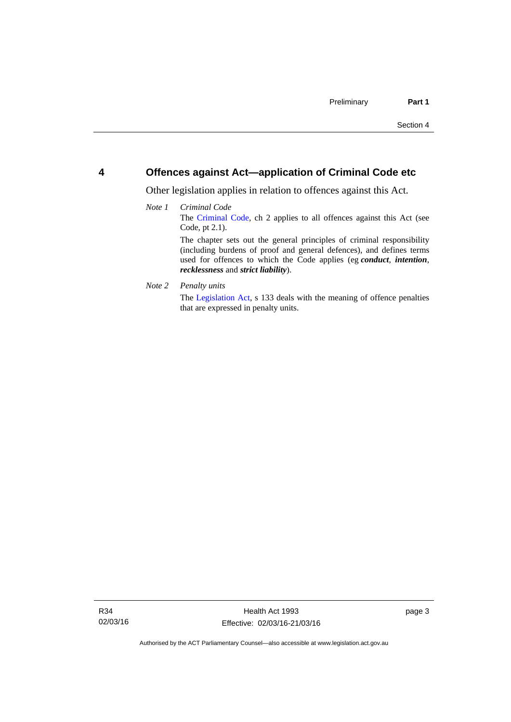#### <span id="page-10-0"></span>**4 Offences against Act—application of Criminal Code etc**

Other legislation applies in relation to offences against this Act.

#### *Note 1 Criminal Code* The [Criminal Code](http://www.legislation.act.gov.au/a/2002-51), ch 2 applies to all offences against this Act (see Code, pt 2.1). The chapter sets out the general principles of criminal responsibility (including burdens of proof and general defences), and defines terms used for offences to which the Code applies (eg *conduct*, *intention*, *recklessness* and *strict liability*).

*Note 2 Penalty units* 

The [Legislation Act](http://www.legislation.act.gov.au/a/2001-14), s 133 deals with the meaning of offence penalties that are expressed in penalty units.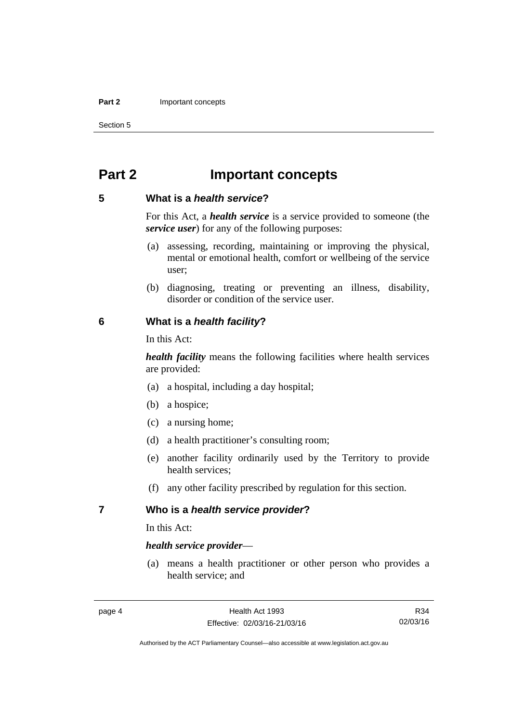#### **Part 2 Important concepts**

Section 5

# <span id="page-11-0"></span>**Part 2 Important concepts**

#### <span id="page-11-1"></span>**5 What is a** *health service***?**

For this Act, a *health service* is a service provided to someone (the *service user*) for any of the following purposes:

- (a) assessing, recording, maintaining or improving the physical, mental or emotional health, comfort or wellbeing of the service user;
- (b) diagnosing, treating or preventing an illness, disability, disorder or condition of the service user.

#### <span id="page-11-2"></span>**6 What is a** *health facility***?**

In this Act:

*health facility* means the following facilities where health services are provided:

- (a) a hospital, including a day hospital;
- (b) a hospice;
- (c) a nursing home;
- (d) a health practitioner's consulting room;
- (e) another facility ordinarily used by the Territory to provide health services;
- (f) any other facility prescribed by regulation for this section.

#### <span id="page-11-3"></span>**7 Who is a** *health service provider***?**

In this Act:

#### *health service provider*—

 (a) means a health practitioner or other person who provides a health service; and

R34 02/03/16

Authorised by the ACT Parliamentary Counsel—also accessible at www.legislation.act.gov.au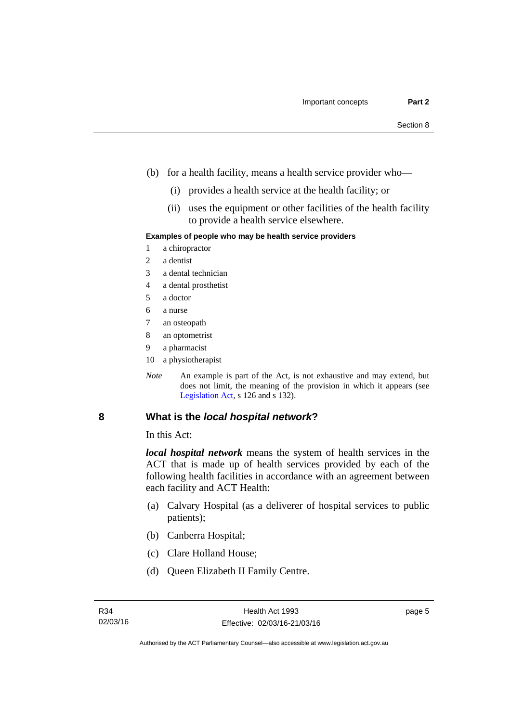- (b) for a health facility, means a health service provider who—
	- (i) provides a health service at the health facility; or
	- (ii) uses the equipment or other facilities of the health facility to provide a health service elsewhere.

#### **Examples of people who may be health service providers**

- 1 a chiropractor
- 2 a dentist
- 3 a dental technician
- 4 a dental prosthetist
- 5 a doctor
- 6 a nurse
- 7 an osteopath
- 8 an optometrist
- 9 a pharmacist
- 10 a physiotherapist
- *Note* An example is part of the Act, is not exhaustive and may extend, but does not limit, the meaning of the provision in which it appears (see [Legislation Act,](http://www.legislation.act.gov.au/a/2001-14) s 126 and s 132).

#### <span id="page-12-0"></span>**8 What is the** *local hospital network***?**

In this Act:

*local hospital network* means the system of health services in the ACT that is made up of health services provided by each of the following health facilities in accordance with an agreement between each facility and ACT Health:

- (a) Calvary Hospital (as a deliverer of hospital services to public patients);
- (b) Canberra Hospital;
- (c) Clare Holland House;
- (d) Queen Elizabeth II Family Centre.

page 5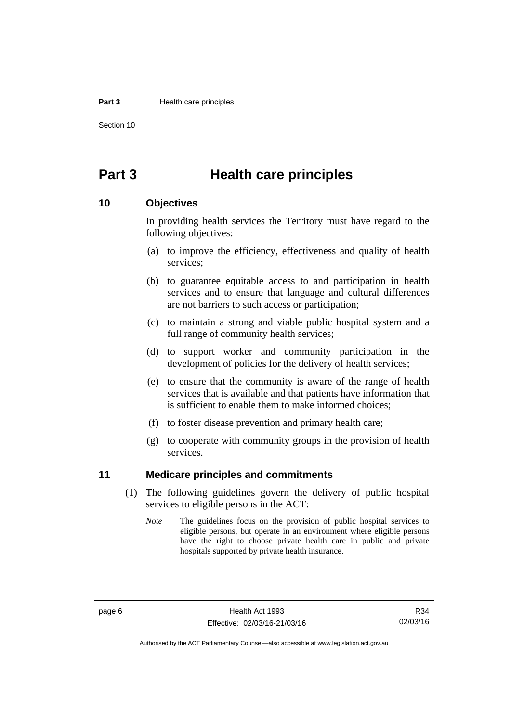#### **Part 3 Health care principles**

Section 10

# <span id="page-13-0"></span>**Part 3 Health care principles**

#### <span id="page-13-1"></span>**10 Objectives**

In providing health services the Territory must have regard to the following objectives:

- (a) to improve the efficiency, effectiveness and quality of health services;
- (b) to guarantee equitable access to and participation in health services and to ensure that language and cultural differences are not barriers to such access or participation;
- (c) to maintain a strong and viable public hospital system and a full range of community health services;
- (d) to support worker and community participation in the development of policies for the delivery of health services;
- (e) to ensure that the community is aware of the range of health services that is available and that patients have information that is sufficient to enable them to make informed choices;
- (f) to foster disease prevention and primary health care;
- (g) to cooperate with community groups in the provision of health services.

#### <span id="page-13-2"></span>**11 Medicare principles and commitments**

- (1) The following guidelines govern the delivery of public hospital services to eligible persons in the ACT:
	- *Note* The guidelines focus on the provision of public hospital services to eligible persons, but operate in an environment where eligible persons have the right to choose private health care in public and private hospitals supported by private health insurance.

Authorised by the ACT Parliamentary Counsel—also accessible at www.legislation.act.gov.au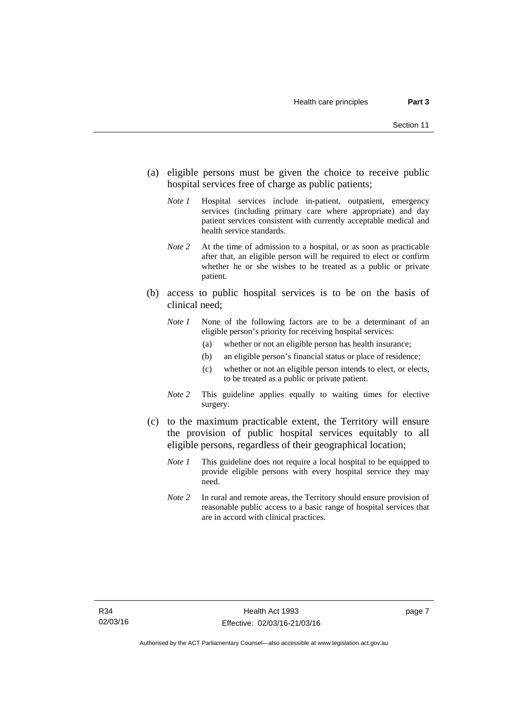- (a) eligible persons must be given the choice to receive public hospital services free of charge as public patients;
	- *Note 1* Hospital services include in-patient, outpatient, emergency services (including primary care where appropriate) and day patient services consistent with currently acceptable medical and health service standards.
	- *Note 2* At the time of admission to a hospital, or as soon as practicable after that, an eligible person will be required to elect or confirm whether he or she wishes to be treated as a public or private patient.
- (b) access to public hospital services is to be on the basis of clinical need;
	- *Note 1* None of the following factors are to be a determinant of an eligible person's priority for receiving hospital services:
		- (a) whether or not an eligible person has health insurance;
		- (b) an eligible person's financial status or place of residence;
		- (c) whether or not an eligible person intends to elect, or elects, to be treated as a public or private patient.
	- *Note 2* This guideline applies equally to waiting times for elective surgery.
- (c) to the maximum practicable extent, the Territory will ensure the provision of public hospital services equitably to all eligible persons, regardless of their geographical location;
	- *Note 1* This guideline does not require a local hospital to be equipped to provide eligible persons with every hospital service they may need.
	- *Note 2* In rural and remote areas, the Territory should ensure provision of reasonable public access to a basic range of hospital services that are in accord with clinical practices.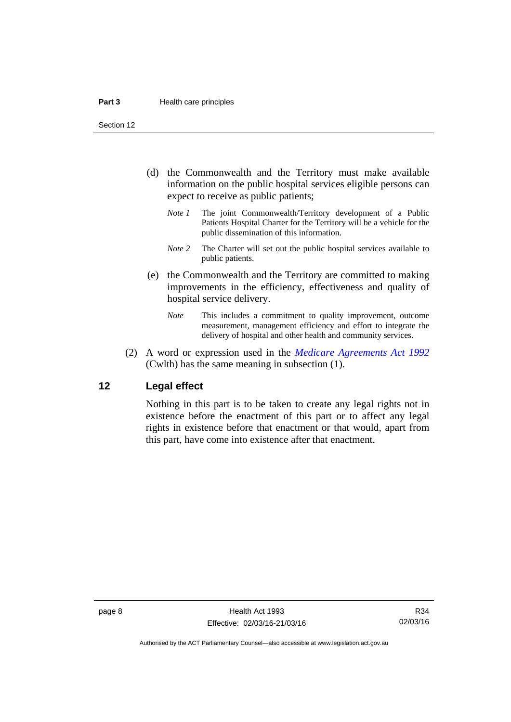Section 12

- (d) the Commonwealth and the Territory must make available information on the public hospital services eligible persons can expect to receive as public patients;
	- *Note 1* The joint Commonwealth/Territory development of a Public Patients Hospital Charter for the Territory will be a vehicle for the public dissemination of this information.
	- *Note 2* The Charter will set out the public hospital services available to public patients.
- (e) the Commonwealth and the Territory are committed to making improvements in the efficiency, effectiveness and quality of hospital service delivery.
	- *Note* This includes a commitment to quality improvement, outcome measurement, management efficiency and effort to integrate the delivery of hospital and other health and community services.
- (2) A word or expression used in the *[Medicare Agreements Act 1992](http://www.comlaw.gov.au/Details/C2006C00041)* (Cwlth) has the same meaning in subsection (1).

#### <span id="page-15-0"></span>**12 Legal effect**

Nothing in this part is to be taken to create any legal rights not in existence before the enactment of this part or to affect any legal rights in existence before that enactment or that would, apart from this part, have come into existence after that enactment.

R34 02/03/16

Authorised by the ACT Parliamentary Counsel—also accessible at www.legislation.act.gov.au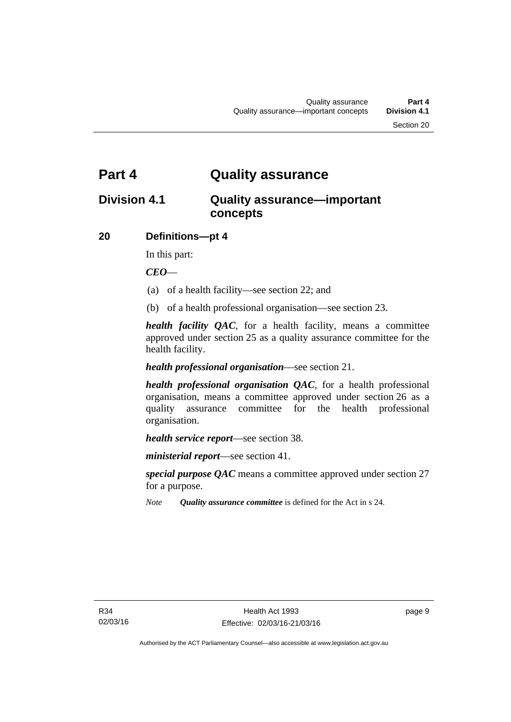# <span id="page-16-0"></span>**Part 4 Quality assurance**

# <span id="page-16-1"></span>**Division 4.1 Quality assurance—important concepts**

### <span id="page-16-2"></span>**20 Definitions—pt 4**

In this part:

*CEO*—

- (a) of a health facility—see section 22; and
- (b) of a health professional organisation—see section 23.

*health facility QAC*, for a health facility, means a committee approved under section 25 as a quality assurance committee for the health facility.

#### *health professional organisation*—see section 21.

*health professional organisation QAC*, for a health professional organisation, means a committee approved under section 26 as a quality assurance committee for the health professional organisation.

*health service report*—see section 38.

*ministerial report*—see section 41.

*special purpose QAC* means a committee approved under section 27 for a purpose.

*Note Quality assurance committee* is defined for the Act in s 24.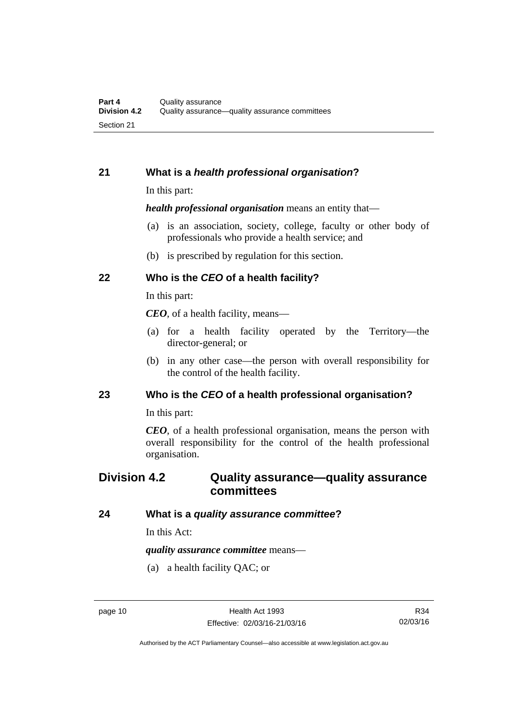#### <span id="page-17-0"></span>**21 What is a** *health professional organisation***?**

In this part:

*health professional organisation* means an entity that—

- (a) is an association, society, college, faculty or other body of professionals who provide a health service; and
- (b) is prescribed by regulation for this section.

### <span id="page-17-1"></span>**22 Who is the** *CEO* **of a health facility?**

In this part:

*CEO*, of a health facility, means—

- (a) for a health facility operated by the Territory—the director-general; or
- (b) in any other case—the person with overall responsibility for the control of the health facility.

#### <span id="page-17-2"></span>**23 Who is the** *CEO* **of a health professional organisation?**

In this part:

*CEO*, of a health professional organisation, means the person with overall responsibility for the control of the health professional organisation.

# <span id="page-17-3"></span>**Division 4.2 Quality assurance—quality assurance committees**

#### <span id="page-17-4"></span>**24 What is a** *quality assurance committee***?**

In this Act:

*quality assurance committee* means—

(a) a health facility QAC; or

Authorised by the ACT Parliamentary Counsel—also accessible at www.legislation.act.gov.au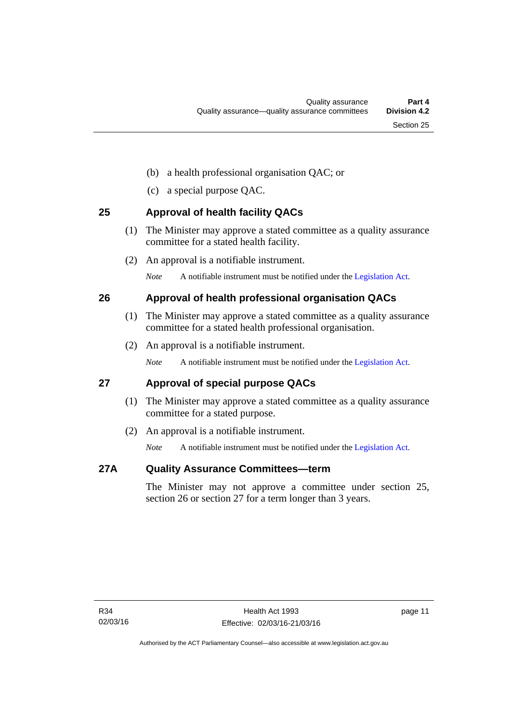- (b) a health professional organisation QAC; or
- (c) a special purpose QAC.

# <span id="page-18-0"></span>**25 Approval of health facility QACs**

- (1) The Minister may approve a stated committee as a quality assurance committee for a stated health facility.
- (2) An approval is a notifiable instrument.

*Note* A notifiable instrument must be notified under the [Legislation Act](http://www.legislation.act.gov.au/a/2001-14).

# <span id="page-18-1"></span>**26 Approval of health professional organisation QACs**

- (1) The Minister may approve a stated committee as a quality assurance committee for a stated health professional organisation.
- (2) An approval is a notifiable instrument.

*Note* A notifiable instrument must be notified under the [Legislation Act](http://www.legislation.act.gov.au/a/2001-14).

# <span id="page-18-2"></span>**27 Approval of special purpose QACs**

- (1) The Minister may approve a stated committee as a quality assurance committee for a stated purpose.
- (2) An approval is a notifiable instrument.

*Note* A notifiable instrument must be notified under the [Legislation Act](http://www.legislation.act.gov.au/a/2001-14).

### <span id="page-18-3"></span>**27A Quality Assurance Committees—term**

The Minister may not approve a committee under section 25, section 26 or section 27 for a term longer than 3 years.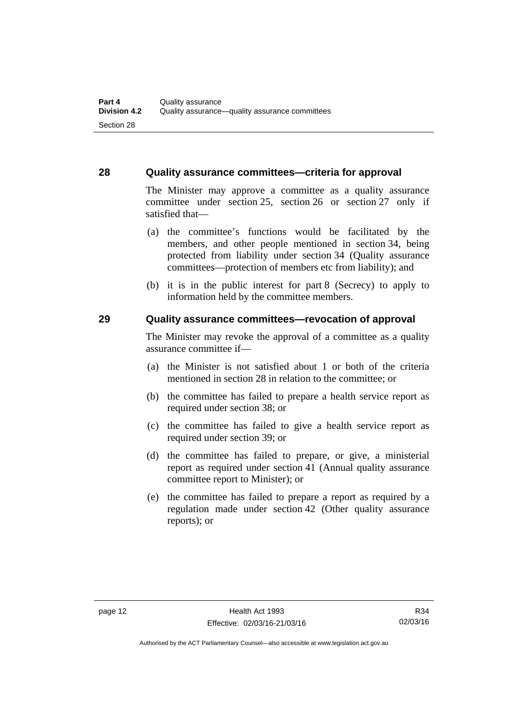#### <span id="page-19-0"></span>**28 Quality assurance committees—criteria for approval**

The Minister may approve a committee as a quality assurance committee under section 25, section 26 or section 27 only if satisfied that—

- (a) the committee's functions would be facilitated by the members, and other people mentioned in section 34, being protected from liability under section 34 (Quality assurance committees—protection of members etc from liability); and
- (b) it is in the public interest for part 8 (Secrecy) to apply to information held by the committee members.

#### <span id="page-19-1"></span>**29 Quality assurance committees—revocation of approval**

The Minister may revoke the approval of a committee as a quality assurance committee if—

- (a) the Minister is not satisfied about 1 or both of the criteria mentioned in section 28 in relation to the committee; or
- (b) the committee has failed to prepare a health service report as required under section 38; or
- (c) the committee has failed to give a health service report as required under section 39; or
- (d) the committee has failed to prepare, or give, a ministerial report as required under section 41 (Annual quality assurance committee report to Minister); or
- (e) the committee has failed to prepare a report as required by a regulation made under section 42 (Other quality assurance reports); or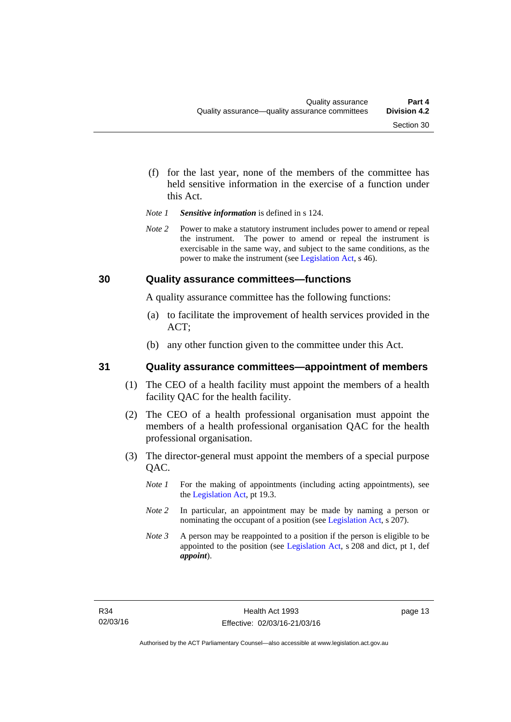- (f) for the last year, none of the members of the committee has held sensitive information in the exercise of a function under this Act.
- *Note 1 Sensitive information* is defined in s 124.
- *Note 2* Power to make a statutory instrument includes power to amend or repeal the instrument. The power to amend or repeal the instrument is exercisable in the same way, and subject to the same conditions, as the power to make the instrument (see [Legislation Act,](http://www.legislation.act.gov.au/a/2001-14) s 46).

#### <span id="page-20-0"></span>**30 Quality assurance committees—functions**

A quality assurance committee has the following functions:

- (a) to facilitate the improvement of health services provided in the ACT;
- (b) any other function given to the committee under this Act.

#### <span id="page-20-1"></span>**31 Quality assurance committees—appointment of members**

- (1) The CEO of a health facility must appoint the members of a health facility QAC for the health facility.
- (2) The CEO of a health professional organisation must appoint the members of a health professional organisation QAC for the health professional organisation.
- (3) The director-general must appoint the members of a special purpose QAC.
	- *Note 1* For the making of appointments (including acting appointments), see the [Legislation Act,](http://www.legislation.act.gov.au/a/2001-14) pt 19.3.
	- *Note 2* In particular, an appointment may be made by naming a person or nominating the occupant of a position (see [Legislation Act](http://www.legislation.act.gov.au/a/2001-14), s 207).
	- *Note 3* A person may be reappointed to a position if the person is eligible to be appointed to the position (see [Legislation Act](http://www.legislation.act.gov.au/a/2001-14), s 208 and dict, pt 1, def *appoint*).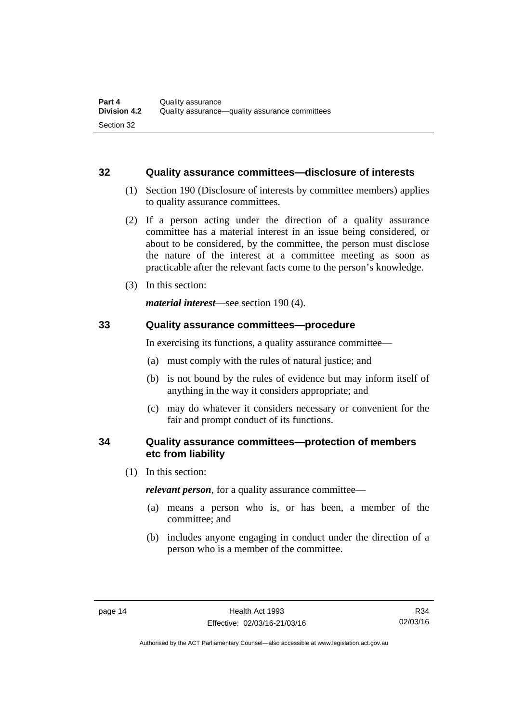#### <span id="page-21-0"></span>**32 Quality assurance committees—disclosure of interests**

- (1) Section 190 (Disclosure of interests by committee members) applies to quality assurance committees.
- (2) If a person acting under the direction of a quality assurance committee has a material interest in an issue being considered, or about to be considered, by the committee, the person must disclose the nature of the interest at a committee meeting as soon as practicable after the relevant facts come to the person's knowledge.
- (3) In this section:

*material interest*—see section 190 (4).

#### <span id="page-21-1"></span>**33 Quality assurance committees—procedure**

In exercising its functions, a quality assurance committee—

- (a) must comply with the rules of natural justice; and
- (b) is not bound by the rules of evidence but may inform itself of anything in the way it considers appropriate; and
- (c) may do whatever it considers necessary or convenient for the fair and prompt conduct of its functions.

#### <span id="page-21-2"></span>**34 Quality assurance committees—protection of members etc from liability**

(1) In this section:

*relevant person*, for a quality assurance committee—

- (a) means a person who is, or has been, a member of the committee; and
- (b) includes anyone engaging in conduct under the direction of a person who is a member of the committee.

R34 02/03/16

Authorised by the ACT Parliamentary Counsel—also accessible at www.legislation.act.gov.au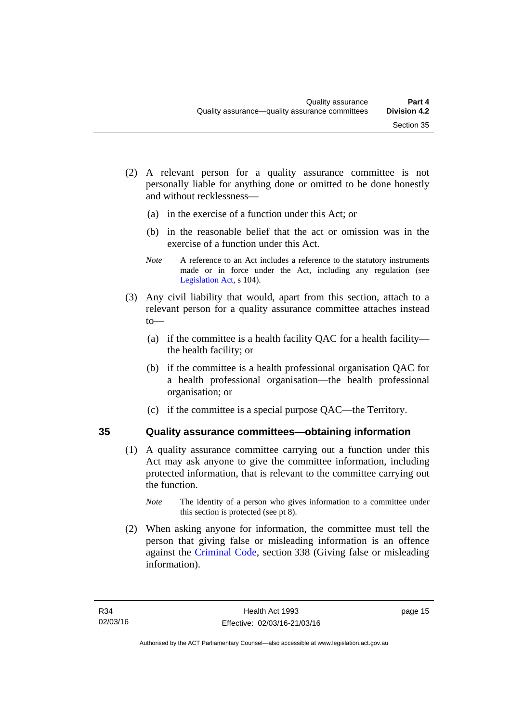- (2) A relevant person for a quality assurance committee is not personally liable for anything done or omitted to be done honestly and without recklessness—
	- (a) in the exercise of a function under this Act; or
	- (b) in the reasonable belief that the act or omission was in the exercise of a function under this Act.
	- *Note* A reference to an Act includes a reference to the statutory instruments made or in force under the Act, including any regulation (see [Legislation Act,](http://www.legislation.act.gov.au/a/2001-14) s 104).
- (3) Any civil liability that would, apart from this section, attach to a relevant person for a quality assurance committee attaches instead to—
	- (a) if the committee is a health facility QAC for a health facility the health facility; or
	- (b) if the committee is a health professional organisation QAC for a health professional organisation—the health professional organisation; or
	- (c) if the committee is a special purpose QAC—the Territory.

### <span id="page-22-0"></span>**35 Quality assurance committees—obtaining information**

- (1) A quality assurance committee carrying out a function under this Act may ask anyone to give the committee information, including protected information, that is relevant to the committee carrying out the function.
	- *Note* The identity of a person who gives information to a committee under this section is protected (see pt 8).
- (2) When asking anyone for information, the committee must tell the person that giving false or misleading information is an offence against the [Criminal Code](http://www.legislation.act.gov.au/a/2002-51), section 338 (Giving false or misleading information).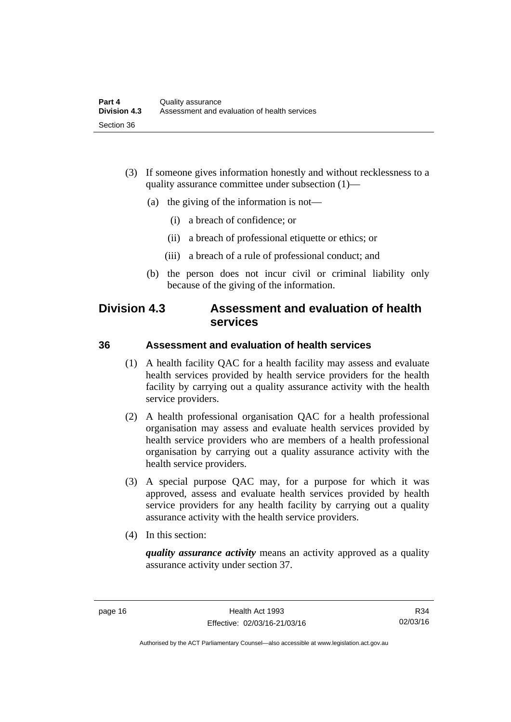- (3) If someone gives information honestly and without recklessness to a quality assurance committee under subsection (1)—
	- (a) the giving of the information is not—
		- (i) a breach of confidence; or
		- (ii) a breach of professional etiquette or ethics; or
		- (iii) a breach of a rule of professional conduct; and
	- (b) the person does not incur civil or criminal liability only because of the giving of the information.

# <span id="page-23-0"></span>**Division 4.3 Assessment and evaluation of health services**

#### <span id="page-23-1"></span>**36 Assessment and evaluation of health services**

- (1) A health facility QAC for a health facility may assess and evaluate health services provided by health service providers for the health facility by carrying out a quality assurance activity with the health service providers.
- (2) A health professional organisation QAC for a health professional organisation may assess and evaluate health services provided by health service providers who are members of a health professional organisation by carrying out a quality assurance activity with the health service providers.
- (3) A special purpose QAC may, for a purpose for which it was approved, assess and evaluate health services provided by health service providers for any health facility by carrying out a quality assurance activity with the health service providers.
- (4) In this section:

*quality assurance activity* means an activity approved as a quality assurance activity under section 37.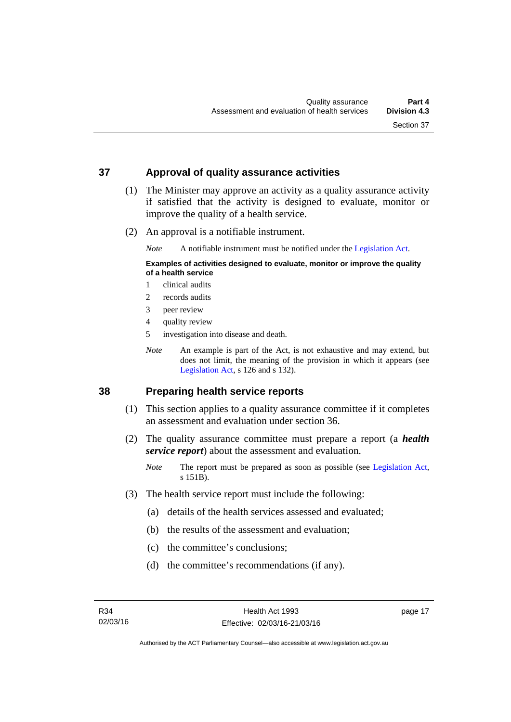#### <span id="page-24-0"></span>**37 Approval of quality assurance activities**

- (1) The Minister may approve an activity as a quality assurance activity if satisfied that the activity is designed to evaluate, monitor or improve the quality of a health service.
- (2) An approval is a notifiable instrument.

*Note* A notifiable instrument must be notified under the [Legislation Act](http://www.legislation.act.gov.au/a/2001-14).

#### **Examples of activities designed to evaluate, monitor or improve the quality of a health service**

- 1 clinical audits
- 2 records audits
- 3 peer review
- 4 quality review
- 5 investigation into disease and death.
- *Note* An example is part of the Act, is not exhaustive and may extend, but does not limit, the meaning of the provision in which it appears (see [Legislation Act,](http://www.legislation.act.gov.au/a/2001-14) s 126 and s 132).

#### <span id="page-24-1"></span>**38 Preparing health service reports**

- (1) This section applies to a quality assurance committee if it completes an assessment and evaluation under section 36.
- (2) The quality assurance committee must prepare a report (a *health service report*) about the assessment and evaluation.
	- *Note* The report must be prepared as soon as possible (see [Legislation Act,](http://www.legislation.act.gov.au/a/2001-14) s 151B).
- (3) The health service report must include the following:
	- (a) details of the health services assessed and evaluated;
	- (b) the results of the assessment and evaluation;
	- (c) the committee's conclusions;
	- (d) the committee's recommendations (if any).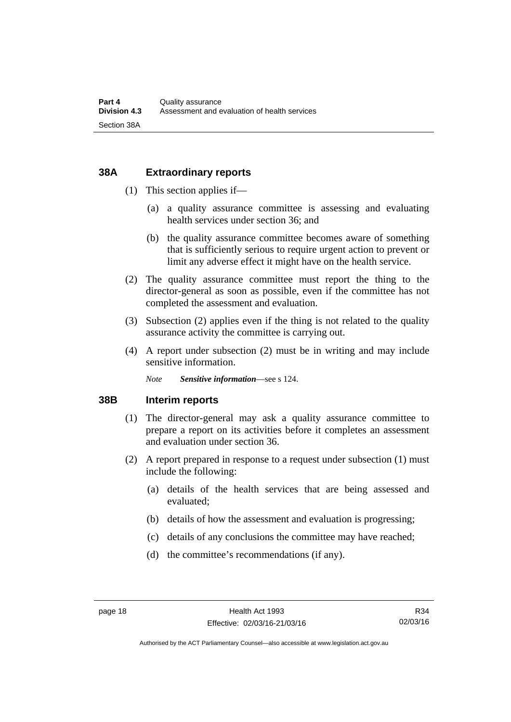#### <span id="page-25-0"></span>**38A Extraordinary reports**

- (1) This section applies if—
	- (a) a quality assurance committee is assessing and evaluating health services under section 36; and
	- (b) the quality assurance committee becomes aware of something that is sufficiently serious to require urgent action to prevent or limit any adverse effect it might have on the health service.
- (2) The quality assurance committee must report the thing to the director-general as soon as possible, even if the committee has not completed the assessment and evaluation.
- (3) Subsection (2) applies even if the thing is not related to the quality assurance activity the committee is carrying out.
- (4) A report under subsection (2) must be in writing and may include sensitive information.

*Note Sensitive information*—see s 124.

#### <span id="page-25-1"></span>**38B Interim reports**

- (1) The director-general may ask a quality assurance committee to prepare a report on its activities before it completes an assessment and evaluation under section 36.
- (2) A report prepared in response to a request under subsection (1) must include the following:
	- (a) details of the health services that are being assessed and evaluated;
	- (b) details of how the assessment and evaluation is progressing;
	- (c) details of any conclusions the committee may have reached;
	- (d) the committee's recommendations (if any).

Authorised by the ACT Parliamentary Counsel—also accessible at www.legislation.act.gov.au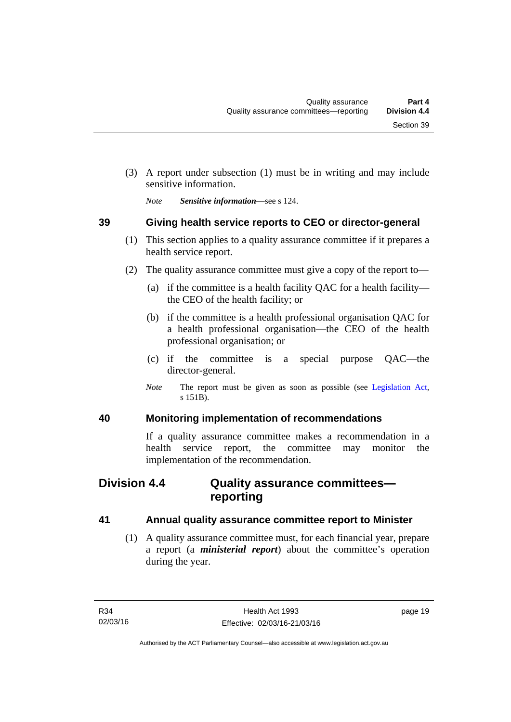(3) A report under subsection (1) must be in writing and may include sensitive information.

*Note Sensitive information*—see s 124.

# <span id="page-26-0"></span>**39 Giving health service reports to CEO or director-general**

- (1) This section applies to a quality assurance committee if it prepares a health service report.
- (2) The quality assurance committee must give a copy of the report to—
	- (a) if the committee is a health facility QAC for a health facility the CEO of the health facility; or
	- (b) if the committee is a health professional organisation QAC for a health professional organisation—the CEO of the health professional organisation; or
	- (c) if the committee is a special purpose QAC—the director-general.
	- *Note* The report must be given as soon as possible (see [Legislation Act,](http://www.legislation.act.gov.au/a/2001-14) s 151B).

### <span id="page-26-1"></span>**40 Monitoring implementation of recommendations**

If a quality assurance committee makes a recommendation in a health service report, the committee may monitor the implementation of the recommendation.

# <span id="page-26-2"></span>**Division 4.4 Quality assurance committees reporting**

### <span id="page-26-3"></span>**41 Annual quality assurance committee report to Minister**

 (1) A quality assurance committee must, for each financial year, prepare a report (a *ministerial report*) about the committee's operation during the year.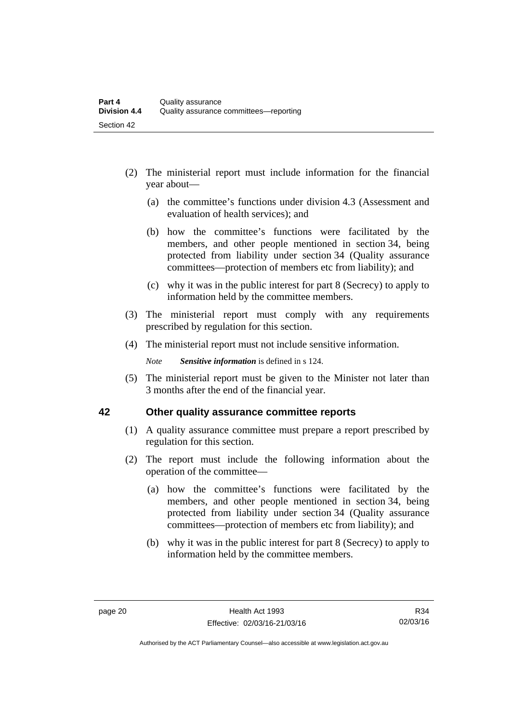- (2) The ministerial report must include information for the financial year about—
	- (a) the committee's functions under division 4.3 (Assessment and evaluation of health services); and
	- (b) how the committee's functions were facilitated by the members, and other people mentioned in section 34, being protected from liability under section 34 (Quality assurance committees—protection of members etc from liability); and
	- (c) why it was in the public interest for part 8 (Secrecy) to apply to information held by the committee members.
- (3) The ministerial report must comply with any requirements prescribed by regulation for this section.
- (4) The ministerial report must not include sensitive information.

*Note Sensitive information* is defined in s 124.

 (5) The ministerial report must be given to the Minister not later than 3 months after the end of the financial year.

#### <span id="page-27-0"></span>**42 Other quality assurance committee reports**

- (1) A quality assurance committee must prepare a report prescribed by regulation for this section.
- (2) The report must include the following information about the operation of the committee—
	- (a) how the committee's functions were facilitated by the members, and other people mentioned in section 34, being protected from liability under section 34 (Quality assurance committees—protection of members etc from liability); and
	- (b) why it was in the public interest for part 8 (Secrecy) to apply to information held by the committee members.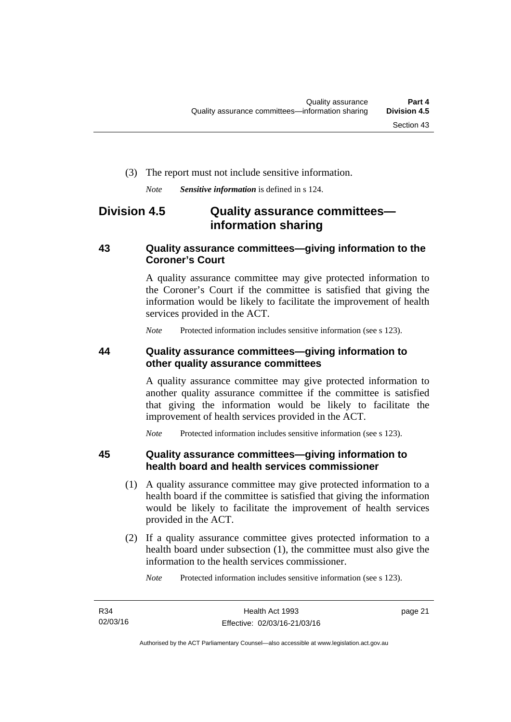#### (3) The report must not include sensitive information.

*Note Sensitive information* is defined in s 124.

# <span id="page-28-0"></span>**Division 4.5 Quality assurance committees information sharing**

#### <span id="page-28-1"></span>**43 Quality assurance committees—giving information to the Coroner's Court**

A quality assurance committee may give protected information to the Coroner's Court if the committee is satisfied that giving the information would be likely to facilitate the improvement of health services provided in the ACT.

*Note* Protected information includes sensitive information (see s 123).

#### <span id="page-28-2"></span>**44 Quality assurance committees—giving information to other quality assurance committees**

A quality assurance committee may give protected information to another quality assurance committee if the committee is satisfied that giving the information would be likely to facilitate the improvement of health services provided in the ACT.

*Note* Protected information includes sensitive information (see s 123).

#### <span id="page-28-3"></span>**45 Quality assurance committees—giving information to health board and health services commissioner**

- (1) A quality assurance committee may give protected information to a health board if the committee is satisfied that giving the information would be likely to facilitate the improvement of health services provided in the ACT.
- (2) If a quality assurance committee gives protected information to a health board under subsection (1), the committee must also give the information to the health services commissioner.

*Note* Protected information includes sensitive information (see s 123).

page 21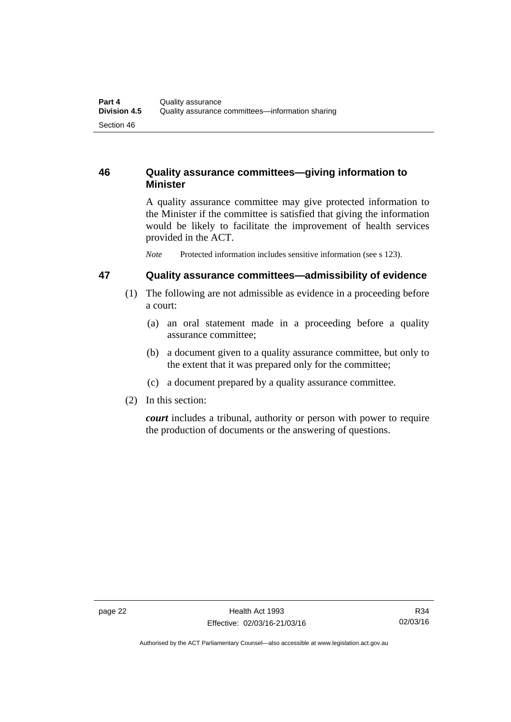### <span id="page-29-0"></span>**46 Quality assurance committees—giving information to Minister**

A quality assurance committee may give protected information to the Minister if the committee is satisfied that giving the information would be likely to facilitate the improvement of health services provided in the ACT.

*Note* Protected information includes sensitive information (see s 123).

#### <span id="page-29-1"></span>**47 Quality assurance committees—admissibility of evidence**

- (1) The following are not admissible as evidence in a proceeding before a court:
	- (a) an oral statement made in a proceeding before a quality assurance committee;
	- (b) a document given to a quality assurance committee, but only to the extent that it was prepared only for the committee;
	- (c) a document prepared by a quality assurance committee.
- (2) In this section:

*court* includes a tribunal, authority or person with power to require the production of documents or the answering of questions.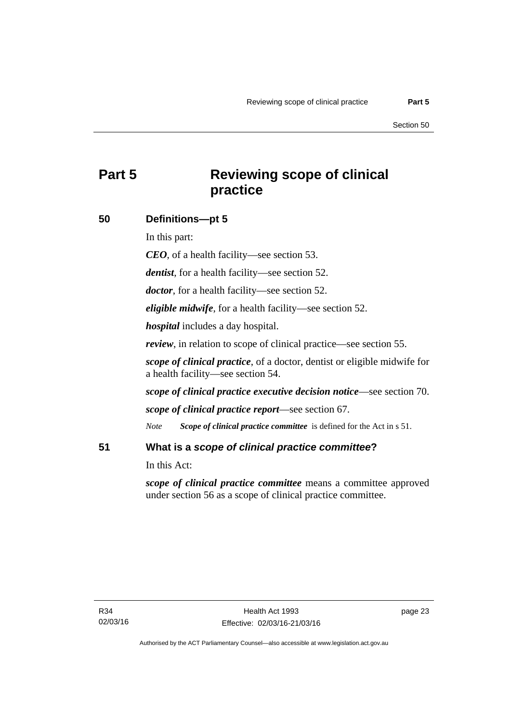# <span id="page-30-0"></span>**Part 5 Reviewing scope of clinical practice**

### <span id="page-30-1"></span>**50 Definitions—pt 5**

In this part:

*CEO*, of a health facility—see section 53.

*dentist*, for a health facility—see section 52.

*doctor*, for a health facility—see section 52.

*eligible midwife*, for a health facility—see section 52.

*hospital* includes a day hospital.

*review*, in relation to scope of clinical practice—see section 55.

*scope of clinical practice*, of a doctor, dentist or eligible midwife for a health facility—see section 54.

*scope of clinical practice executive decision notice*—see section 70.

*scope of clinical practice report*—see section 67.

*Note Scope of clinical practice committee* is defined for the Act in s 51.

#### <span id="page-30-2"></span>**51 What is a** *scope of clinical practice committee***?**

In this Act:

*scope of clinical practice committee* means a committee approved under section 56 as a scope of clinical practice committee.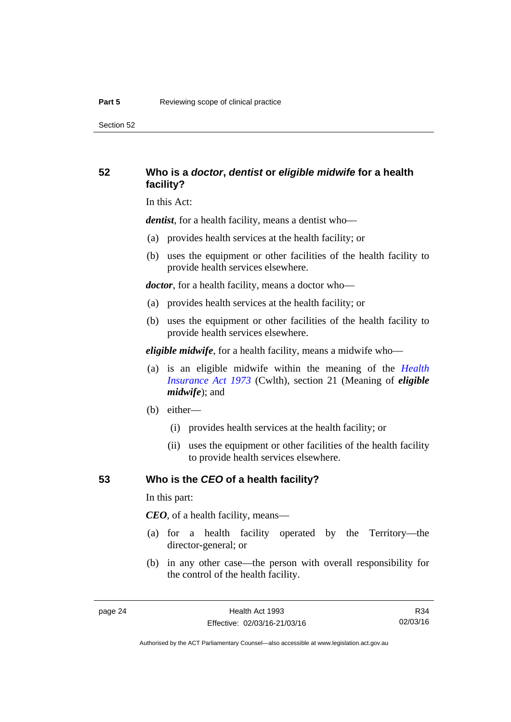Section 52

#### <span id="page-31-0"></span>**52 Who is a** *doctor***,** *dentist* **or** *eligible midwife* **for a health facility?**

In this Act:

*dentist*, for a health facility, means a dentist who—

- (a) provides health services at the health facility; or
- (b) uses the equipment or other facilities of the health facility to provide health services elsewhere.

*doctor*, for a health facility, means a doctor who—

- (a) provides health services at the health facility; or
- (b) uses the equipment or other facilities of the health facility to provide health services elsewhere.

*eligible midwife*, for a health facility, means a midwife who—

- (a) is an eligible midwife within the meaning of the *[Health](http://www.comlaw.gov.au/Series/C2004A00101)  [Insurance Act 1973](http://www.comlaw.gov.au/Series/C2004A00101)* (Cwlth), section 21 (Meaning of *eligible midwife*); and
- (b) either—
	- (i) provides health services at the health facility; or
	- (ii) uses the equipment or other facilities of the health facility to provide health services elsewhere.

#### <span id="page-31-1"></span>**53 Who is the** *CEO* **of a health facility?**

In this part:

*CEO*, of a health facility, means—

- (a) for a health facility operated by the Territory—the director-general; or
- (b) in any other case—the person with overall responsibility for the control of the health facility.

R34 02/03/16

Authorised by the ACT Parliamentary Counsel—also accessible at www.legislation.act.gov.au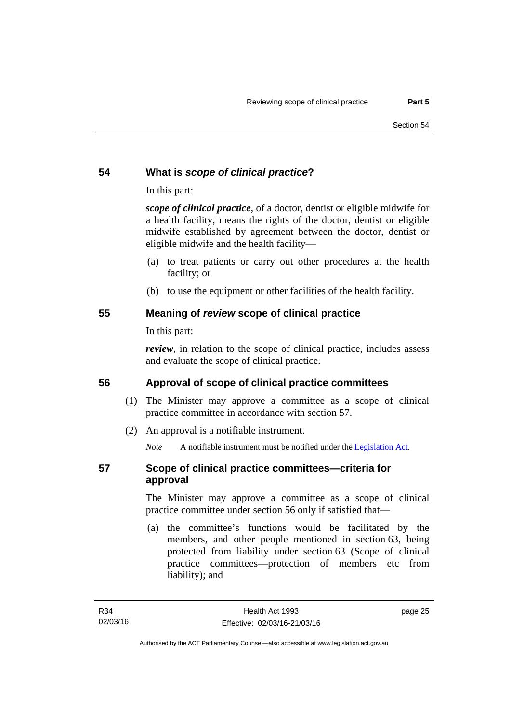### <span id="page-32-0"></span>**54 What is** *scope of clinical practice***?**

In this part:

*scope of clinical practice*, of a doctor, dentist or eligible midwife for a health facility, means the rights of the doctor, dentist or eligible midwife established by agreement between the doctor, dentist or eligible midwife and the health facility—

- (a) to treat patients or carry out other procedures at the health facility; or
- (b) to use the equipment or other facilities of the health facility.

### <span id="page-32-1"></span>**55 Meaning of** *review* **scope of clinical practice**

In this part:

*review*, in relation to the scope of clinical practice, includes assess and evaluate the scope of clinical practice.

# <span id="page-32-2"></span>**56 Approval of scope of clinical practice committees**

- (1) The Minister may approve a committee as a scope of clinical practice committee in accordance with section 57.
- (2) An approval is a notifiable instrument.

*Note* A notifiable instrument must be notified under the [Legislation Act](http://www.legislation.act.gov.au/a/2001-14).

# <span id="page-32-3"></span>**57 Scope of clinical practice committees—criteria for approval**

The Minister may approve a committee as a scope of clinical practice committee under section 56 only if satisfied that—

 (a) the committee's functions would be facilitated by the members, and other people mentioned in section 63, being protected from liability under section 63 (Scope of clinical practice committees—protection of members etc from liability); and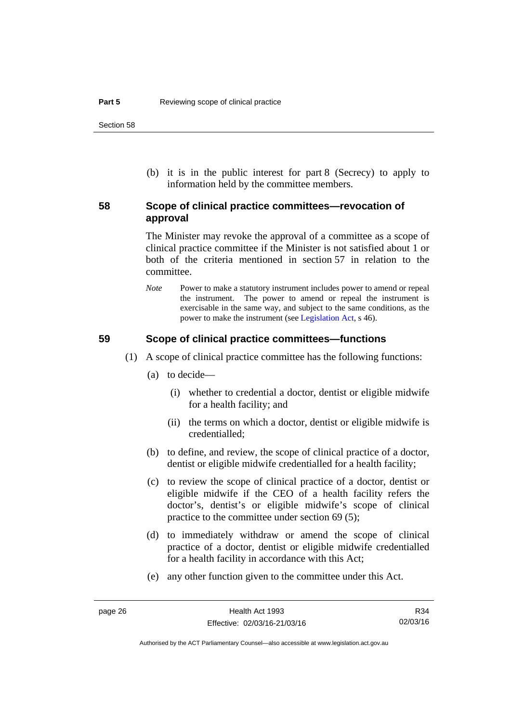(b) it is in the public interest for part 8 (Secrecy) to apply to information held by the committee members.

#### <span id="page-33-0"></span>**58 Scope of clinical practice committees—revocation of approval**

The Minister may revoke the approval of a committee as a scope of clinical practice committee if the Minister is not satisfied about 1 or both of the criteria mentioned in section 57 in relation to the committee.

*Note* Power to make a statutory instrument includes power to amend or repeal the instrument. The power to amend or repeal the instrument is exercisable in the same way, and subject to the same conditions, as the power to make the instrument (see [Legislation Act,](http://www.legislation.act.gov.au/a/2001-14) s 46).

#### <span id="page-33-1"></span>**59 Scope of clinical practice committees—functions**

- (1) A scope of clinical practice committee has the following functions:
	- (a) to decide—
		- (i) whether to credential a doctor, dentist or eligible midwife for a health facility; and
		- (ii) the terms on which a doctor, dentist or eligible midwife is credentialled;
	- (b) to define, and review, the scope of clinical practice of a doctor, dentist or eligible midwife credentialled for a health facility;
	- (c) to review the scope of clinical practice of a doctor, dentist or eligible midwife if the CEO of a health facility refers the doctor's, dentist's or eligible midwife's scope of clinical practice to the committee under section 69 (5);
	- (d) to immediately withdraw or amend the scope of clinical practice of a doctor, dentist or eligible midwife credentialled for a health facility in accordance with this Act;
	- (e) any other function given to the committee under this Act.

R34 02/03/16

Authorised by the ACT Parliamentary Counsel—also accessible at www.legislation.act.gov.au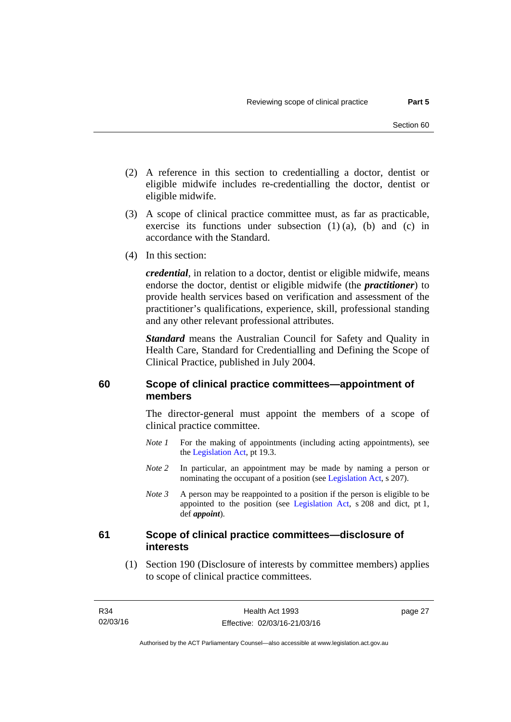- (2) A reference in this section to credentialling a doctor, dentist or eligible midwife includes re-credentialling the doctor, dentist or eligible midwife.
- (3) A scope of clinical practice committee must, as far as practicable, exercise its functions under subsection (1) (a), (b) and (c) in accordance with the Standard.
- (4) In this section:

*credential*, in relation to a doctor, dentist or eligible midwife, means endorse the doctor, dentist or eligible midwife (the *practitioner*) to provide health services based on verification and assessment of the practitioner's qualifications, experience, skill, professional standing and any other relevant professional attributes.

*Standard* means the Australian Council for Safety and Quality in Health Care, Standard for Credentialling and Defining the Scope of Clinical Practice, published in July 2004.

#### <span id="page-34-0"></span>**60 Scope of clinical practice committees—appointment of members**

The director-general must appoint the members of a scope of clinical practice committee.

- *Note 1* For the making of appointments (including acting appointments), see the [Legislation Act,](http://www.legislation.act.gov.au/a/2001-14) pt 19.3.
- *Note 2* In particular, an appointment may be made by naming a person or nominating the occupant of a position (see [Legislation Act](http://www.legislation.act.gov.au/a/2001-14), s 207).
- *Note 3* A person may be reappointed to a position if the person is eligible to be appointed to the position (see [Legislation Act,](http://www.legislation.act.gov.au/a/2001-14) s 208 and dict, pt 1, def *appoint*).

#### <span id="page-34-1"></span>**61 Scope of clinical practice committees—disclosure of interests**

 (1) Section 190 (Disclosure of interests by committee members) applies to scope of clinical practice committees.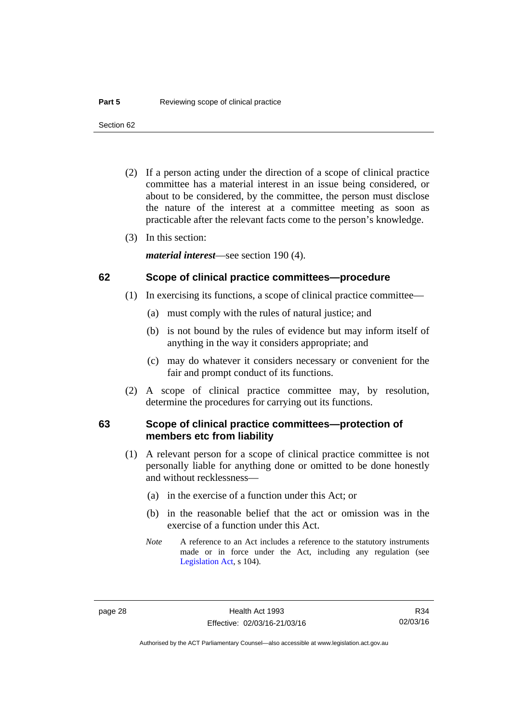Section 62

- (2) If a person acting under the direction of a scope of clinical practice committee has a material interest in an issue being considered, or about to be considered, by the committee, the person must disclose the nature of the interest at a committee meeting as soon as practicable after the relevant facts come to the person's knowledge.
- (3) In this section:

*material interest*—see section 190 (4).

#### <span id="page-35-0"></span>**62 Scope of clinical practice committees—procedure**

- (1) In exercising its functions, a scope of clinical practice committee—
	- (a) must comply with the rules of natural justice; and
	- (b) is not bound by the rules of evidence but may inform itself of anything in the way it considers appropriate; and
	- (c) may do whatever it considers necessary or convenient for the fair and prompt conduct of its functions.
- (2) A scope of clinical practice committee may, by resolution, determine the procedures for carrying out its functions.

#### <span id="page-35-1"></span>**63 Scope of clinical practice committees—protection of members etc from liability**

- (1) A relevant person for a scope of clinical practice committee is not personally liable for anything done or omitted to be done honestly and without recklessness—
	- (a) in the exercise of a function under this Act; or
	- (b) in the reasonable belief that the act or omission was in the exercise of a function under this Act.
	- *Note* A reference to an Act includes a reference to the statutory instruments made or in force under the Act, including any regulation (see [Legislation Act,](http://www.legislation.act.gov.au/a/2001-14) s 104).

R34 02/03/16

Authorised by the ACT Parliamentary Counsel—also accessible at www.legislation.act.gov.au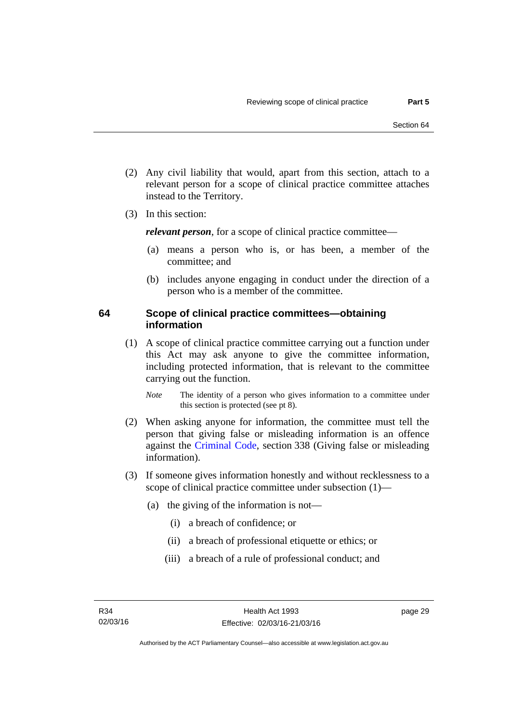- (2) Any civil liability that would, apart from this section, attach to a relevant person for a scope of clinical practice committee attaches instead to the Territory.
- (3) In this section:

*relevant person*, for a scope of clinical practice committee—

- (a) means a person who is, or has been, a member of the committee; and
- (b) includes anyone engaging in conduct under the direction of a person who is a member of the committee.

## **64 Scope of clinical practice committees—obtaining information**

 (1) A scope of clinical practice committee carrying out a function under this Act may ask anyone to give the committee information, including protected information, that is relevant to the committee carrying out the function.

*Note* The identity of a person who gives information to a committee under this section is protected (see pt 8).

- (2) When asking anyone for information, the committee must tell the person that giving false or misleading information is an offence against the [Criminal Code](http://www.legislation.act.gov.au/a/2002-51), section 338 (Giving false or misleading information).
- (3) If someone gives information honestly and without recklessness to a scope of clinical practice committee under subsection (1)—
	- (a) the giving of the information is not—
		- (i) a breach of confidence; or
		- (ii) a breach of professional etiquette or ethics; or
		- (iii) a breach of a rule of professional conduct; and

page 29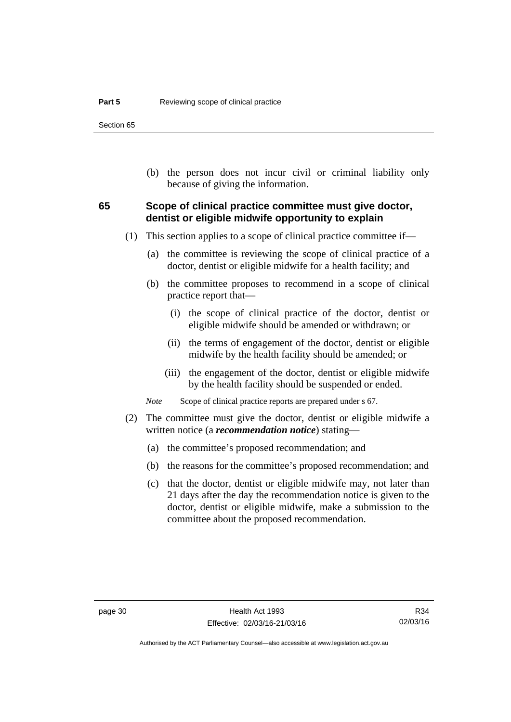Section 65

 (b) the person does not incur civil or criminal liability only because of giving the information.

# **65 Scope of clinical practice committee must give doctor, dentist or eligible midwife opportunity to explain**

- (1) This section applies to a scope of clinical practice committee if—
	- (a) the committee is reviewing the scope of clinical practice of a doctor, dentist or eligible midwife for a health facility; and
	- (b) the committee proposes to recommend in a scope of clinical practice report that—
		- (i) the scope of clinical practice of the doctor, dentist or eligible midwife should be amended or withdrawn; or
		- (ii) the terms of engagement of the doctor, dentist or eligible midwife by the health facility should be amended; or
		- (iii) the engagement of the doctor, dentist or eligible midwife by the health facility should be suspended or ended.

*Note* Scope of clinical practice reports are prepared under s 67.

- (2) The committee must give the doctor, dentist or eligible midwife a written notice (a *recommendation notice*) stating—
	- (a) the committee's proposed recommendation; and
	- (b) the reasons for the committee's proposed recommendation; and
	- (c) that the doctor, dentist or eligible midwife may, not later than 21 days after the day the recommendation notice is given to the doctor, dentist or eligible midwife, make a submission to the committee about the proposed recommendation.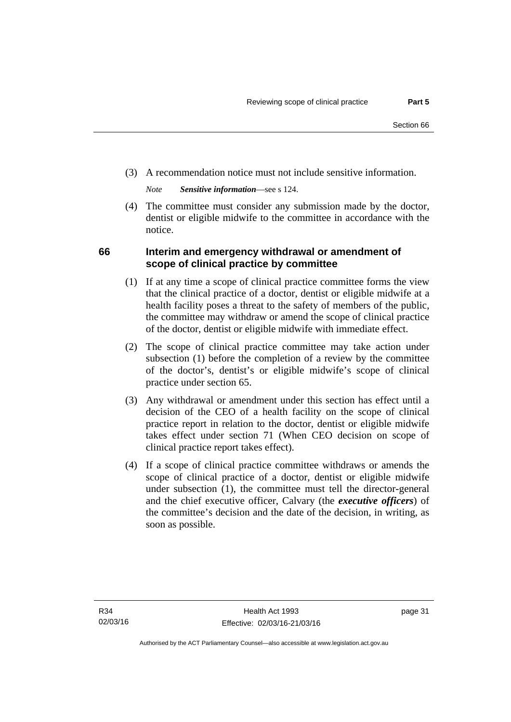(3) A recommendation notice must not include sensitive information.

*Note Sensitive information*—see s 124.

 (4) The committee must consider any submission made by the doctor, dentist or eligible midwife to the committee in accordance with the notice.

# **66 Interim and emergency withdrawal or amendment of scope of clinical practice by committee**

- (1) If at any time a scope of clinical practice committee forms the view that the clinical practice of a doctor, dentist or eligible midwife at a health facility poses a threat to the safety of members of the public, the committee may withdraw or amend the scope of clinical practice of the doctor, dentist or eligible midwife with immediate effect.
- (2) The scope of clinical practice committee may take action under subsection (1) before the completion of a review by the committee of the doctor's, dentist's or eligible midwife's scope of clinical practice under section 65.
- (3) Any withdrawal or amendment under this section has effect until a decision of the CEO of a health facility on the scope of clinical practice report in relation to the doctor, dentist or eligible midwife takes effect under section 71 (When CEO decision on scope of clinical practice report takes effect).
- (4) If a scope of clinical practice committee withdraws or amends the scope of clinical practice of a doctor, dentist or eligible midwife under subsection (1), the committee must tell the director-general and the chief executive officer, Calvary (the *executive officers*) of the committee's decision and the date of the decision, in writing, as soon as possible.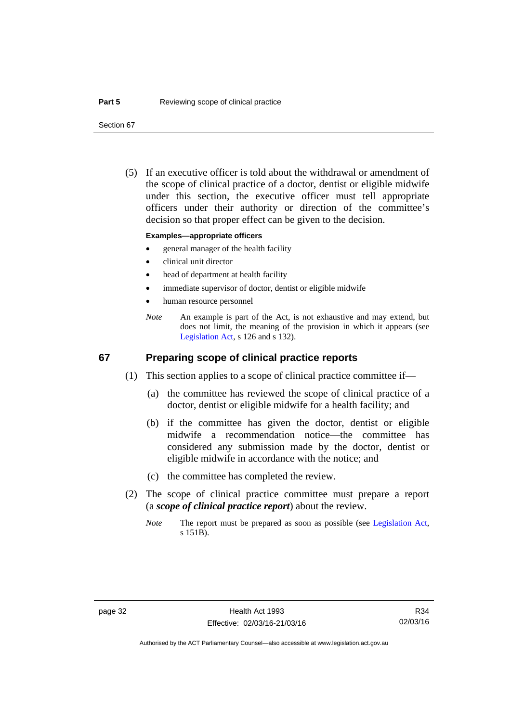Section 67

 (5) If an executive officer is told about the withdrawal or amendment of the scope of clinical practice of a doctor, dentist or eligible midwife under this section, the executive officer must tell appropriate officers under their authority or direction of the committee's decision so that proper effect can be given to the decision.

#### **Examples—appropriate officers**

- general manager of the health facility
- clinical unit director
- head of department at health facility
- immediate supervisor of doctor, dentist or eligible midwife
- human resource personnel
- *Note* An example is part of the Act, is not exhaustive and may extend, but does not limit, the meaning of the provision in which it appears (see [Legislation Act,](http://www.legislation.act.gov.au/a/2001-14) s 126 and s 132).

### **67 Preparing scope of clinical practice reports**

- (1) This section applies to a scope of clinical practice committee if—
	- (a) the committee has reviewed the scope of clinical practice of a doctor, dentist or eligible midwife for a health facility; and
	- (b) if the committee has given the doctor, dentist or eligible midwife a recommendation notice—the committee has considered any submission made by the doctor, dentist or eligible midwife in accordance with the notice; and
	- (c) the committee has completed the review.
- (2) The scope of clinical practice committee must prepare a report (a *scope of clinical practice report*) about the review.
	- *Note* The report must be prepared as soon as possible (see [Legislation Act,](http://www.legislation.act.gov.au/a/2001-14) s 151B).

R34 02/03/16

Authorised by the ACT Parliamentary Counsel—also accessible at www.legislation.act.gov.au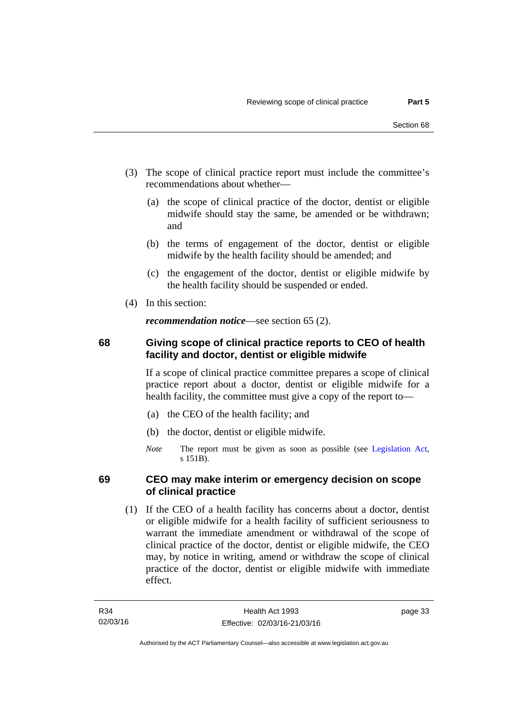- (3) The scope of clinical practice report must include the committee's recommendations about whether—
	- (a) the scope of clinical practice of the doctor, dentist or eligible midwife should stay the same, be amended or be withdrawn; and
	- (b) the terms of engagement of the doctor, dentist or eligible midwife by the health facility should be amended; and
	- (c) the engagement of the doctor, dentist or eligible midwife by the health facility should be suspended or ended.
- (4) In this section:

*recommendation notice*—see section 65 (2).

# **68 Giving scope of clinical practice reports to CEO of health facility and doctor, dentist or eligible midwife**

If a scope of clinical practice committee prepares a scope of clinical practice report about a doctor, dentist or eligible midwife for a health facility, the committee must give a copy of the report to—

- (a) the CEO of the health facility; and
- (b) the doctor, dentist or eligible midwife.
- *Note* The report must be given as soon as possible (see [Legislation Act,](http://www.legislation.act.gov.au/a/2001-14) s 151B).

# **69 CEO may make interim or emergency decision on scope of clinical practice**

 (1) If the CEO of a health facility has concerns about a doctor, dentist or eligible midwife for a health facility of sufficient seriousness to warrant the immediate amendment or withdrawal of the scope of clinical practice of the doctor, dentist or eligible midwife, the CEO may, by notice in writing, amend or withdraw the scope of clinical practice of the doctor, dentist or eligible midwife with immediate effect.

page 33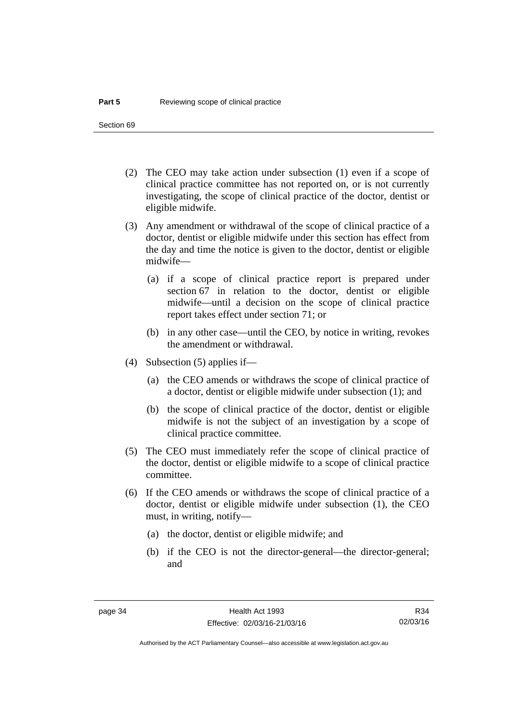Section 69

- (2) The CEO may take action under subsection (1) even if a scope of clinical practice committee has not reported on, or is not currently investigating, the scope of clinical practice of the doctor, dentist or eligible midwife.
- (3) Any amendment or withdrawal of the scope of clinical practice of a doctor, dentist or eligible midwife under this section has effect from the day and time the notice is given to the doctor, dentist or eligible midwife—
	- (a) if a scope of clinical practice report is prepared under section 67 in relation to the doctor, dentist or eligible midwife—until a decision on the scope of clinical practice report takes effect under section 71; or
	- (b) in any other case—until the CEO, by notice in writing, revokes the amendment or withdrawal.
- (4) Subsection (5) applies if—
	- (a) the CEO amends or withdraws the scope of clinical practice of a doctor, dentist or eligible midwife under subsection (1); and
	- (b) the scope of clinical practice of the doctor, dentist or eligible midwife is not the subject of an investigation by a scope of clinical practice committee.
- (5) The CEO must immediately refer the scope of clinical practice of the doctor, dentist or eligible midwife to a scope of clinical practice committee.
- (6) If the CEO amends or withdraws the scope of clinical practice of a doctor, dentist or eligible midwife under subsection (1), the CEO must, in writing, notify—
	- (a) the doctor, dentist or eligible midwife; and
	- (b) if the CEO is not the director-general—the director-general; and

Authorised by the ACT Parliamentary Counsel—also accessible at www.legislation.act.gov.au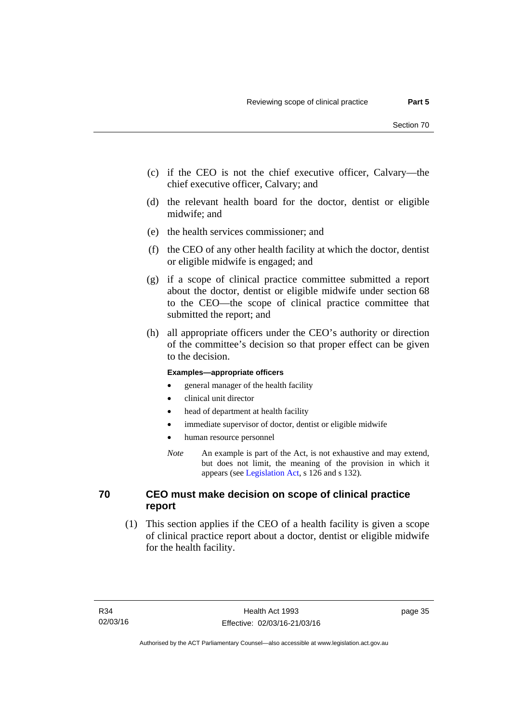- (c) if the CEO is not the chief executive officer, Calvary—the chief executive officer, Calvary; and
- (d) the relevant health board for the doctor, dentist or eligible midwife; and
- (e) the health services commissioner; and
- (f) the CEO of any other health facility at which the doctor, dentist or eligible midwife is engaged; and
- (g) if a scope of clinical practice committee submitted a report about the doctor, dentist or eligible midwife under section 68 to the CEO—the scope of clinical practice committee that submitted the report; and
- (h) all appropriate officers under the CEO's authority or direction of the committee's decision so that proper effect can be given to the decision.

#### **Examples—appropriate officers**

- general manager of the health facility
- clinical unit director
- head of department at health facility
- immediate supervisor of doctor, dentist or eligible midwife
- human resource personnel
- *Note* An example is part of the Act, is not exhaustive and may extend, but does not limit, the meaning of the provision in which it appears (see [Legislation Act,](http://www.legislation.act.gov.au/a/2001-14) s 126 and s 132).

# **70 CEO must make decision on scope of clinical practice report**

 (1) This section applies if the CEO of a health facility is given a scope of clinical practice report about a doctor, dentist or eligible midwife for the health facility.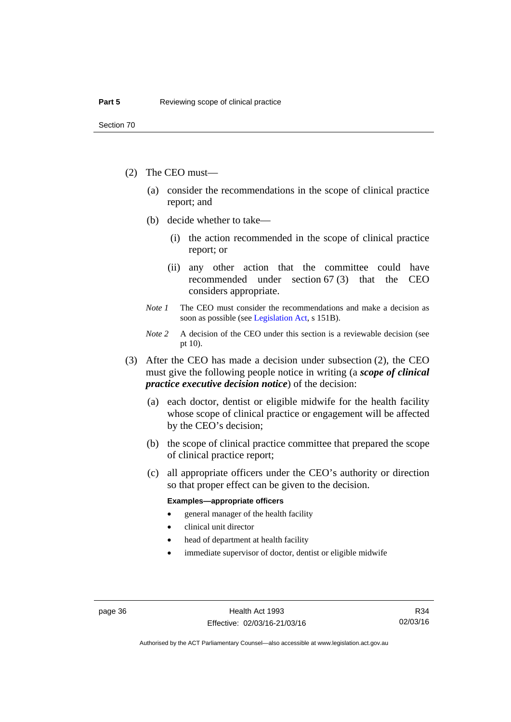- (2) The CEO must—
	- (a) consider the recommendations in the scope of clinical practice report; and
	- (b) decide whether to take—
		- (i) the action recommended in the scope of clinical practice report; or
		- (ii) any other action that the committee could have recommended under section 67 (3) that the CEO considers appropriate.
	- *Note 1* The CEO must consider the recommendations and make a decision as soon as possible (see [Legislation Act](http://www.legislation.act.gov.au/a/2001-14), s 151B).
	- *Note* 2 A decision of the CEO under this section is a reviewable decision (see pt 10).
- (3) After the CEO has made a decision under subsection (2), the CEO must give the following people notice in writing (a *scope of clinical practice executive decision notice*) of the decision:
	- (a) each doctor, dentist or eligible midwife for the health facility whose scope of clinical practice or engagement will be affected by the CEO's decision;
	- (b) the scope of clinical practice committee that prepared the scope of clinical practice report;
	- (c) all appropriate officers under the CEO's authority or direction so that proper effect can be given to the decision.

#### **Examples—appropriate officers**

- general manager of the health facility
- clinical unit director
- head of department at health facility
- immediate supervisor of doctor, dentist or eligible midwife

R34 02/03/16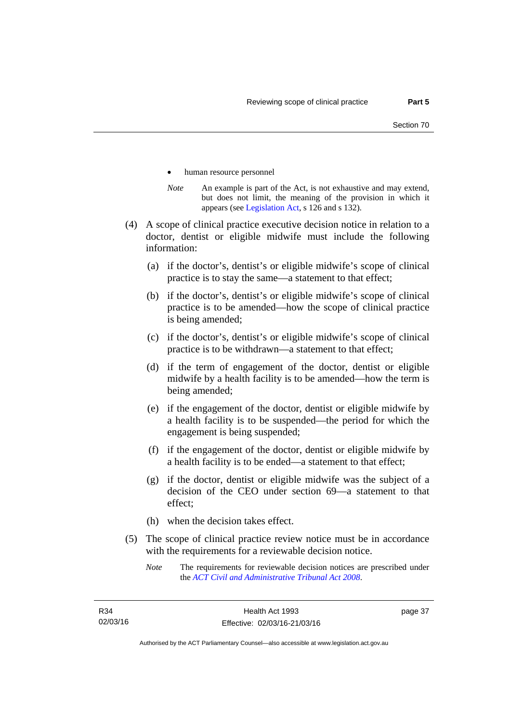- human resource personnel
- *Note* An example is part of the Act, is not exhaustive and may extend, but does not limit, the meaning of the provision in which it appears (see [Legislation Act,](http://www.legislation.act.gov.au/a/2001-14) s 126 and s 132).
- (4) A scope of clinical practice executive decision notice in relation to a doctor, dentist or eligible midwife must include the following information:
	- (a) if the doctor's, dentist's or eligible midwife's scope of clinical practice is to stay the same—a statement to that effect;
	- (b) if the doctor's, dentist's or eligible midwife's scope of clinical practice is to be amended—how the scope of clinical practice is being amended;
	- (c) if the doctor's, dentist's or eligible midwife's scope of clinical practice is to be withdrawn—a statement to that effect;
	- (d) if the term of engagement of the doctor, dentist or eligible midwife by a health facility is to be amended—how the term is being amended;
	- (e) if the engagement of the doctor, dentist or eligible midwife by a health facility is to be suspended—the period for which the engagement is being suspended;
	- (f) if the engagement of the doctor, dentist or eligible midwife by a health facility is to be ended—a statement to that effect;
	- (g) if the doctor, dentist or eligible midwife was the subject of a decision of the CEO under section 69—a statement to that effect;
	- (h) when the decision takes effect.
- (5) The scope of clinical practice review notice must be in accordance with the requirements for a reviewable decision notice.
	- *Note* The requirements for reviewable decision notices are prescribed under the *[ACT Civil and Administrative Tribunal Act 2008](http://www.legislation.act.gov.au/a/2008-35)*.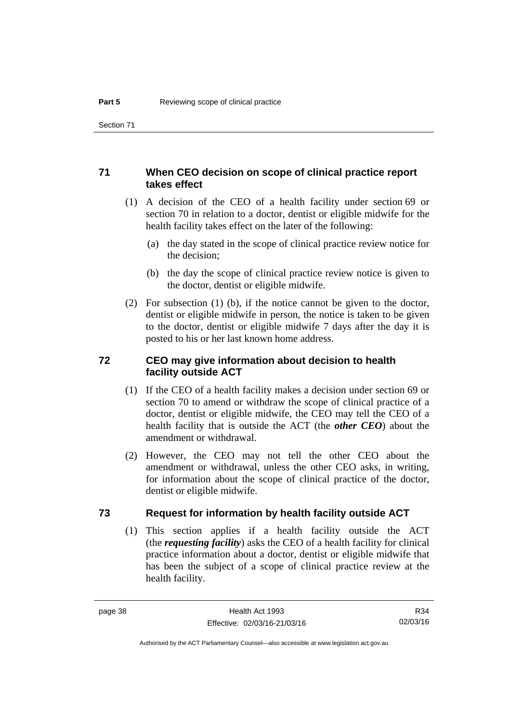# **71 When CEO decision on scope of clinical practice report takes effect**

- (1) A decision of the CEO of a health facility under section 69 or section 70 in relation to a doctor, dentist or eligible midwife for the health facility takes effect on the later of the following:
	- (a) the day stated in the scope of clinical practice review notice for the decision;
	- (b) the day the scope of clinical practice review notice is given to the doctor, dentist or eligible midwife.
- (2) For subsection (1) (b), if the notice cannot be given to the doctor, dentist or eligible midwife in person, the notice is taken to be given to the doctor, dentist or eligible midwife 7 days after the day it is posted to his or her last known home address.

# **72 CEO may give information about decision to health facility outside ACT**

- (1) If the CEO of a health facility makes a decision under section 69 or section 70 to amend or withdraw the scope of clinical practice of a doctor, dentist or eligible midwife, the CEO may tell the CEO of a health facility that is outside the ACT (the *other CEO*) about the amendment or withdrawal.
- (2) However, the CEO may not tell the other CEO about the amendment or withdrawal, unless the other CEO asks, in writing, for information about the scope of clinical practice of the doctor, dentist or eligible midwife.

### **73 Request for information by health facility outside ACT**

(1) This section applies if a health facility outside the ACT (the *requesting facility*) asks the CEO of a health facility for clinical practice information about a doctor, dentist or eligible midwife that has been the subject of a scope of clinical practice review at the health facility.

R34 02/03/16

Authorised by the ACT Parliamentary Counsel—also accessible at www.legislation.act.gov.au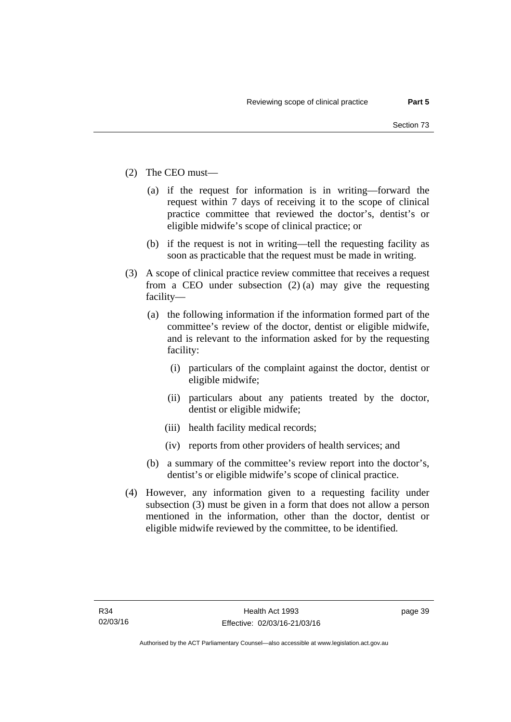- (2) The CEO must—
	- (a) if the request for information is in writing—forward the request within 7 days of receiving it to the scope of clinical practice committee that reviewed the doctor's, dentist's or eligible midwife's scope of clinical practice; or
	- (b) if the request is not in writing—tell the requesting facility as soon as practicable that the request must be made in writing.
- (3) A scope of clinical practice review committee that receives a request from a CEO under subsection (2) (a) may give the requesting facility—
	- (a) the following information if the information formed part of the committee's review of the doctor, dentist or eligible midwife, and is relevant to the information asked for by the requesting facility:
		- (i) particulars of the complaint against the doctor, dentist or eligible midwife;
		- (ii) particulars about any patients treated by the doctor, dentist or eligible midwife;
		- (iii) health facility medical records;
		- (iv) reports from other providers of health services; and
	- (b) a summary of the committee's review report into the doctor's, dentist's or eligible midwife's scope of clinical practice.
- (4) However, any information given to a requesting facility under subsection (3) must be given in a form that does not allow a person mentioned in the information, other than the doctor, dentist or eligible midwife reviewed by the committee, to be identified.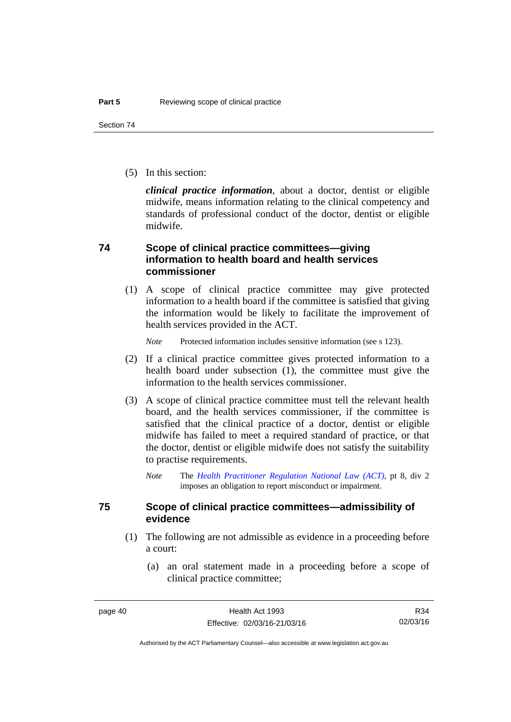(5) In this section:

*clinical practice information*, about a doctor, dentist or eligible midwife, means information relating to the clinical competency and standards of professional conduct of the doctor, dentist or eligible midwife.

# **74 Scope of clinical practice committees—giving information to health board and health services commissioner**

(1) A scope of clinical practice committee may give protected information to a health board if the committee is satisfied that giving the information would be likely to facilitate the improvement of health services provided in the ACT.

*Note* Protected information includes sensitive information (see s 123).

- (2) If a clinical practice committee gives protected information to a health board under subsection (1), the committee must give the information to the health services commissioner.
- (3) A scope of clinical practice committee must tell the relevant health board, and the health services commissioner, if the committee is satisfied that the clinical practice of a doctor, dentist or eligible midwife has failed to meet a required standard of practice, or that the doctor, dentist or eligible midwife does not satisfy the suitability to practise requirements.
	- *Note* The *[Health Practitioner Regulation National Law \(ACT\)](http://www.legislation.act.gov.au/a/db_39269/default.asp)*, pt 8, div 2 imposes an obligation to report misconduct or impairment.

# **75 Scope of clinical practice committees—admissibility of evidence**

- (1) The following are not admissible as evidence in a proceeding before a court:
	- (a) an oral statement made in a proceeding before a scope of clinical practice committee;

R34 02/03/16

Authorised by the ACT Parliamentary Counsel—also accessible at www.legislation.act.gov.au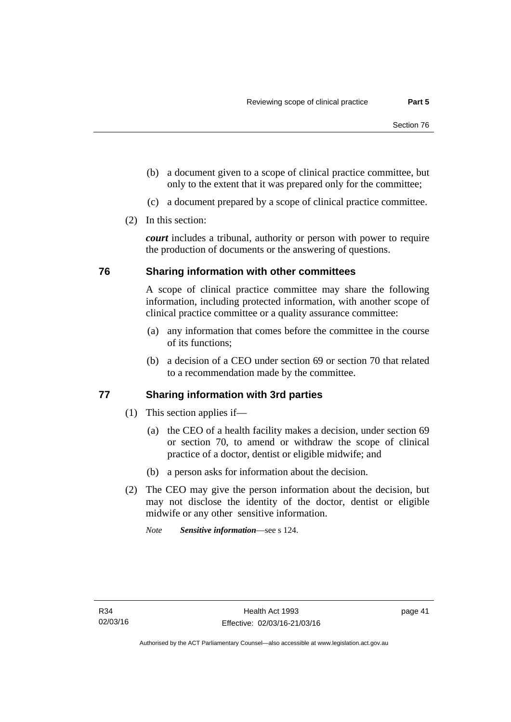- (b) a document given to a scope of clinical practice committee, but only to the extent that it was prepared only for the committee;
- (c) a document prepared by a scope of clinical practice committee.
- (2) In this section:

*court* includes a tribunal, authority or person with power to require the production of documents or the answering of questions.

### **76 Sharing information with other committees**

A scope of clinical practice committee may share the following information, including protected information, with another scope of clinical practice committee or a quality assurance committee:

- (a) any information that comes before the committee in the course of its functions;
- (b) a decision of a CEO under section 69 or section 70 that related to a recommendation made by the committee.

### **77 Sharing information with 3rd parties**

- (1) This section applies if—
	- (a) the CEO of a health facility makes a decision, under section 69 or section 70, to amend or withdraw the scope of clinical practice of a doctor, dentist or eligible midwife; and
	- (b) a person asks for information about the decision.
- (2) The CEO may give the person information about the decision, but may not disclose the identity of the doctor, dentist or eligible midwife or any other sensitive information.

*Note Sensitive information*—see s 124.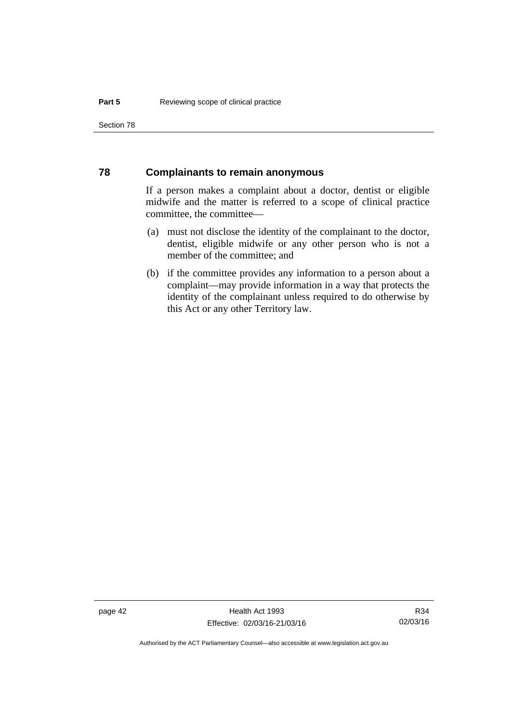Section 78

### **78 Complainants to remain anonymous**

If a person makes a complaint about a doctor, dentist or eligible midwife and the matter is referred to a scope of clinical practice committee, the committee—

- (a) must not disclose the identity of the complainant to the doctor, dentist, eligible midwife or any other person who is not a member of the committee; and
- (b) if the committee provides any information to a person about a complaint—may provide information in a way that protects the identity of the complainant unless required to do otherwise by this Act or any other Territory law.

R34 02/03/16

Authorised by the ACT Parliamentary Counsel—also accessible at www.legislation.act.gov.au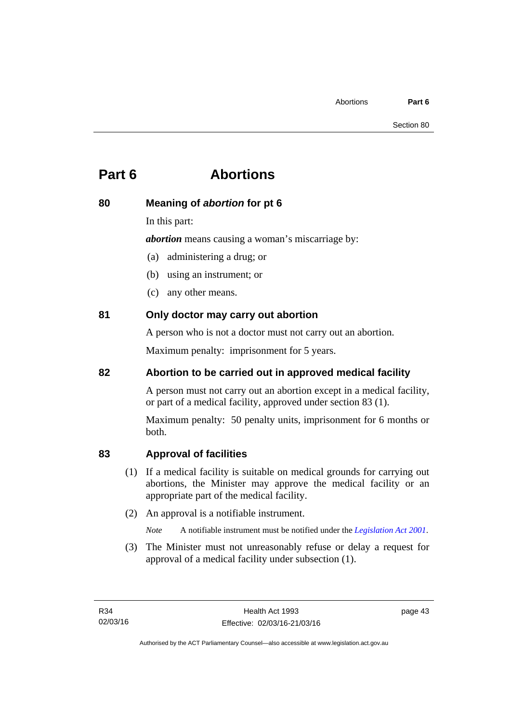# **Part 6 Abortions**

# **80 Meaning of** *abortion* **for pt 6**

In this part:

*abortion* means causing a woman's miscarriage by:

(a) administering a drug; or

- (b) using an instrument; or
- (c) any other means.

# **81 Only doctor may carry out abortion**

A person who is not a doctor must not carry out an abortion.

Maximum penalty: imprisonment for 5 years.

# **82 Abortion to be carried out in approved medical facility**

A person must not carry out an abortion except in a medical facility, or part of a medical facility, approved under section 83 (1).

Maximum penalty: 50 penalty units, imprisonment for 6 months or both.

# **83 Approval of facilities**

- (1) If a medical facility is suitable on medical grounds for carrying out abortions, the Minister may approve the medical facility or an appropriate part of the medical facility.
- (2) An approval is a notifiable instrument.

*Note* A notifiable instrument must be notified under the *[Legislation Act 2001](http://www.legislation.act.gov.au/a/2001-14)*.

 (3) The Minister must not unreasonably refuse or delay a request for approval of a medical facility under subsection (1).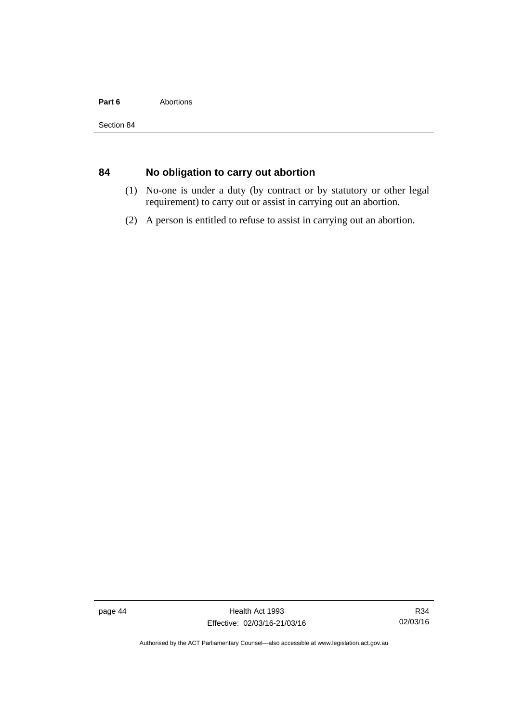#### Part 6 **Abortions**

# **84 No obligation to carry out abortion**

- (1) No-one is under a duty (by contract or by statutory or other legal requirement) to carry out or assist in carrying out an abortion.
- (2) A person is entitled to refuse to assist in carrying out an abortion.

page 44 Health Act 1993 Effective: 02/03/16-21/03/16

Authorised by the ACT Parliamentary Counsel—also accessible at www.legislation.act.gov.au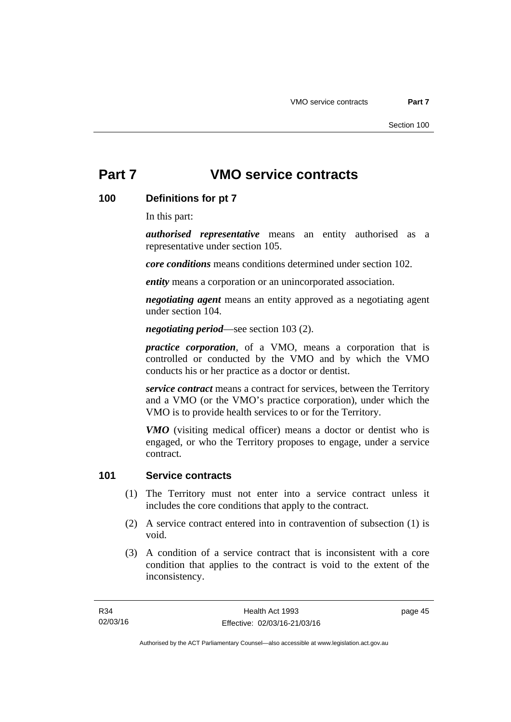# **Part 7 VMO service contracts**

# **100 Definitions for pt 7**

In this part:

*authorised representative* means an entity authorised as a representative under section 105.

*core conditions* means conditions determined under section 102.

*entity* means a corporation or an unincorporated association.

*negotiating agent* means an entity approved as a negotiating agent under section 104.

*negotiating period*—see section 103 (2).

*practice corporation*, of a VMO, means a corporation that is controlled or conducted by the VMO and by which the VMO conducts his or her practice as a doctor or dentist.

*service contract* means a contract for services, between the Territory and a VMO (or the VMO's practice corporation), under which the VMO is to provide health services to or for the Territory.

*VMO* (visiting medical officer) means a doctor or dentist who is engaged, or who the Territory proposes to engage, under a service contract.

# **101 Service contracts**

- (1) The Territory must not enter into a service contract unless it includes the core conditions that apply to the contract.
- (2) A service contract entered into in contravention of subsection (1) is void.
- (3) A condition of a service contract that is inconsistent with a core condition that applies to the contract is void to the extent of the inconsistency.

page 45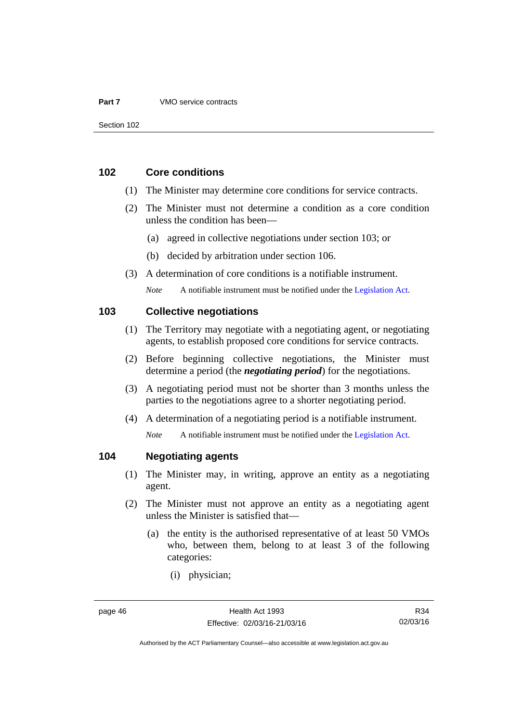#### **Part 7** VMO service contracts

### **102 Core conditions**

- (1) The Minister may determine core conditions for service contracts.
- (2) The Minister must not determine a condition as a core condition unless the condition has been—
	- (a) agreed in collective negotiations under section 103; or
	- (b) decided by arbitration under section 106.
- (3) A determination of core conditions is a notifiable instrument.

*Note* A notifiable instrument must be notified under the [Legislation Act](http://www.legislation.act.gov.au/a/2001-14).

### **103 Collective negotiations**

- (1) The Territory may negotiate with a negotiating agent, or negotiating agents, to establish proposed core conditions for service contracts.
- (2) Before beginning collective negotiations, the Minister must determine a period (the *negotiating period*) for the negotiations.
- (3) A negotiating period must not be shorter than 3 months unless the parties to the negotiations agree to a shorter negotiating period.
- (4) A determination of a negotiating period is a notifiable instrument.

*Note* A notifiable instrument must be notified under the [Legislation Act](http://www.legislation.act.gov.au/a/2001-14).

# **104 Negotiating agents**

- (1) The Minister may, in writing, approve an entity as a negotiating agent.
- (2) The Minister must not approve an entity as a negotiating agent unless the Minister is satisfied that—
	- (a) the entity is the authorised representative of at least 50 VMOs who, between them, belong to at least 3 of the following categories:
		- (i) physician;

Authorised by the ACT Parliamentary Counsel—also accessible at www.legislation.act.gov.au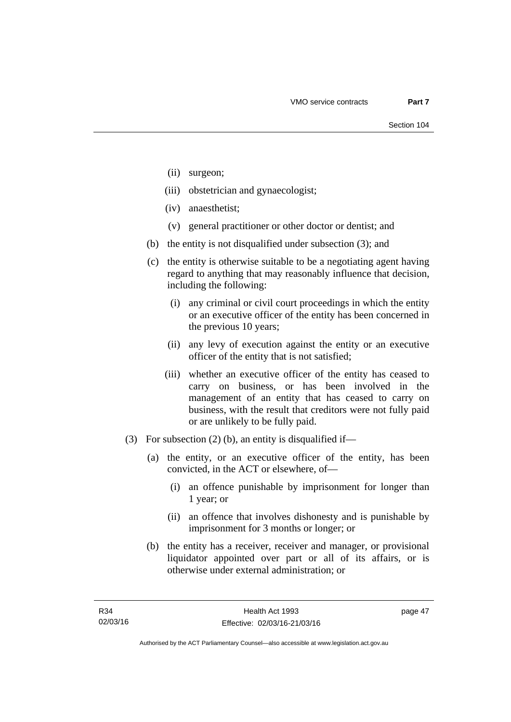- (ii) surgeon;
- (iii) obstetrician and gynaecologist;
- (iv) anaesthetist;
- (v) general practitioner or other doctor or dentist; and
- (b) the entity is not disqualified under subsection (3); and
- (c) the entity is otherwise suitable to be a negotiating agent having regard to anything that may reasonably influence that decision, including the following:
	- (i) any criminal or civil court proceedings in which the entity or an executive officer of the entity has been concerned in the previous 10 years;
	- (ii) any levy of execution against the entity or an executive officer of the entity that is not satisfied;
	- (iii) whether an executive officer of the entity has ceased to carry on business, or has been involved in the management of an entity that has ceased to carry on business, with the result that creditors were not fully paid or are unlikely to be fully paid.
- (3) For subsection (2) (b), an entity is disqualified if—
	- (a) the entity, or an executive officer of the entity, has been convicted, in the ACT or elsewhere, of—
		- (i) an offence punishable by imprisonment for longer than 1 year; or
		- (ii) an offence that involves dishonesty and is punishable by imprisonment for 3 months or longer; or
	- (b) the entity has a receiver, receiver and manager, or provisional liquidator appointed over part or all of its affairs, or is otherwise under external administration; or

page 47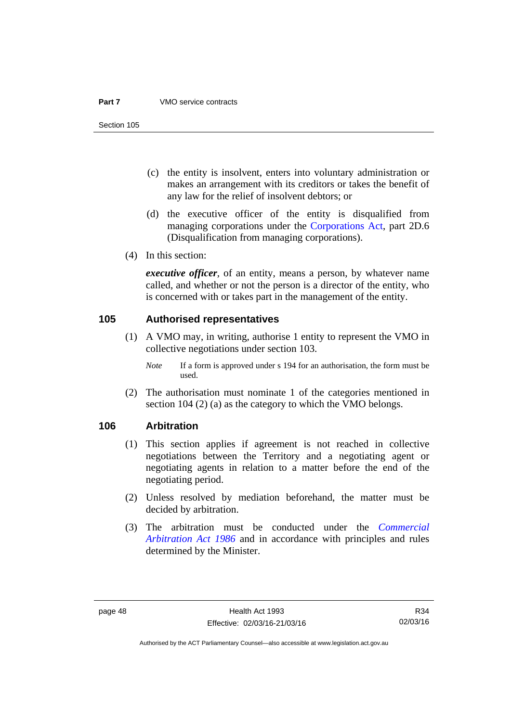#### **Part 7** VMO service contracts

Section 105

- (c) the entity is insolvent, enters into voluntary administration or makes an arrangement with its creditors or takes the benefit of any law for the relief of insolvent debtors; or
- (d) the executive officer of the entity is disqualified from managing corporations under the [Corporations Act](http://www.comlaw.gov.au/Series/C2004A00818), part 2D.6 (Disqualification from managing corporations).
- (4) In this section:

*executive officer*, of an entity, means a person, by whatever name called, and whether or not the person is a director of the entity, who is concerned with or takes part in the management of the entity.

### **105 Authorised representatives**

- (1) A VMO may, in writing, authorise 1 entity to represent the VMO in collective negotiations under section 103.
	- *Note* If a form is approved under s 194 for an authorisation, the form must be used.
- (2) The authorisation must nominate 1 of the categories mentioned in section 104 (2) (a) as the category to which the VMO belongs.

### **106 Arbitration**

- (1) This section applies if agreement is not reached in collective negotiations between the Territory and a negotiating agent or negotiating agents in relation to a matter before the end of the negotiating period.
- (2) Unless resolved by mediation beforehand, the matter must be decided by arbitration.
- (3) The arbitration must be conducted under the *[Commercial](http://www.legislation.act.gov.au/a/1986-84)  [Arbitration Act 1986](http://www.legislation.act.gov.au/a/1986-84)* and in accordance with principles and rules determined by the Minister.

Authorised by the ACT Parliamentary Counsel—also accessible at www.legislation.act.gov.au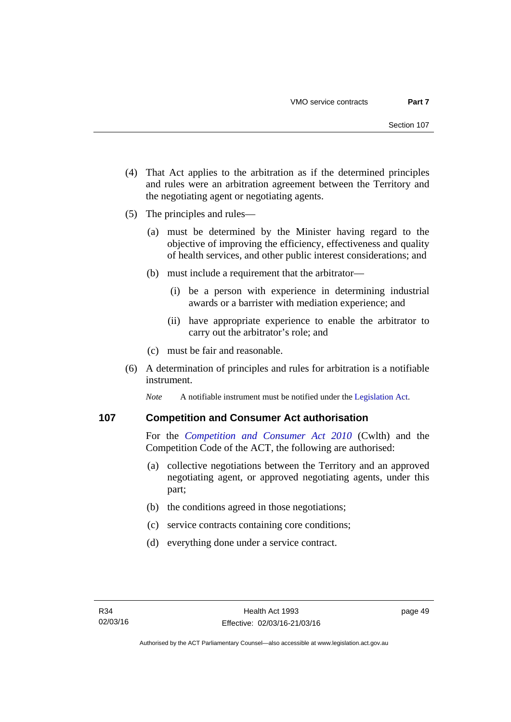- (4) That Act applies to the arbitration as if the determined principles and rules were an arbitration agreement between the Territory and the negotiating agent or negotiating agents.
- (5) The principles and rules—
	- (a) must be determined by the Minister having regard to the objective of improving the efficiency, effectiveness and quality of health services, and other public interest considerations; and
	- (b) must include a requirement that the arbitrator—
		- (i) be a person with experience in determining industrial awards or a barrister with mediation experience; and
		- (ii) have appropriate experience to enable the arbitrator to carry out the arbitrator's role; and
	- (c) must be fair and reasonable.
- (6) A determination of principles and rules for arbitration is a notifiable instrument.

*Note* A notifiable instrument must be notified under the [Legislation Act](http://www.legislation.act.gov.au/a/2001-14).

### **107 Competition and Consumer Act authorisation**

For the *[Competition and Consumer Act 2010](http://www.comlaw.gov.au/Details/C2013C00004)* (Cwlth) and the Competition Code of the ACT, the following are authorised:

- (a) collective negotiations between the Territory and an approved negotiating agent, or approved negotiating agents, under this part;
- (b) the conditions agreed in those negotiations;
- (c) service contracts containing core conditions;
- (d) everything done under a service contract.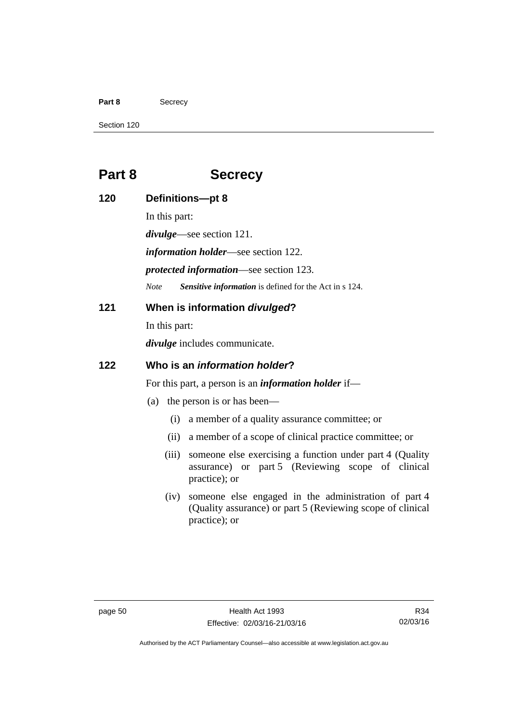#### Part 8 **Secrecy**

Section 120

# **Part 8 Secrecy**

**120 Definitions—pt 8**  In this part: *divulge*—see section 121. *information holder*—see section 122. *protected information*—see section 123. *Note Sensitive information* is defined for the Act in s 124. **121 When is information** *divulged***?**  In this part: *divulge* includes communicate. **122 Who is an** *information holder***?**  For this part, a person is an *information holder* if— (a) the person is or has been— (i) a member of a quality assurance committee; or (ii) a member of a scope of clinical practice committee; or (iii) someone else exercising a function under part 4 (Quality assurance) or part 5 (Reviewing scope of clinical practice); or

(iv) someone else engaged in the administration of part 4 (Quality assurance) or part 5 (Reviewing scope of clinical practice); or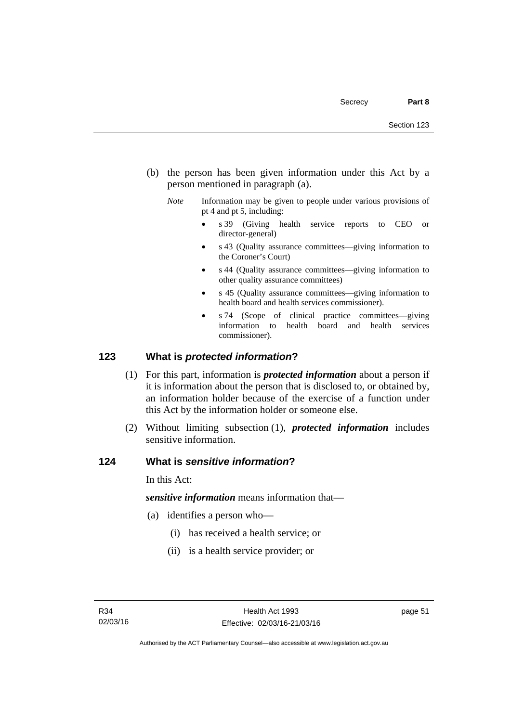- (b) the person has been given information under this Act by a person mentioned in paragraph (a).
	- *Note* Information may be given to people under various provisions of pt 4 and pt 5, including:
		- s 39 (Giving health service reports to CEO or director-general)
		- s 43 (Quality assurance committees—giving information to the Coroner's Court)
		- s 44 (Quality assurance committees—giving information to other quality assurance committees)
		- s 45 (Quality assurance committees—giving information to health board and health services commissioner).
		- s 74 (Scope of clinical practice committees—giving information to health board and health services commissioner).

### **123 What is** *protected information***?**

- (1) For this part, information is *protected information* about a person if it is information about the person that is disclosed to, or obtained by, an information holder because of the exercise of a function under this Act by the information holder or someone else.
- (2) Without limiting subsection (1), *protected information* includes sensitive information.

### **124 What is** *sensitive information***?**

In this Act:

*sensitive information* means information that—

- (a) identifies a person who—
	- (i) has received a health service; or
	- (ii) is a health service provider; or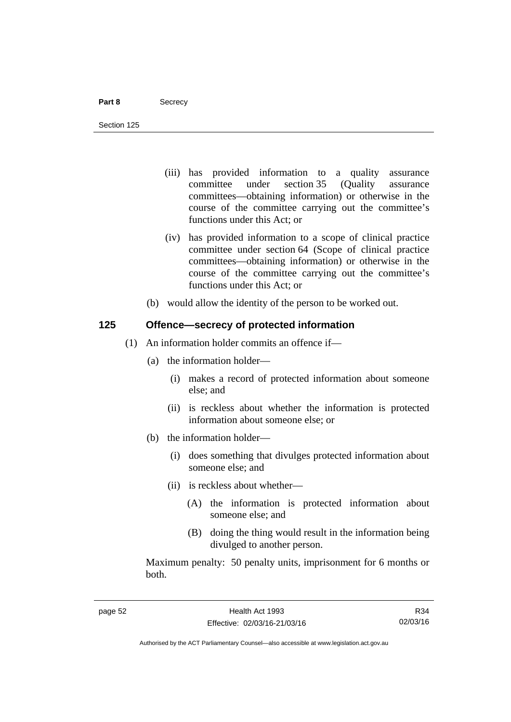#### Part 8 **Secrecy**

Section 125

- (iii) has provided information to a quality assurance committee under section 35 (Quality assurance committees—obtaining information) or otherwise in the course of the committee carrying out the committee's functions under this Act; or
- (iv) has provided information to a scope of clinical practice committee under section 64 (Scope of clinical practice committees—obtaining information) or otherwise in the course of the committee carrying out the committee's functions under this Act; or
- (b) would allow the identity of the person to be worked out.

### **125 Offence—secrecy of protected information**

- (1) An information holder commits an offence if—
	- (a) the information holder—
		- (i) makes a record of protected information about someone else; and
		- (ii) is reckless about whether the information is protected information about someone else; or
	- (b) the information holder—
		- (i) does something that divulges protected information about someone else; and
		- (ii) is reckless about whether—
			- (A) the information is protected information about someone else; and
			- (B) doing the thing would result in the information being divulged to another person.

Maximum penalty: 50 penalty units, imprisonment for 6 months or both.

R34 02/03/16

Authorised by the ACT Parliamentary Counsel—also accessible at www.legislation.act.gov.au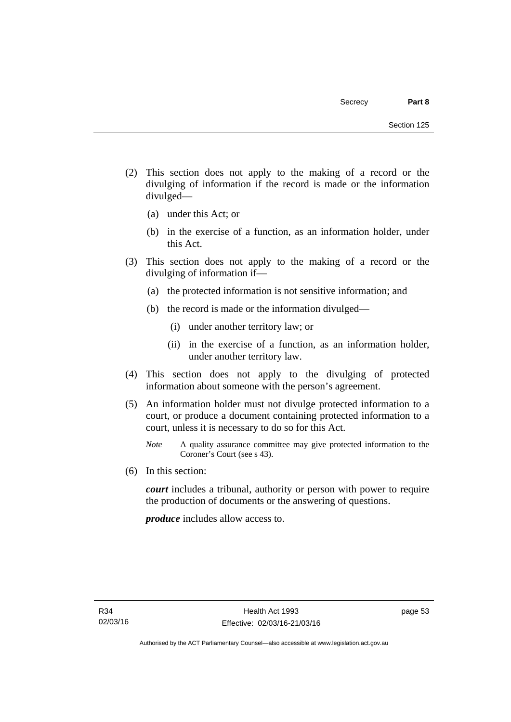- (2) This section does not apply to the making of a record or the divulging of information if the record is made or the information divulged—
	- (a) under this Act; or
	- (b) in the exercise of a function, as an information holder, under this Act.
- (3) This section does not apply to the making of a record or the divulging of information if—
	- (a) the protected information is not sensitive information; and
	- (b) the record is made or the information divulged—
		- (i) under another territory law; or
		- (ii) in the exercise of a function, as an information holder, under another territory law.
- (4) This section does not apply to the divulging of protected information about someone with the person's agreement.
- (5) An information holder must not divulge protected information to a court, or produce a document containing protected information to a court, unless it is necessary to do so for this Act.
	- *Note* A quality assurance committee may give protected information to the Coroner's Court (see s 43).
- (6) In this section:

*court* includes a tribunal, authority or person with power to require the production of documents or the answering of questions.

*produce* includes allow access to.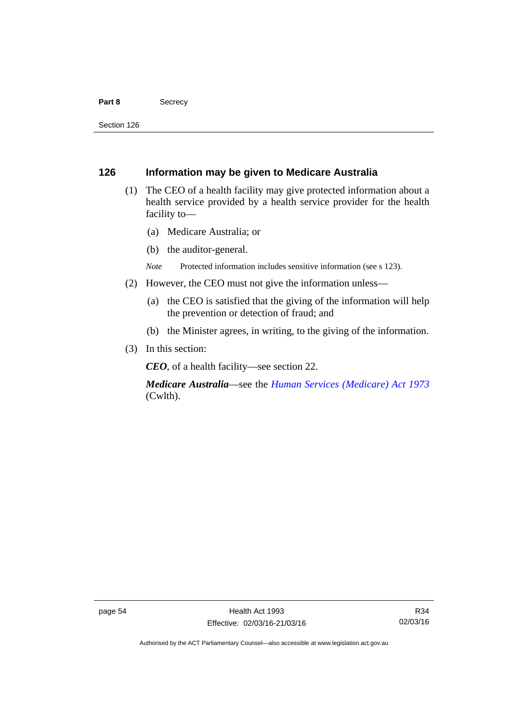#### Part 8 **Secrecy**

Section 126

### **126 Information may be given to Medicare Australia**

- (1) The CEO of a health facility may give protected information about a health service provided by a health service provider for the health facility to—
	- (a) Medicare Australia; or
	- (b) the auditor-general.
	- *Note* Protected information includes sensitive information (see s 123).
- (2) However, the CEO must not give the information unless—
	- (a) the CEO is satisfied that the giving of the information will help the prevention or detection of fraud; and
	- (b) the Minister agrees, in writing, to the giving of the information.
- (3) In this section:

*CEO*, of a health facility—see section 22.

*Medicare Australia*—see the *[Human Services \(Medicare\) Act 1973](http://www.comlaw.gov.au/Details/C2012C00755)*  (Cwlth).

Authorised by the ACT Parliamentary Counsel—also accessible at www.legislation.act.gov.au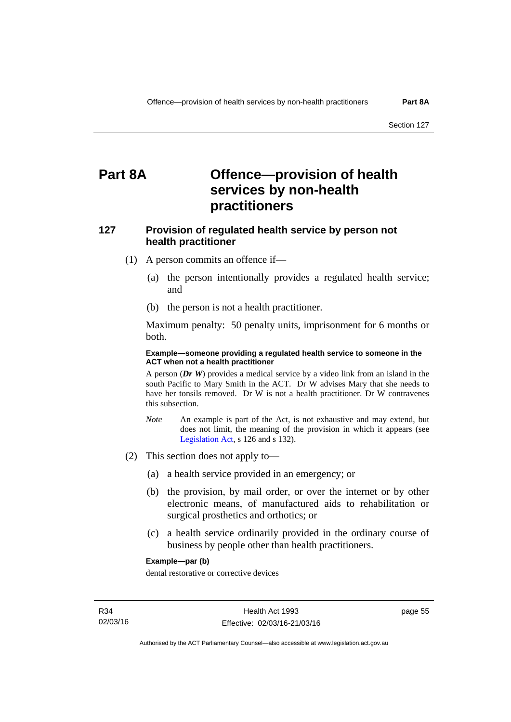# **Part 8A Offence—provision of health services by non-health practitioners**

# **127 Provision of regulated health service by person not health practitioner**

- (1) A person commits an offence if—
	- (a) the person intentionally provides a regulated health service; and
	- (b) the person is not a health practitioner.

Maximum penalty: 50 penalty units, imprisonment for 6 months or both.

#### **Example—someone providing a regulated health service to someone in the ACT when not a health practitioner**

A person (*Dr W*) provides a medical service by a video link from an island in the south Pacific to Mary Smith in the ACT. Dr W advises Mary that she needs to have her tonsils removed. Dr W is not a health practitioner. Dr W contravenes this subsection.

- *Note* An example is part of the Act, is not exhaustive and may extend, but does not limit, the meaning of the provision in which it appears (see [Legislation Act,](http://www.legislation.act.gov.au/a/2001-14) s 126 and s 132).
- (2) This section does not apply to—
	- (a) a health service provided in an emergency; or
	- (b) the provision, by mail order, or over the internet or by other electronic means, of manufactured aids to rehabilitation or surgical prosthetics and orthotics; or
	- (c) a health service ordinarily provided in the ordinary course of business by people other than health practitioners.

#### **Example—par (b)**

dental restorative or corrective devices

page 55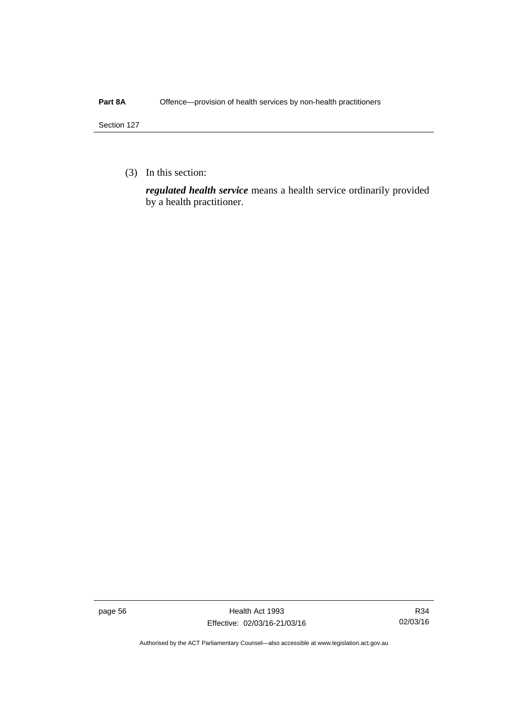### Part 8A Offence—provision of health services by non-health practitioners

Section 127

(3) In this section:

*regulated health service* means a health service ordinarily provided by a health practitioner.

page 56 Health Act 1993 Effective: 02/03/16-21/03/16

R34 02/03/16

Authorised by the ACT Parliamentary Counsel—also accessible at www.legislation.act.gov.au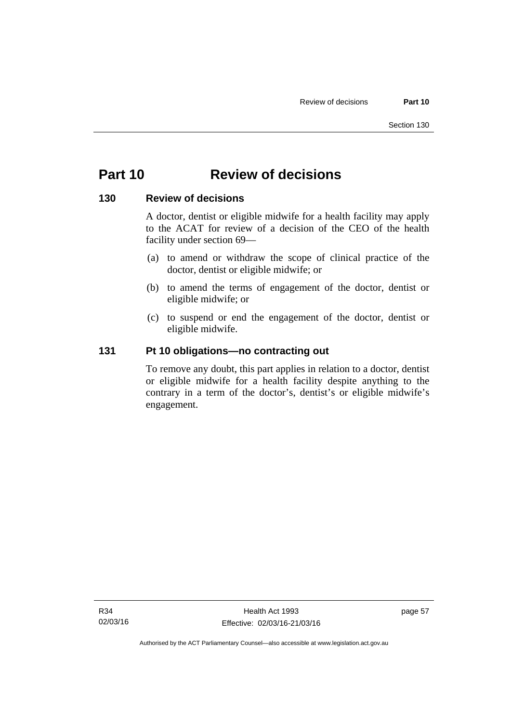# **Part 10 Review of decisions**

### **130 Review of decisions**

A doctor, dentist or eligible midwife for a health facility may apply to the ACAT for review of a decision of the CEO of the health facility under section 69—

- (a) to amend or withdraw the scope of clinical practice of the doctor, dentist or eligible midwife; or
- (b) to amend the terms of engagement of the doctor, dentist or eligible midwife; or
- (c) to suspend or end the engagement of the doctor, dentist or eligible midwife.

# **131 Pt 10 obligations—no contracting out**

To remove any doubt, this part applies in relation to a doctor, dentist or eligible midwife for a health facility despite anything to the contrary in a term of the doctor's, dentist's or eligible midwife's engagement.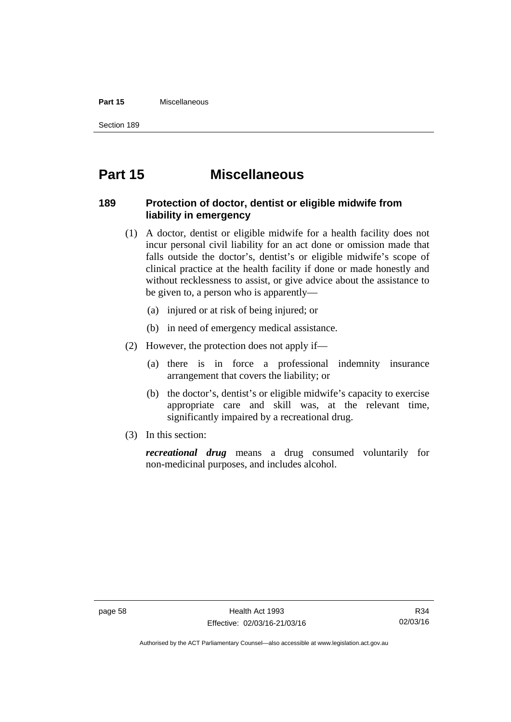#### **Part 15** Miscellaneous

Section 189

# **Part 15 Miscellaneous**

# **189 Protection of doctor, dentist or eligible midwife from liability in emergency**

- (1) A doctor, dentist or eligible midwife for a health facility does not incur personal civil liability for an act done or omission made that falls outside the doctor's, dentist's or eligible midwife's scope of clinical practice at the health facility if done or made honestly and without recklessness to assist, or give advice about the assistance to be given to, a person who is apparently—
	- (a) injured or at risk of being injured; or
	- (b) in need of emergency medical assistance.
- (2) However, the protection does not apply if—
	- (a) there is in force a professional indemnity insurance arrangement that covers the liability; or
	- (b) the doctor's, dentist's or eligible midwife's capacity to exercise appropriate care and skill was, at the relevant time, significantly impaired by a recreational drug.
- (3) In this section:

*recreational drug* means a drug consumed voluntarily for non-medicinal purposes, and includes alcohol.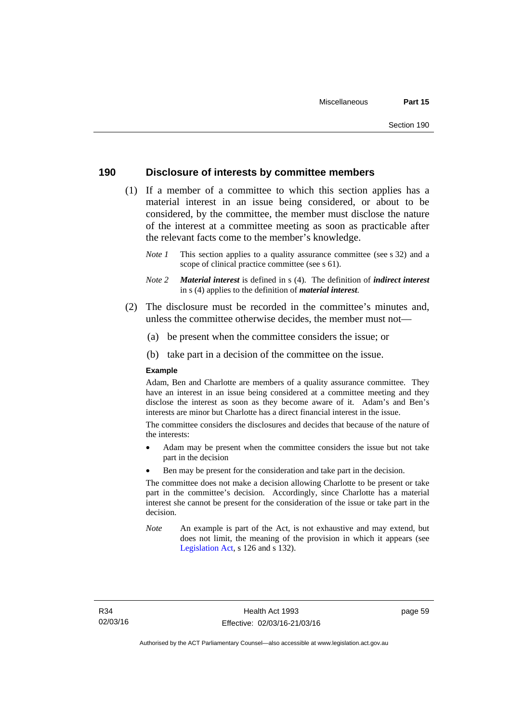### **190 Disclosure of interests by committee members**

- (1) If a member of a committee to which this section applies has a material interest in an issue being considered, or about to be considered, by the committee, the member must disclose the nature of the interest at a committee meeting as soon as practicable after the relevant facts come to the member's knowledge.
	- *Note 1* This section applies to a quality assurance committee (see s 32) and a scope of clinical practice committee (see s 61).
	- *Note 2 Material interest* is defined in s (4). The definition of *indirect interest* in s (4) applies to the definition of *material interest*.
- (2) The disclosure must be recorded in the committee's minutes and, unless the committee otherwise decides, the member must not—
	- (a) be present when the committee considers the issue; or
	- (b) take part in a decision of the committee on the issue.

#### **Example**

Adam, Ben and Charlotte are members of a quality assurance committee. They have an interest in an issue being considered at a committee meeting and they disclose the interest as soon as they become aware of it. Adam's and Ben's interests are minor but Charlotte has a direct financial interest in the issue.

The committee considers the disclosures and decides that because of the nature of the interests:

- Adam may be present when the committee considers the issue but not take part in the decision
- Ben may be present for the consideration and take part in the decision.

The committee does not make a decision allowing Charlotte to be present or take part in the committee's decision. Accordingly, since Charlotte has a material interest she cannot be present for the consideration of the issue or take part in the decision.

*Note* An example is part of the Act, is not exhaustive and may extend, but does not limit, the meaning of the provision in which it appears (see [Legislation Act,](http://www.legislation.act.gov.au/a/2001-14) s 126 and s 132).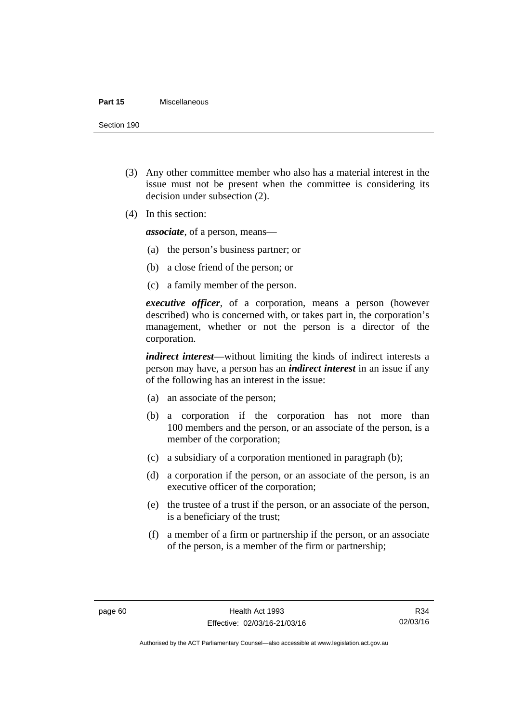#### **Part 15** Miscellaneous

Section 190

- (3) Any other committee member who also has a material interest in the issue must not be present when the committee is considering its decision under subsection (2).
- (4) In this section:

*associate*, of a person, means—

- (a) the person's business partner; or
- (b) a close friend of the person; or
- (c) a family member of the person.

*executive officer*, of a corporation, means a person (however described) who is concerned with, or takes part in, the corporation's management, whether or not the person is a director of the corporation.

*indirect interest*—without limiting the kinds of indirect interests a person may have, a person has an *indirect interest* in an issue if any of the following has an interest in the issue:

- (a) an associate of the person;
- (b) a corporation if the corporation has not more than 100 members and the person, or an associate of the person, is a member of the corporation;
- (c) a subsidiary of a corporation mentioned in paragraph (b);
- (d) a corporation if the person, or an associate of the person, is an executive officer of the corporation;
- (e) the trustee of a trust if the person, or an associate of the person, is a beneficiary of the trust;
- (f) a member of a firm or partnership if the person, or an associate of the person, is a member of the firm or partnership;

Authorised by the ACT Parliamentary Counsel—also accessible at www.legislation.act.gov.au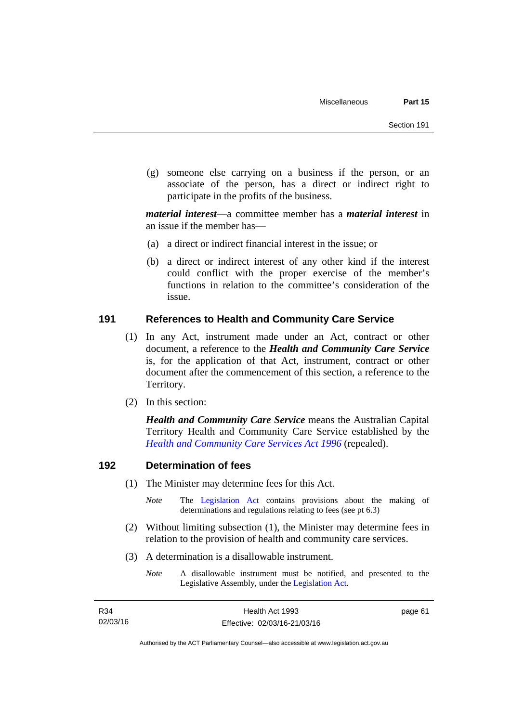(g) someone else carrying on a business if the person, or an associate of the person, has a direct or indirect right to participate in the profits of the business.

*material interest*—a committee member has a *material interest* in an issue if the member has—

- (a) a direct or indirect financial interest in the issue; or
- (b) a direct or indirect interest of any other kind if the interest could conflict with the proper exercise of the member's functions in relation to the committee's consideration of the issue.

### **191 References to Health and Community Care Service**

- (1) In any Act, instrument made under an Act, contract or other document, a reference to the *Health and Community Care Service* is, for the application of that Act, instrument, contract or other document after the commencement of this section, a reference to the Territory.
- (2) In this section:

*Health and Community Care Service* means the Australian Capital Territory Health and Community Care Service established by the *[Health and Community Care Services Act 1996](http://www.legislation.act.gov.au/a/1996-34)* (repealed).

# **192 Determination of fees**

- (1) The Minister may determine fees for this Act.
	- *Note* The [Legislation Act](http://www.legislation.act.gov.au/a/2001-14) contains provisions about the making of determinations and regulations relating to fees (see pt 6.3)
- (2) Without limiting subsection (1), the Minister may determine fees in relation to the provision of health and community care services.
- (3) A determination is a disallowable instrument.
	- *Note* A disallowable instrument must be notified, and presented to the Legislative Assembly, under the [Legislation Act.](http://www.legislation.act.gov.au/a/2001-14)

page 61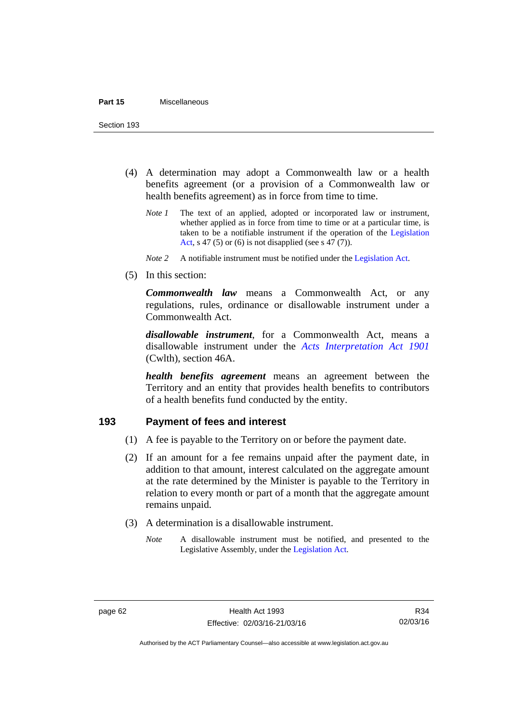Section 193

- (4) A determination may adopt a Commonwealth law or a health benefits agreement (or a provision of a Commonwealth law or health benefits agreement) as in force from time to time.
	- *Note 1* The text of an applied, adopted or incorporated law or instrument, whether applied as in force from time to time or at a particular time, is taken to be a notifiable instrument if the operation of the [Legislation](http://www.legislation.act.gov.au/a/2001-14)  [Act](http://www.legislation.act.gov.au/a/2001-14), s 47 (5) or (6) is not disapplied (see s 47 (7)).
	- *Note 2* A notifiable instrument must be notified under the [Legislation Act](http://www.legislation.act.gov.au/a/2001-14).
- (5) In this section:

*Commonwealth law* means a Commonwealth Act, or any regulations, rules, ordinance or disallowable instrument under a Commonwealth Act.

*disallowable instrument*, for a Commonwealth Act, means a disallowable instrument under the *[Acts Interpretation Act 1901](http://www.comlaw.gov.au/Details/C2012C00001)* (Cwlth), section 46A.

*health benefits agreement* means an agreement between the Territory and an entity that provides health benefits to contributors of a health benefits fund conducted by the entity.

### **193 Payment of fees and interest**

- (1) A fee is payable to the Territory on or before the payment date.
- (2) If an amount for a fee remains unpaid after the payment date, in addition to that amount, interest calculated on the aggregate amount at the rate determined by the Minister is payable to the Territory in relation to every month or part of a month that the aggregate amount remains unpaid.
- (3) A determination is a disallowable instrument.
	- *Note* A disallowable instrument must be notified, and presented to the Legislative Assembly, under the [Legislation Act.](http://www.legislation.act.gov.au/a/2001-14)

Authorised by the ACT Parliamentary Counsel—also accessible at www.legislation.act.gov.au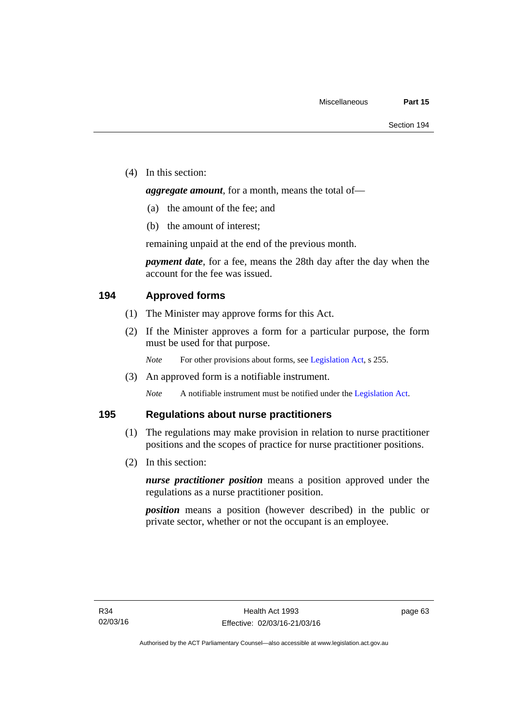(4) In this section:

*aggregate amount*, for a month, means the total of—

- (a) the amount of the fee; and
- (b) the amount of interest;

remaining unpaid at the end of the previous month.

*payment date*, for a fee, means the 28th day after the day when the account for the fee was issued.

### **194 Approved forms**

- (1) The Minister may approve forms for this Act.
- (2) If the Minister approves a form for a particular purpose, the form must be used for that purpose.

*Note* For other provisions about forms, see [Legislation Act,](http://www.legislation.act.gov.au/a/2001-14) s 255.

(3) An approved form is a notifiable instrument.

*Note* A notifiable instrument must be notified under the [Legislation Act](http://www.legislation.act.gov.au/a/2001-14).

### **195 Regulations about nurse practitioners**

- (1) The regulations may make provision in relation to nurse practitioner positions and the scopes of practice for nurse practitioner positions.
- (2) In this section:

*nurse practitioner position* means a position approved under the regulations as a nurse practitioner position.

*position* means a position (however described) in the public or private sector, whether or not the occupant is an employee.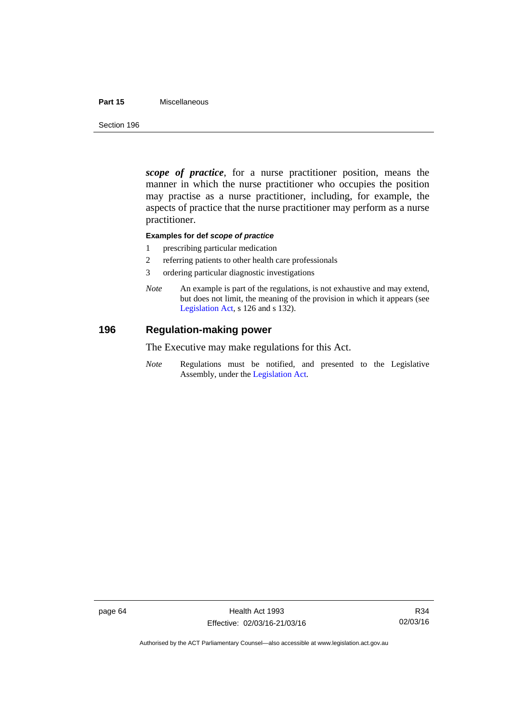#### **Part 15** Miscellaneous

Section 196

*scope of practice*, for a nurse practitioner position, means the manner in which the nurse practitioner who occupies the position may practise as a nurse practitioner, including, for example, the aspects of practice that the nurse practitioner may perform as a nurse practitioner.

#### **Examples for def** *scope of practice*

- 1 prescribing particular medication
- 2 referring patients to other health care professionals
- 3 ordering particular diagnostic investigations
- *Note* An example is part of the regulations, is not exhaustive and may extend, but does not limit, the meaning of the provision in which it appears (see [Legislation Act,](http://www.legislation.act.gov.au/a/2001-14) s 126 and s 132).

### **196 Regulation-making power**

The Executive may make regulations for this Act.

*Note* Regulations must be notified, and presented to the Legislative Assembly, under the [Legislation Act](http://www.legislation.act.gov.au/a/2001-14).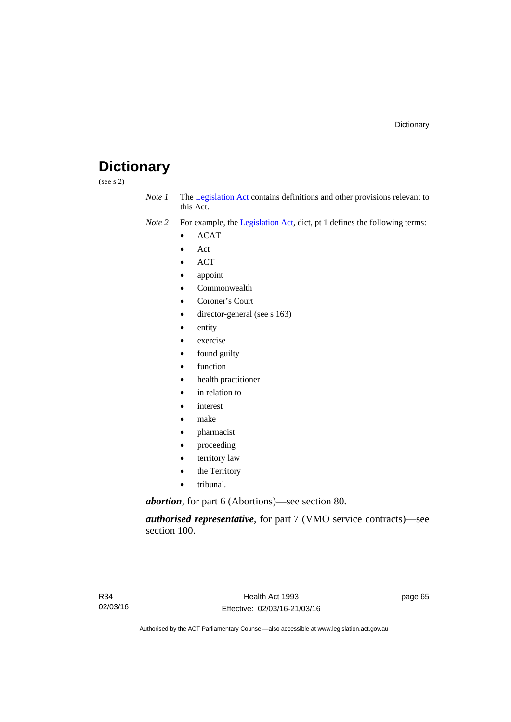# **Dictionary**

(see s 2)

- *Note 1* The [Legislation Act](http://www.legislation.act.gov.au/a/2001-14) contains definitions and other provisions relevant to this Act.
- *Note 2* For example, the [Legislation Act,](http://www.legislation.act.gov.au/a/2001-14) dict, pt 1 defines the following terms:
	- ACAT
	- Act
	- ACT
	- appoint
	- Commonwealth
	- Coroner's Court
	- director-general (see s 163)
	- entity
	- exercise
	- found guilty
	- function
	- health practitioner
	- in relation to
	- interest
	- make
	- pharmacist
	- proceeding
	- territory law
	- the Territory
	- tribunal.

*abortion*, for part 6 (Abortions)—see section 80.

*authorised representative*, for part 7 (VMO service contracts)—see section 100.

page 65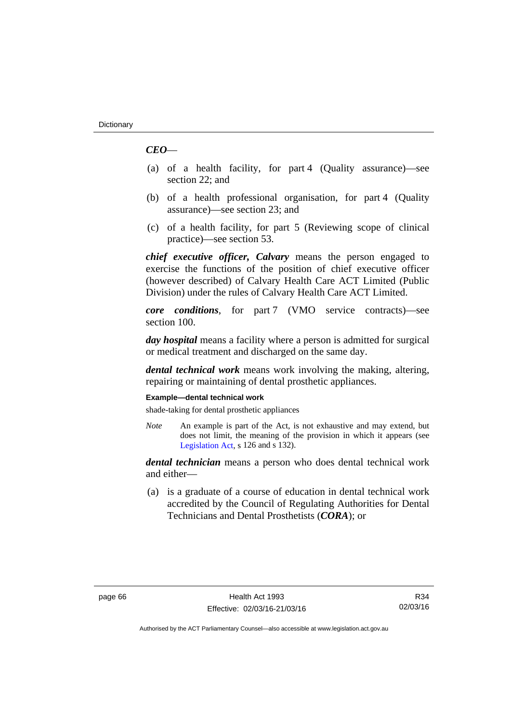# *CEO*—

- (a) of a health facility, for part 4 (Quality assurance)—see section 22; and
- (b) of a health professional organisation, for part 4 (Quality assurance)—see section 23; and
- (c) of a health facility, for part 5 (Reviewing scope of clinical practice)—see section 53.

*chief executive officer, Calvary* means the person engaged to exercise the functions of the position of chief executive officer (however described) of Calvary Health Care ACT Limited (Public Division) under the rules of Calvary Health Care ACT Limited.

*core conditions*, for part 7 (VMO service contracts)—see section 100.

*day hospital* means a facility where a person is admitted for surgical or medical treatment and discharged on the same day.

*dental technical work* means work involving the making, altering, repairing or maintaining of dental prosthetic appliances.

### **Example—dental technical work**

shade-taking for dental prosthetic appliances

*Note* An example is part of the Act, is not exhaustive and may extend, but does not limit, the meaning of the provision in which it appears (see [Legislation Act,](http://www.legislation.act.gov.au/a/2001-14) s 126 and s 132).

*dental technician* means a person who does dental technical work and either—

 (a) is a graduate of a course of education in dental technical work accredited by the Council of Regulating Authorities for Dental Technicians and Dental Prosthetists (*CORA*); or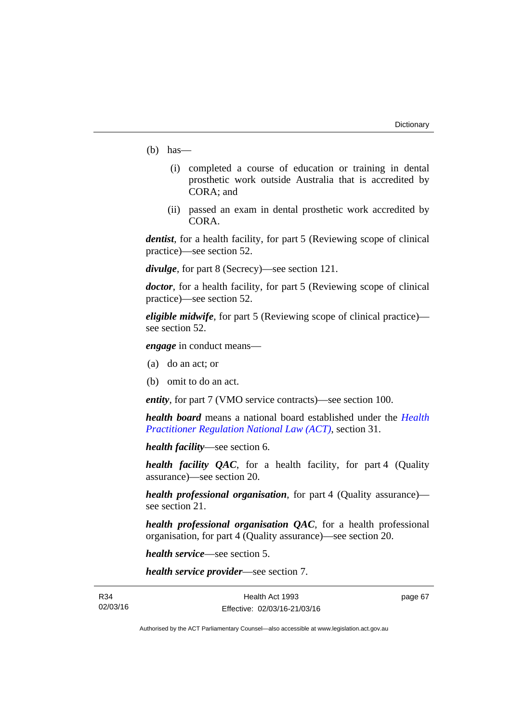- (b) has—
	- (i) completed a course of education or training in dental prosthetic work outside Australia that is accredited by CORA; and
	- (ii) passed an exam in dental prosthetic work accredited by CORA.

*dentist*, for a health facility, for part 5 (Reviewing scope of clinical practice)—see section 52.

*divulge*, for part 8 (Secrecy)—see section 121.

*doctor*, for a health facility, for part 5 (Reviewing scope of clinical practice)—see section 52.

*eligible midwife*, for part 5 (Reviewing scope of clinical practice) see section 52.

*engage* in conduct means—

- (a) do an act; or
- (b) omit to do an act.

*entity*, for part 7 (VMO service contracts)—see section 100.

*health board* means a national board established under the *[Health](http://www.legislation.act.gov.au/a/db_39269/default.asp)  [Practitioner Regulation National Law \(ACT\)](http://www.legislation.act.gov.au/a/db_39269/default.asp)*, section 31.

*health facility*—see section 6.

*health facility QAC*, for a health facility, for part 4 (Quality assurance)—see section 20.

*health professional organisation*, for part 4 (Quality assurance) see section 21.

*health professional organisation QAC*, for a health professional organisation, for part 4 (Quality assurance)—see section 20.

*health service*—see section 5.

*health service provider*—see section 7.

R34 02/03/16 page 67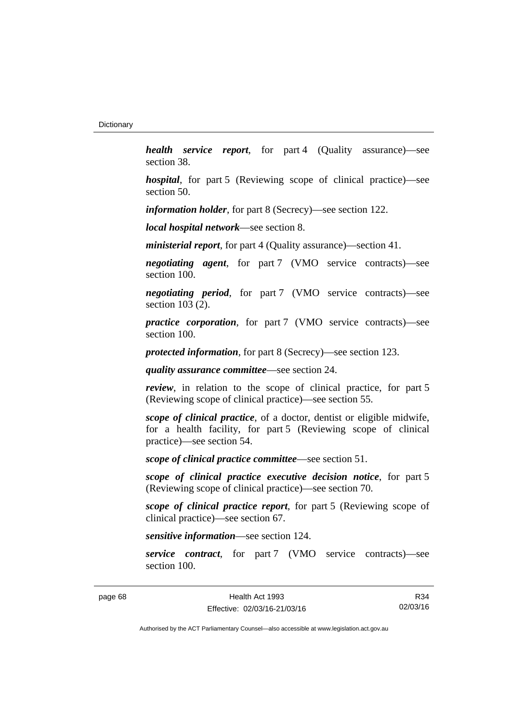*health service report*, for part 4 (Quality assurance)—see section 38.

*hospital*, for part 5 (Reviewing scope of clinical practice)—see section 50.

*information holder*, for part 8 (Secrecy)—see section 122.

*local hospital network*—see section 8.

*ministerial report*, for part 4 (Quality assurance)—section 41.

*negotiating agent*, for part 7 (VMO service contracts)—see section 100.

*negotiating period*, for part 7 (VMO service contracts)—see section 103 (2).

*practice corporation*, for part 7 (VMO service contracts)—see section 100.

*protected information*, for part 8 (Secrecy)—see section 123.

*quality assurance committee*—see section 24.

*review*, in relation to the scope of clinical practice, for part 5 (Reviewing scope of clinical practice)—see section 55.

*scope of clinical practice*, of a doctor, dentist or eligible midwife, for a health facility, for part 5 (Reviewing scope of clinical practice)—see section 54.

*scope of clinical practice committee*—see section 51.

*scope of clinical practice executive decision notice*, for part 5 (Reviewing scope of clinical practice)—see section 70.

*scope of clinical practice report*, for part 5 (Reviewing scope of clinical practice)—see section 67.

*sensitive information*—see section 124.

*service contract*, for part 7 (VMO service contracts)—see section 100.

page 68 Health Act 1993 Effective: 02/03/16-21/03/16

R34 02/03/16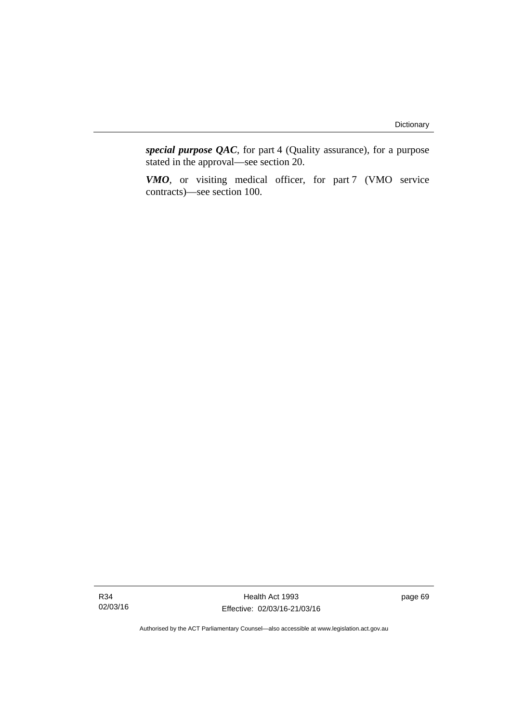*special purpose QAC*, for part 4 (Quality assurance), for a purpose stated in the approval—see section 20.

*VMO*, or visiting medical officer, for part 7 (VMO service contracts)—see section 100.

Health Act 1993 Effective: 02/03/16-21/03/16 page 69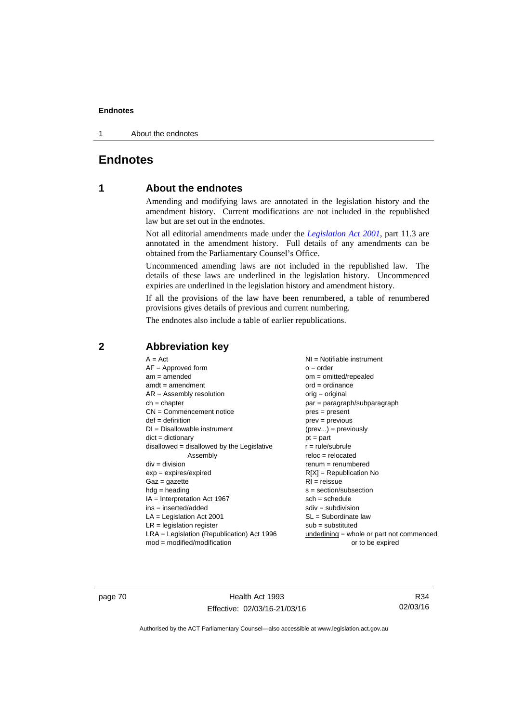1 About the endnotes

# **Endnotes**

## **1 About the endnotes**

Amending and modifying laws are annotated in the legislation history and the amendment history. Current modifications are not included in the republished law but are set out in the endnotes.

Not all editorial amendments made under the *[Legislation Act 2001](http://www.legislation.act.gov.au/a/2001-14)*, part 11.3 are annotated in the amendment history. Full details of any amendments can be obtained from the Parliamentary Counsel's Office.

Uncommenced amending laws are not included in the republished law. The details of these laws are underlined in the legislation history. Uncommenced expiries are underlined in the legislation history and amendment history.

If all the provisions of the law have been renumbered, a table of renumbered provisions gives details of previous and current numbering.

The endnotes also include a table of earlier republications.

| $A = Act$                                    | NI = Notifiable instrument                  |
|----------------------------------------------|---------------------------------------------|
| $AF =$ Approved form                         | $o = order$                                 |
| $am = amended$                               | $om = omitted/repealed$                     |
| $amdt = amendment$                           | $ord = ordinance$                           |
| $AR = Assembly$ resolution                   | $orig = original$                           |
| $ch = chapter$                               | $par = paragraph/subparagraph$              |
| $CN =$ Commencement notice                   | $pres = present$                            |
| $def = definition$                           | $prev = previous$                           |
| $DI = Disallowable instrument$               | $(\text{prev}) = \text{previously}$         |
| $dict = dictionary$                          | $pt = part$                                 |
| $disallowed = disallowed by the Legislative$ | $r = rule/subrule$                          |
| Assembly                                     | $reloc = relocated$                         |
| $div = division$                             | $renum = renumbered$                        |
| $exp = expires/expired$                      | $R[X]$ = Republication No                   |
| $Gaz = gazette$                              | $RI = reissue$                              |
| $hdg = heading$                              | $s = section/subsection$                    |
| $IA = Interpretation Act 1967$               | $sch = schedule$                            |
| ins = inserted/added                         | $sdiv = subdivision$                        |
| $LA =$ Legislation Act 2001                  | $SL = Subordinate$ law                      |
| $LR =$ legislation register                  | $sub =$ substituted                         |
| LRA = Legislation (Republication) Act 1996   | underlining $=$ whole or part not commenced |
| $mod = modified/modification$                | or to be expired                            |

### **2 Abbreviation key**

page 70 Health Act 1993 Effective: 02/03/16-21/03/16

R34 02/03/16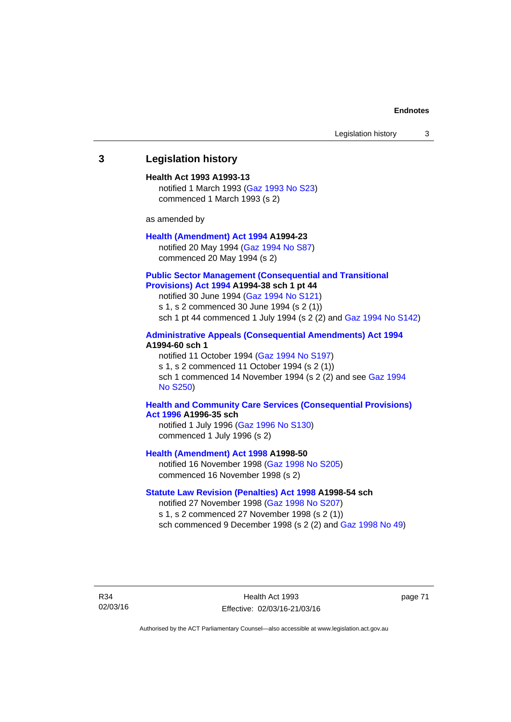### **3 Legislation history**

### **Health Act 1993 A1993-13**

notified 1 March 1993 [\(Gaz 1993 No S23\)](http://www.legislation.act.gov.au/gaz/1993-S23/default.asp) commenced 1 March 1993 (s 2)

as amended by

### **[Health \(Amendment\) Act 1994](http://www.legislation.act.gov.au/a/1994-23) A1994-23**

notified 20 May 1994 ([Gaz 1994 No S87](http://www.legislation.act.gov.au/gaz/1994-S87/default.asp)) commenced 20 May 1994 (s 2)

### **[Public Sector Management \(Consequential and Transitional](http://www.legislation.act.gov.au/a/1994-38)  [Provisions\) Act 1994](http://www.legislation.act.gov.au/a/1994-38) A1994-38 sch 1 pt 44**

notified 30 June 1994 ([Gaz 1994 No S121\)](http://www.legislation.act.gov.au/gaz/1994-S121/default.asp)

s 1, s 2 commenced 30 June 1994 (s 2 (1))

sch 1 pt 44 commenced 1 July 1994 (s 2 (2) and [Gaz 1994 No S142\)](http://www.legislation.act.gov.au/gaz/1994-S142/default.asp)

### **[Administrative Appeals \(Consequential Amendments\) Act 1994](http://www.legislation.act.gov.au/a/1994-60) A1994-60 sch 1**

notified 11 October 1994 ([Gaz 1994 No S197\)](http://www.legislation.act.gov.au/gaz/1994-S197/default.asp) s 1, s 2 commenced 11 October 1994 (s 2 (1)) sch 1 commenced 14 November 1994 (s 2 (2) and see [Gaz 1994](http://www.legislation.act.gov.au/gaz/1994-S250/default.asp)  [No S250\)](http://www.legislation.act.gov.au/gaz/1994-S250/default.asp)

### **[Health and Community Care Services \(Consequential Provisions\)](http://www.legislation.act.gov.au/a/1996-35)  [Act 1996](http://www.legislation.act.gov.au/a/1996-35) A1996-35 sch**

notified 1 July 1996 [\(Gaz 1996 No S130](http://www.legislation.act.gov.au/gaz/1996-S130/default.asp)) commenced 1 July 1996 (s 2)

**[Health \(Amendment\) Act 1998](http://www.legislation.act.gov.au/a/1998-50) A1998-50** 

notified 16 November 1998 [\(Gaz 1998 No S205](http://www.legislation.act.gov.au/gaz/1998-S205/default.asp)) commenced 16 November 1998 (s 2)

### **[Statute Law Revision \(Penalties\) Act 1998](http://www.legislation.act.gov.au/a/1998-54) A1998-54 sch**

notified 27 November 1998 [\(Gaz 1998 No S207](http://www.legislation.act.gov.au/gaz/1998-S207/default.asp)) s 1, s 2 commenced 27 November 1998 (s 2 (1)) sch commenced 9 December 1998 (s 2 (2) and [Gaz 1998 No 49\)](http://www.legislation.act.gov.au/gaz/1998-49/default.asp)

R34 02/03/16 page 71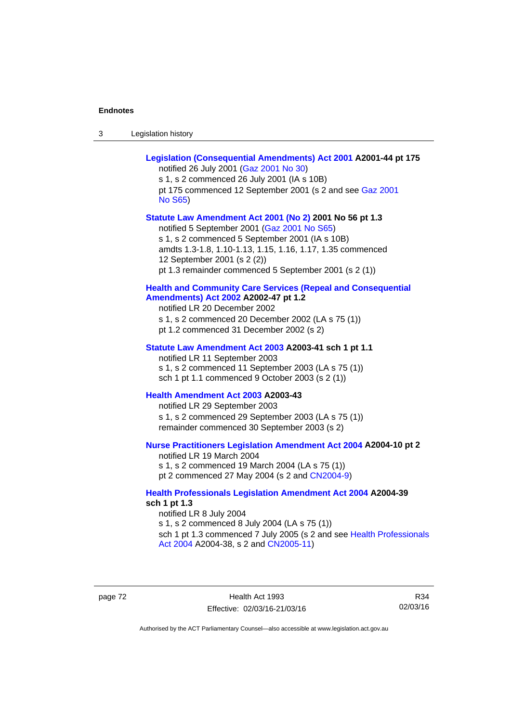| -3 | Legislation history |
|----|---------------------|
|----|---------------------|

| Legislation (Consequential Amendments) Act 2001 A2001-44 pt 175<br>notified 26 July 2001 (Gaz 2001 No 30)<br>s 1, s 2 commenced 26 July 2001 (IA s 10B)<br>pt 175 commenced 12 September 2001 (s 2 and see Gaz 2001<br><b>No S65)</b>                                                                          |
|----------------------------------------------------------------------------------------------------------------------------------------------------------------------------------------------------------------------------------------------------------------------------------------------------------------|
| Statute Law Amendment Act 2001 (No 2) 2001 No 56 pt 1.3<br>notified 5 September 2001 (Gaz 2001 No S65)<br>s 1, s 2 commenced 5 September 2001 (IA s 10B)<br>amdts 1.3-1.8, 1.10-1.13, 1.15, 1.16, 1.17, 1.35 commenced<br>12 September 2001 (s 2 (2))<br>pt 1.3 remainder commenced 5 September 2001 (s 2 (1)) |
| <b>Health and Community Care Services (Repeal and Consequential</b><br>Amendments) Act 2002 A2002-47 pt 1.2<br>notified LR 20 December 2002<br>s 1, s 2 commenced 20 December 2002 (LA s 75 (1))<br>pt 1.2 commenced 31 December 2002 (s 2)                                                                    |
| Statute Law Amendment Act 2003 A2003-41 sch 1 pt 1.1<br>notified LR 11 September 2003<br>s 1, s 2 commenced 11 September 2003 (LA s 75 (1))<br>sch 1 pt 1.1 commenced 9 October 2003 (s 2 (1))                                                                                                                 |
| Health Amendment Act 2003 A2003-43<br>notified LR 29 September 2003<br>s 1, s 2 commenced 29 September 2003 (LA s 75 (1))<br>remainder commenced 30 September 2003 (s 2)                                                                                                                                       |
| Nurse Practitioners Legislation Amendment Act 2004 A2004-10 pt 2<br>notified LR 19 March 2004<br>s 1, s 2 commenced 19 March 2004 (LA s 75 (1))<br>pt 2 commenced 27 May 2004 (s 2 and CN2004-9)                                                                                                               |
| <b>Health Professionals Legislation Amendment Act 2004 A2004-39</b><br>sch 1 pt 1.3<br>notified LR 8 July 2004<br>s 1, s 2 commenced 8 July 2004 (LA s 75 (1))<br>sch 1 pt 1.3 commenced 7 July 2005 (s 2 and see Health Professionals                                                                         |

page 72 Health Act 1993 Effective: 02/03/16-21/03/16

[Act 2004](http://www.legislation.act.gov.au/a/2004-38) A2004-38, s 2 and [CN2005-11\)](http://www.legislation.act.gov.au/cn/2005-11/default.asp)

R34 02/03/16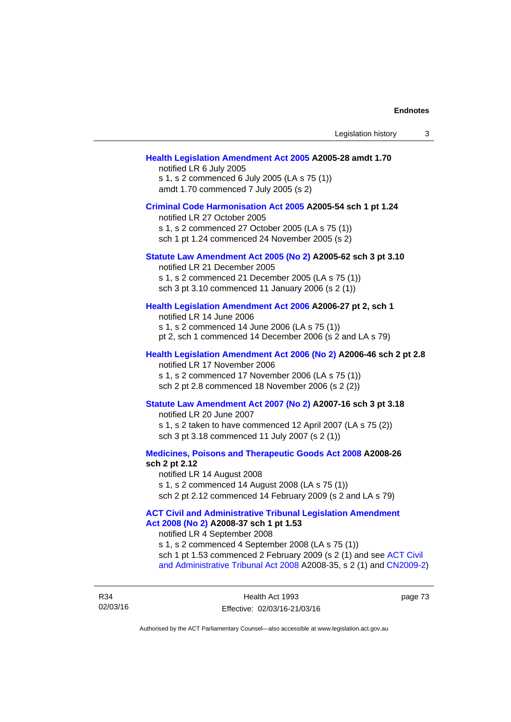#### **[Health Legislation Amendment Act 2005](http://www.legislation.act.gov.au/a/2005-28) A2005-28 amdt 1.70**

notified LR 6 July 2005 s 1, s 2 commenced 6 July 2005 (LA s 75 (1)) amdt 1.70 commenced 7 July 2005 (s 2)

#### **[Criminal Code Harmonisation Act 2005](http://www.legislation.act.gov.au/a/2005-54) A2005-54 sch 1 pt 1.24**

notified LR 27 October 2005 s 1, s 2 commenced 27 October 2005 (LA s 75 (1)) sch 1 pt 1.24 commenced 24 November 2005 (s 2)

### **[Statute Law Amendment Act 2005 \(No 2\)](http://www.legislation.act.gov.au/a/2005-62) A2005-62 sch 3 pt 3.10**

notified LR 21 December 2005 s 1, s 2 commenced 21 December 2005 (LA s 75 (1)) sch 3 pt 3.10 commenced 11 January 2006 (s 2 (1))

### **[Health Legislation Amendment Act 2006](http://www.legislation.act.gov.au/a/2006-27) A2006-27 pt 2, sch 1**

notified LR 14 June 2006 s 1, s 2 commenced 14 June 2006 (LA s 75 (1)) pt 2, sch 1 commenced 14 December 2006 (s 2 and LA s 79)

### **[Health Legislation Amendment Act 2006 \(No 2\)](http://www.legislation.act.gov.au/a/2006-46) A2006-46 sch 2 pt 2.8**  notified LR 17 November 2006

s 1, s 2 commenced 17 November 2006 (LA s 75 (1)) sch 2 pt 2.8 commenced 18 November 2006 (s 2 (2))

### **[Statute Law Amendment Act 2007 \(No 2\)](http://www.legislation.act.gov.au/a/2007-16) A2007-16 sch 3 pt 3.18**

notified LR 20 June 2007 s 1, s 2 taken to have commenced 12 April 2007 (LA s 75 (2)) sch 3 pt 3.18 commenced 11 July 2007 (s 2 (1))

**[Medicines, Poisons and Therapeutic Goods Act 2008](http://www.legislation.act.gov.au/a/2008-26) A2008-26 sch 2 pt 2.12** 

notified LR 14 August 2008 s 1, s 2 commenced 14 August 2008 (LA s 75 (1)) sch 2 pt 2.12 commenced 14 February 2009 (s 2 and LA s 79)

**[ACT Civil and Administrative Tribunal Legislation Amendment](http://www.legislation.act.gov.au/a/2008-37)  [Act 2008 \(No 2\)](http://www.legislation.act.gov.au/a/2008-37) A2008-37 sch 1 pt 1.53** 

notified LR 4 September 2008

s 1, s 2 commenced 4 September 2008 (LA s 75 (1)) sch 1 pt 1.53 commenced 2 February 2009 (s 2 (1) and see [ACT Civil](http://www.legislation.act.gov.au/a/2008-35)  [and Administrative Tribunal Act 2008](http://www.legislation.act.gov.au/a/2008-35) A2008-35, s 2 (1) and [CN2009-2](http://www.legislation.act.gov.au/cn/2009-2/default.asp))

R34 02/03/16 page 73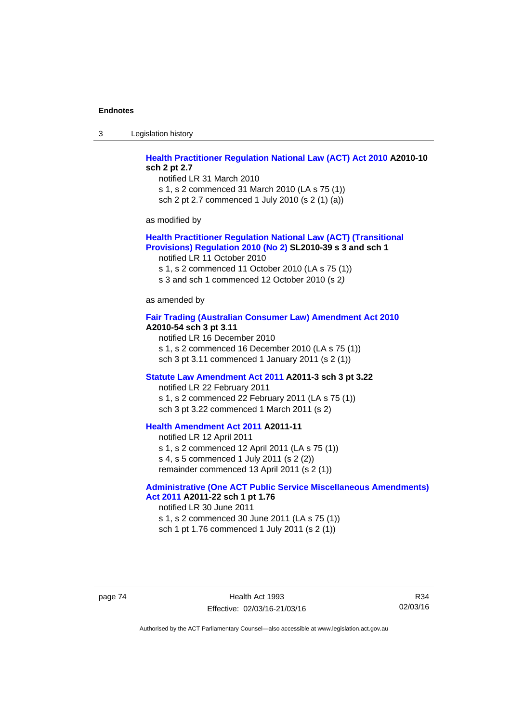3 Legislation history

### **[Health Practitioner Regulation National Law \(ACT\) Act 2010](http://www.legislation.act.gov.au/a/2010-10) A2010-10 sch 2 pt 2.7**

notified LR 31 March 2010 s 1, s 2 commenced 31 March 2010 (LA s 75 (1)) sch 2 pt 2.7 commenced 1 July 2010 (s 2 (1) (a))

as modified by

### **[Health Practitioner Regulation National Law \(ACT\) \(Transitional](http://www.legislation.act.gov.au/sl/2010-39)  [Provisions\) Regulation 2010 \(No 2\)](http://www.legislation.act.gov.au/sl/2010-39) SL2010-39 s 3 and sch 1**

notified LR 11 October 2010

s 1, s 2 commenced 11 October 2010 (LA s 75 (1))

s 3 and sch 1 commenced 12 October 2010 (s 2*)*

as amended by

### **[Fair Trading \(Australian Consumer Law\) Amendment Act 2010](http://www.legislation.act.gov.au/a/2010-54) A2010-54 sch 3 pt 3.11**

notified LR 16 December 2010 s 1, s 2 commenced 16 December 2010 (LA s 75 (1)) sch 3 pt 3.11 commenced 1 January 2011 (s 2 (1))

### **[Statute Law Amendment Act 2011](http://www.legislation.act.gov.au/a/2011-3) A2011-3 sch 3 pt 3.22**

notified LR 22 February 2011 s 1, s 2 commenced 22 February 2011 (LA s 75 (1)) sch 3 pt 3.22 commenced 1 March 2011 (s 2)

### **[Health Amendment Act 2011](http://www.legislation.act.gov.au/a/2011-11) A2011-11**

notified LR 12 April 2011 s 1, s 2 commenced 12 April 2011 (LA s 75 (1)) s 4, s 5 commenced 1 July 2011 (s 2 (2)) remainder commenced 13 April 2011 (s 2 (1))

# **[Administrative \(One ACT Public Service Miscellaneous Amendments\)](http://www.legislation.act.gov.au/a/2011-22)**

**[Act 2011](http://www.legislation.act.gov.au/a/2011-22) A2011-22 sch 1 pt 1.76**  notified LR 30 June 2011 s 1, s 2 commenced 30 June 2011 (LA s 75 (1)) sch 1 pt 1.76 commenced 1 July 2011 (s 2 (1))

page 74 Health Act 1993 Effective: 02/03/16-21/03/16

R34 02/03/16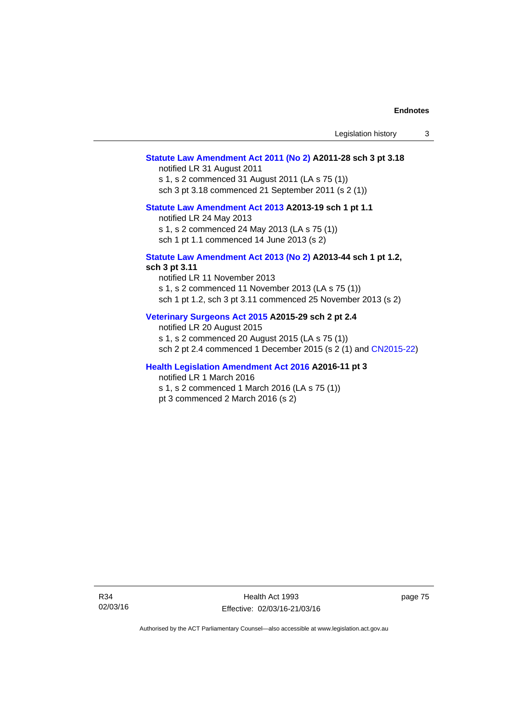### **[Statute Law Amendment Act 2011 \(No 2\)](http://www.legislation.act.gov.au/a/2011-28) A2011-28 sch 3 pt 3.18**

notified LR 31 August 2011 s 1, s 2 commenced 31 August 2011 (LA s 75 (1)) sch 3 pt 3.18 commenced 21 September 2011 (s 2 (1))

### **[Statute Law Amendment Act 2013](http://www.legislation.act.gov.au/a/2013-19) A2013-19 sch 1 pt 1.1**

notified LR 24 May 2013

s 1, s 2 commenced 24 May 2013 (LA s 75 (1))

sch 1 pt 1.1 commenced 14 June 2013 (s 2)

#### **[Statute Law Amendment Act 2013 \(No 2\)](http://www.legislation.act.gov.au/a/2013-44) A2013-44 sch 1 pt 1.2, sch 3 pt 3.11**

notified LR 11 November 2013 s 1, s 2 commenced 11 November 2013 (LA s 75 (1)) sch 1 pt 1.2, sch 3 pt 3.11 commenced 25 November 2013 (s 2)

### **[Veterinary Surgeons Act 2015](http://www.legislation.act.gov.au/a/2015-29/default.asp) A2015-29 sch 2 pt 2.4**

notified LR 20 August 2015 s 1, s 2 commenced 20 August 2015 (LA s 75 (1)) sch 2 pt 2.4 commenced 1 December 2015 (s 2 (1) and [CN2015-22](http://www.legislation.act.gov.au/cn/2015-22/default.asp))

### **[Health Legislation Amendment Act 2016](http://www.legislation.act.gov.au/a/2016-11/default.asp) A2016-11 pt 3**

notified LR 1 March 2016

s 1, s 2 commenced 1 March 2016 (LA s 75 (1))

pt 3 commenced 2 March 2016 (s 2)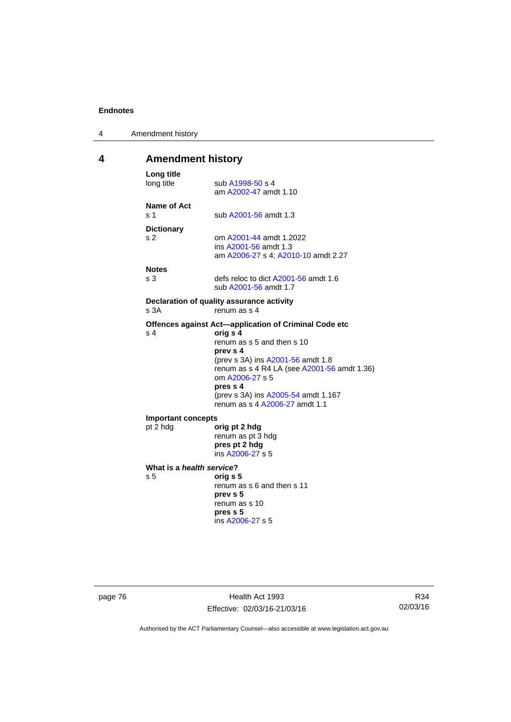| 4 | Amendment history |
|---|-------------------|
|---|-------------------|

# **4 Amendment history**

| Long title<br>long title                                          | sub A1998-50 s 4<br>am A2002-47 amdt 1.10                                                                                                                                                                                                                                                               |  |
|-------------------------------------------------------------------|---------------------------------------------------------------------------------------------------------------------------------------------------------------------------------------------------------------------------------------------------------------------------------------------------------|--|
| Name of Act<br>s <sub>1</sub>                                     | sub A2001-56 amdt 1.3                                                                                                                                                                                                                                                                                   |  |
| <b>Dictionary</b><br>s <sub>2</sub>                               | om A2001-44 amdt 1.2022<br>ins A2001-56 amdt 1.3<br>am A2006-27 s 4; A2010-10 amdt 2.27                                                                                                                                                                                                                 |  |
| <b>Notes</b><br>s <sub>3</sub>                                    | defs reloc to dict A2001-56 amdt 1.6<br>sub A2001-56 amdt 1.7                                                                                                                                                                                                                                           |  |
| Declaration of quality assurance activity<br>s 3A<br>renum as s 4 |                                                                                                                                                                                                                                                                                                         |  |
| s <sub>4</sub>                                                    | Offences against Act-application of Criminal Code etc<br>orig s 4<br>renum as s 5 and then s 10<br>prev s 4<br>(prev s 3A) ins A2001-56 amdt 1.8<br>renum as s 4 R4 LA (see A2001-56 amdt 1.36)<br>om A2006-27 s 5<br>pres s 4<br>(prev s 3A) ins A2005-54 amdt 1.167<br>renum as s 4 A2006-27 amdt 1.1 |  |
| <b>Important concepts</b><br>pt 2 hdg                             | orig pt 2 hdg<br>renum as pt 3 hdg<br>pres pt 2 hdg<br>ins A2006-27 s 5                                                                                                                                                                                                                                 |  |
| What is a health service?<br>s <sub>5</sub>                       | orig s 5<br>renum as s 6 and then s 11<br>prev s 5<br>renum as s 10<br>pres s 5<br>ins A2006-27 s 5                                                                                                                                                                                                     |  |

page 76 **Health Act 1993** Effective: 02/03/16-21/03/16

R34 02/03/16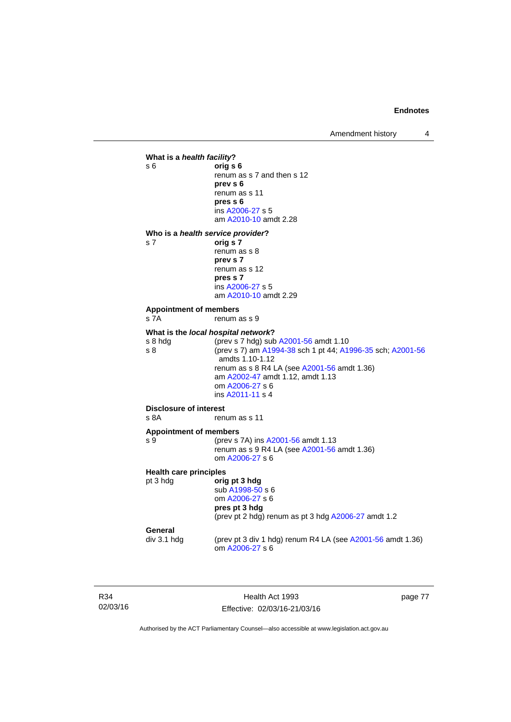Amendment history 4



R34 02/03/16

Health Act 1993 Effective: 02/03/16-21/03/16 page 77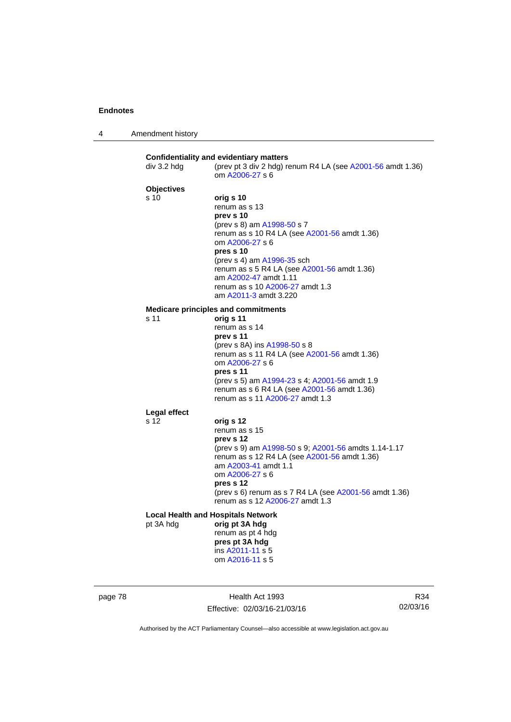| $\boldsymbol{\Lambda}$ | Amendment history |
|------------------------|-------------------|
|------------------------|-------------------|

| div 3.2 hdg       | (prev pt 3 div 2 hdg) renum R4 LA (see A2001-56 amdt 1.36)<br>om A2006-27 s 6 |
|-------------------|-------------------------------------------------------------------------------|
| <b>Objectives</b> |                                                                               |
| s <sub>10</sub>   | orig s 10                                                                     |
|                   | renum as s 13                                                                 |
|                   | prev s 10                                                                     |
|                   | (prev s 8) am A1998-50 s 7                                                    |
|                   | renum as s 10 R4 LA (see A2001-56 amdt 1.36)                                  |
|                   | om A2006-27 s 6<br>pres s 10                                                  |
|                   | (prev s 4) am A1996-35 sch                                                    |
|                   | renum as s 5 R4 LA (see A2001-56 amdt 1.36)                                   |
|                   | am A2002-47 amdt 1.11                                                         |
|                   | renum as s 10 A2006-27 amdt 1.3                                               |
|                   | am A2011-3 amdt 3.220                                                         |
|                   | <b>Medicare principles and commitments</b>                                    |
| s 11              | orig s 11                                                                     |
|                   | renum as s 14                                                                 |
|                   | prev s 11<br>(prev s 8A) ins A1998-50 s 8                                     |
|                   | renum as s 11 R4 LA (see A2001-56 amdt 1.36)                                  |
|                   | om A2006-27 s 6                                                               |
|                   | pres s 11                                                                     |
|                   | (prev s 5) am A1994-23 s 4; A2001-56 amdt 1.9                                 |
|                   | renum as s 6 R4 LA (see A2001-56 amdt 1.36)                                   |
|                   | renum as s 11 A2006-27 amdt 1.3                                               |
| Legal effect      |                                                                               |
| s 12              | orig s 12                                                                     |
|                   | renum as s 15                                                                 |
|                   | prev s 12<br>(prev s 9) am A1998-50 s 9; A2001-56 amdts 1.14-1.17             |
|                   | renum as s 12 R4 LA (see A2001-56 amdt 1.36)                                  |
|                   | am A2003-41 amdt 1.1                                                          |
|                   | om A2006-27 s 6                                                               |
|                   | pres s 12                                                                     |
|                   | (prev s 6) renum as s 7 R4 LA (see A2001-56 amdt 1.36)                        |
|                   | renum as s 12 A2006-27 amdt 1.3                                               |
|                   | <b>Local Health and Hospitals Network</b>                                     |
| pt 3A hdg         | orig pt 3A hdg                                                                |
|                   | renum as pt 4 hdg                                                             |
|                   | pres pt 3A hdg<br>ins A2011-11 s 5                                            |
|                   | om A2016-11 s 5                                                               |

page 78 **Health Act 1993** Effective: 02/03/16-21/03/16

R34 02/03/16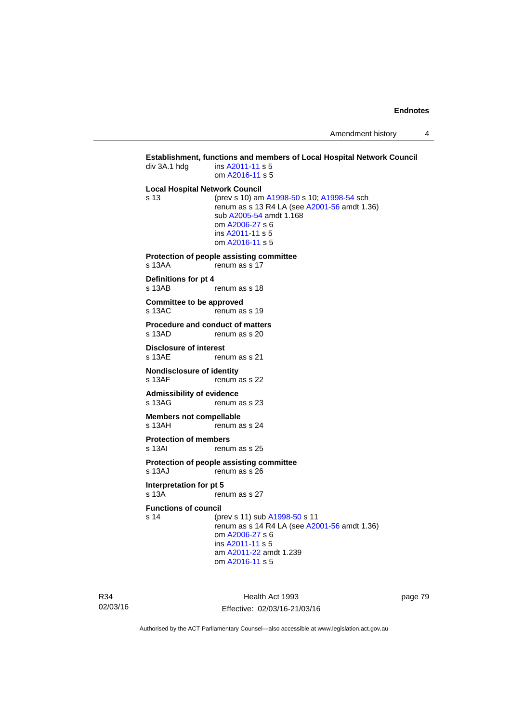### **Establishment, functions and members of Local Hospital Network Council div 3A.1 hdg ins A2011-11 s 5** ins [A2011-11](http://www.legislation.act.gov.au/a/2011-11) s 5 om [A2016-11](http://www.legislation.act.gov.au/a/2016-11) s 5 **Local Hospital Network Council** s 13 (prev s 10) am [A1998-50](http://www.legislation.act.gov.au/a/1998-50) s 10; [A1998-54](http://www.legislation.act.gov.au/a/1998-54) sch renum as s 13 R4 LA (see [A2001-56](http://www.legislation.act.gov.au/a/2001-56) amdt 1.36) sub [A2005-54](http://www.legislation.act.gov.au/a/2005-54) amdt 1.168 om [A2006-27](http://www.legislation.act.gov.au/a/2006-27) s 6 ins [A2011-11](http://www.legislation.act.gov.au/a/2011-11) s 5 om [A2016-11](http://www.legislation.act.gov.au/a/2016-11) s 5 **Protection of people assisting committee**  s 13AA renum as s 17 **Definitions for pt 4**  s 13AB renum as s 18 **Committee to be approved**  s 13AC renum as s 19 **Procedure and conduct of matters**  s 13AD renum as s 20 **Disclosure of interest**  s 13AE renum as s 21 **Nondisclosure of identity**  s 13AF renum as s 22 **Admissibility of evidence**  s 13AG renum as s 23 **Members not compellable**  s 13AH renum as s 24 **Protection of members**  renum as s 25 **Protection of people assisting committee**  s 13AJ renum as s 26 **Interpretation for pt 5**<br>s 13A **rep** renum as s 27 **Functions of council** s 14 (prev s 11) sub [A1998-50](http://www.legislation.act.gov.au/a/1998-50) s 11 renum as  $\overline{s}$  14 R4 LA (see [A2001-56](http://www.legislation.act.gov.au/a/2001-56) amdt 1.36) om [A2006-27](http://www.legislation.act.gov.au/a/2006-27) s 6 ins [A2011-11](http://www.legislation.act.gov.au/a/2011-11) s 5 am [A2011-22](http://www.legislation.act.gov.au/a/2011-22) amdt 1.239 om [A2016-11](http://www.legislation.act.gov.au/a/2016-11) s 5

R34 02/03/16

Health Act 1993 Effective: 02/03/16-21/03/16 page 79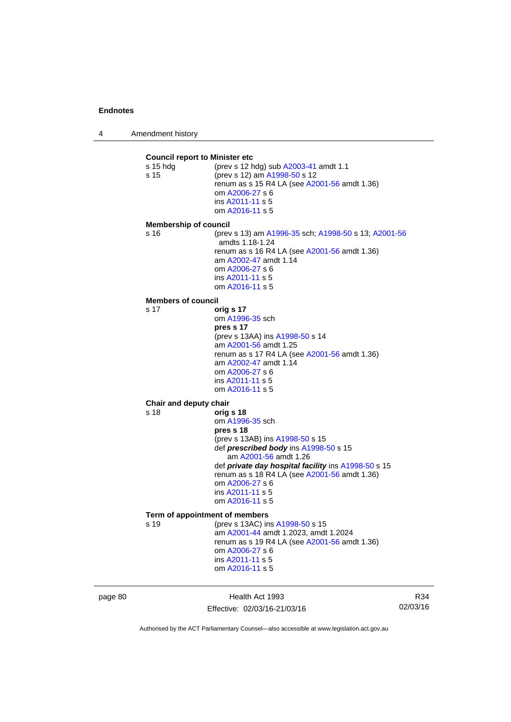4 Amendment history

**Council report to Minister etc** s 15 hdg (prev s 12 hdg) sub [A2003-41](http://www.legislation.act.gov.au/a/2003-41) amdt 1.1 s 15 (prev s 12) am [A1998-50](http://www.legislation.act.gov.au/a/1998-50) s 12 renum as s 15 R4 LA (see [A2001-56](http://www.legislation.act.gov.au/a/2001-56) amdt 1.36) om [A2006-27](http://www.legislation.act.gov.au/a/2006-27) s 6 ins [A2011-11](http://www.legislation.act.gov.au/a/2011-11) s 5 om [A2016-11](http://www.legislation.act.gov.au/a/2016-11) s 5 **Membership of council** s 16 (prev s 13) am [A1996-35](http://www.legislation.act.gov.au/a/1996-35) sch; [A1998-50](http://www.legislation.act.gov.au/a/1998-50) s 13; [A2001-56](http://www.legislation.act.gov.au/a/2001-56) amdts 1.18-1.24 renum as s 16 R4 LA (see [A2001-56](http://www.legislation.act.gov.au/a/2001-56) amdt 1.36) am [A2002-47](http://www.legislation.act.gov.au/a/2002-47) amdt 1.14 om [A2006-27](http://www.legislation.act.gov.au/a/2006-27) s 6 ins [A2011-11](http://www.legislation.act.gov.au/a/2011-11) s 5 om [A2016-11](http://www.legislation.act.gov.au/a/2016-11) s 5 **Members of council** s 17 **orig s 17** om [A1996-35](http://www.legislation.act.gov.au/a/1996-35) sch **pres s 17**  (prev s 13AA) ins [A1998-50](http://www.legislation.act.gov.au/a/1998-50) s 14 am [A2001-56](http://www.legislation.act.gov.au/a/2001-56) amdt 1.25 renum as s 17 R4 LA (see [A2001-56](http://www.legislation.act.gov.au/a/2001-56) amdt 1.36) am [A2002-47](http://www.legislation.act.gov.au/a/2002-47) amdt 1.14 om [A2006-27](http://www.legislation.act.gov.au/a/2006-27) s 6 ins [A2011-11](http://www.legislation.act.gov.au/a/2011-11) s 5 om [A2016-11](http://www.legislation.act.gov.au/a/2016-11) s 5 **Chair and deputy chair** s 18 **orig s 18** om [A1996-35](http://www.legislation.act.gov.au/a/1996-35) sch **pres s 18**  (prev s 13AB) ins [A1998-50](http://www.legislation.act.gov.au/a/1998-50) s 15 def *prescribed body* ins [A1998-50](http://www.legislation.act.gov.au/a/1998-50) s 15 am [A2001-56](http://www.legislation.act.gov.au/a/2001-56) amdt 1.26 def *private day hospital facility* ins [A1998-50](http://www.legislation.act.gov.au/a/1998-50) s 15 renum as s 18 R4 LA (see [A2001-56](http://www.legislation.act.gov.au/a/2001-56) amdt 1.36) om [A2006-27](http://www.legislation.act.gov.au/a/2006-27) s 6 ins [A2011-11](http://www.legislation.act.gov.au/a/2011-11) s 5 om [A2016-11](http://www.legislation.act.gov.au/a/2016-11) s 5 **Term of appointment of members** s 19 (prev s 13AC) ins [A1998-50](http://www.legislation.act.gov.au/a/1998-50) s 15 am [A2001-44](http://www.legislation.act.gov.au/a/2001-44) amdt 1.2023, amdt 1.2024 renum as s 19 R4 LA (see [A2001-56](http://www.legislation.act.gov.au/a/2001-56) amdt 1.36) om [A2006-27](http://www.legislation.act.gov.au/a/2006-27) s 6 ins [A2011-11](http://www.legislation.act.gov.au/a/2011-11) s 5 om [A2016-11](http://www.legislation.act.gov.au/a/2016-11) s 5

page 80 Health Act 1993 Effective: 02/03/16-21/03/16

R34 02/03/16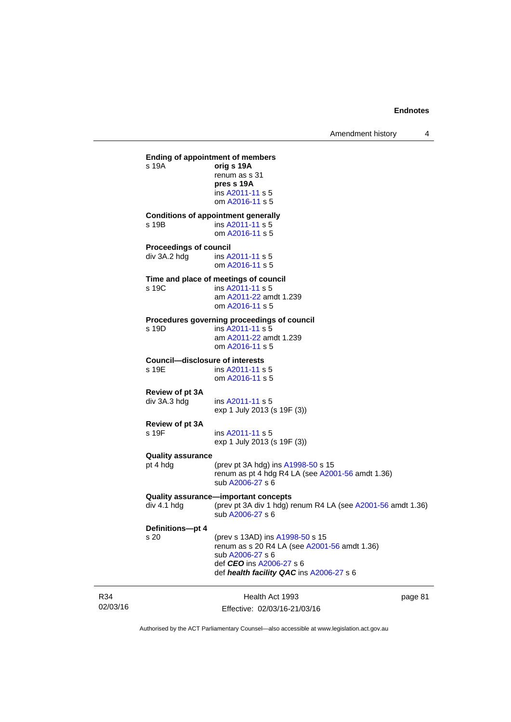02/03/16 Health Act 1993 Effective: 02/03/16-21/03/16 page 81 **Ending of appointment of members**  s 19A **orig s 19A** renum as s 31 **pres s 19A**  ins [A2011-11](http://www.legislation.act.gov.au/a/2011-11) s 5 om [A2016-11](http://www.legislation.act.gov.au/a/2016-11) s 5 **Conditions of appointment generally**  s 19B ins [A2011-11](http://www.legislation.act.gov.au/a/2011-11) s 5 om [A2016-11](http://www.legislation.act.gov.au/a/2016-11) s 5 **Proceedings of council**  div 3A.2 hdg ins [A2011-11](http://www.legislation.act.gov.au/a/2011-11) s 5 om [A2016-11](http://www.legislation.act.gov.au/a/2016-11) s 5 **Time and place of meetings of council**  s 19C ins [A2011-11](http://www.legislation.act.gov.au/a/2011-11) s 5 am [A2011-22](http://www.legislation.act.gov.au/a/2011-22) amdt 1.239 om [A2016-11](http://www.legislation.act.gov.au/a/2016-11) s 5 **Procedures governing proceedings of council**  s 19D ins [A2011-11](http://www.legislation.act.gov.au/a/2011-11) s 5 am [A2011-22](http://www.legislation.act.gov.au/a/2011-22) amdt 1.239 om [A2016-11](http://www.legislation.act.gov.au/a/2016-11) s 5 **Council—disclosure of interests**  ins [A2011-11](http://www.legislation.act.gov.au/a/2011-11) s 5 om [A2016-11](http://www.legislation.act.gov.au/a/2016-11) s 5 **Review of pt 3A**  div 3A.3 hdg ins [A2011-11](http://www.legislation.act.gov.au/a/2011-11) s 5 exp 1 July 2013 (s 19F (3)) **Review of pt 3A**  s 19F ins [A2011-11](http://www.legislation.act.gov.au/a/2011-11) s 5 exp 1 July 2013 (s 19F (3)) **Quality assurance** (prev pt 3A hdg) ins  $A1998-50$  s 15 renum as pt 4 hdg R4 LA (see [A2001-56](http://www.legislation.act.gov.au/a/2001-56) amdt 1.36) sub [A2006-27](http://www.legislation.act.gov.au/a/2006-27) s 6 **Quality assurance—important concepts**   $div 4.1$  hdg  $(over v 3A$  div 1 hdg) renum R4 LA (see [A2001-56](http://www.legislation.act.gov.au/a/2001-56) amdt 1.36) sub [A2006-27](http://www.legislation.act.gov.au/a/2006-27) s 6 **Definitions—pt 4** s 20 (prev s 13AD) ins [A1998-50](http://www.legislation.act.gov.au/a/1998-50) s 15 renum as s 20 R4 LA (see [A2001-56](http://www.legislation.act.gov.au/a/2001-56) amdt 1.36) sub [A2006-27](http://www.legislation.act.gov.au/a/2006-27) s 6 def *CEO* ins [A2006-27](http://www.legislation.act.gov.au/a/2006-27) s 6 def *health facility QAC* ins [A2006-27](http://www.legislation.act.gov.au/a/2006-27) s 6

Authorised by the ACT Parliamentary Counsel—also accessible at www.legislation.act.gov.au

R34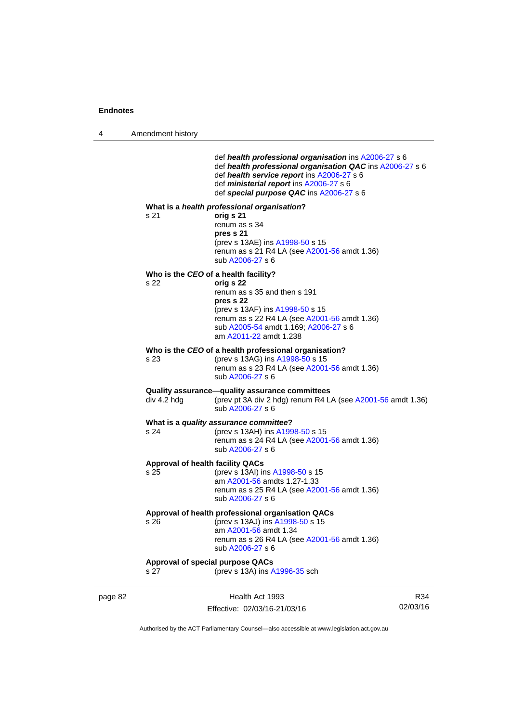4 Amendment history

|                 | def health professional organisation ins A2006-27 s 6<br>def health professional organisation QAC ins A2006-27 s 6<br>def health service report ins A2006-27 s 6<br>def ministerial report ins A2006-27 s 6<br>def special purpose QAC ins A2006-27 s 6 |
|-----------------|---------------------------------------------------------------------------------------------------------------------------------------------------------------------------------------------------------------------------------------------------------|
| s <sub>21</sub> | What is a health professional organisation?<br>orig s 21<br>renum as s 34<br>pres s 21<br>(prev s 13AE) ins A1998-50 s 15<br>renum as s 21 R4 LA (see A2001-56 amdt 1.36)<br>sub A2006-27 s 6                                                           |
| s 22            | Who is the CEO of a health facility?<br>orig s 22<br>renum as s 35 and then s 191<br>pres s 22<br>(prev s 13AF) ins A1998-50 s 15<br>renum as s 22 R4 LA (see A2001-56 amdt 1.36)<br>sub A2005-54 amdt 1.169; A2006-27 s 6<br>am A2011-22 amdt 1.238    |
| s 23            | Who is the CEO of a health professional organisation?<br>(prev s 13AG) ins A1998-50 s 15<br>renum as s 23 R4 LA (see A2001-56 amdt 1.36)<br>sub A2006-27 s 6                                                                                            |
| div 4.2 hdg     | Quality assurance—quality assurance committees<br>(prev pt 3A div 2 hdg) renum R4 LA (see A2001-56 amdt 1.36)<br>sub A2006-27 s 6                                                                                                                       |
| s 24            | What is a quality assurance committee?<br>(prev s 13AH) ins A1998-50 s 15<br>renum as s 24 R4 LA (see A2001-56 amdt 1.36)<br>sub A2006-27 s 6                                                                                                           |
| s 25            | <b>Approval of health facility QACs</b><br>(prev s 13AI) ins A1998-50 s 15<br>am A2001-56 amdts 1.27-1.33<br>renum as s 25 R4 LA (see A2001-56 amdt 1.36)<br>sub A2006-27 s 6                                                                           |
| s 26            | Approval of health professional organisation QACs<br>(prev s 13AJ) ins A1998-50 s 15<br>am A2001-56 amdt 1.34<br>renum as s 26 R4 LA (see A2001-56 amdt 1.36)<br>sub A2006-27 s 6                                                                       |
| s 27            | <b>Approval of special purpose QACs</b><br>(prev s 13A) ins A1996-35 sch                                                                                                                                                                                |

page 82 Health Act 1993 Effective: 02/03/16-21/03/16

R34 02/03/16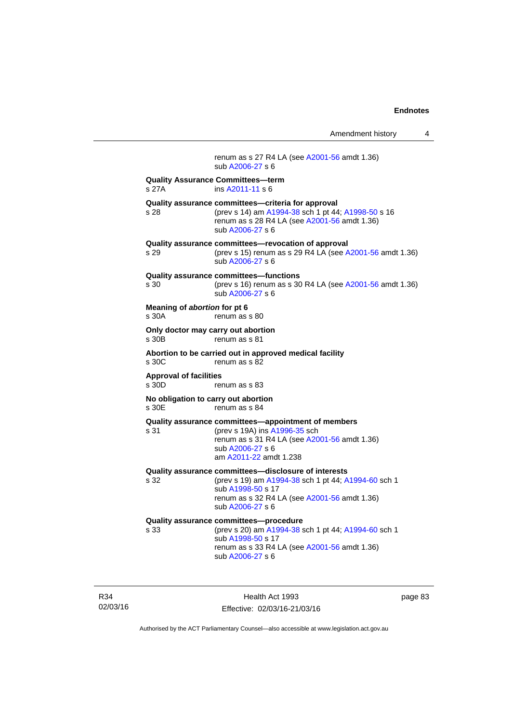Amendment history 4 renum as s 27 R4 LA (see [A2001-56](http://www.legislation.act.gov.au/a/2001-56) amdt 1.36) sub [A2006-27](http://www.legislation.act.gov.au/a/2006-27) s 6 **Quality Assurance Committees—term**  s 27A ins [A2011-11](http://www.legislation.act.gov.au/a/2011-11) s 6 **Quality assurance committees—criteria for approval** s 28 (prev s 14) am [A1994-38](http://www.legislation.act.gov.au/a/1994-38) sch 1 pt 44; [A1998-50](http://www.legislation.act.gov.au/a/1998-50) s 16 renum as s 28 R4 LA (see [A2001-56](http://www.legislation.act.gov.au/a/2001-56) amdt 1.36) sub [A2006-27](http://www.legislation.act.gov.au/a/2006-27) s 6 **Quality assurance committees—revocation of approval**  s 29 (prev s 15) renum as s 29 R4 LA (see [A2001-56](http://www.legislation.act.gov.au/a/2001-56) amdt 1.36) sub [A2006-27](http://www.legislation.act.gov.au/a/2006-27) s 6 **Quality assurance committees—functions**  s 30 (prev s 16) renum as s 30 R4 LA (see [A2001-56](http://www.legislation.act.gov.au/a/2001-56) amdt 1.36) sub [A2006-27](http://www.legislation.act.gov.au/a/2006-27) s 6 **Meaning of** *abortion* **for pt 6**  s 30A renum as s 80 **Only doctor may carry out abortion**  s 30B renum as s 81 **Abortion to be carried out in approved medical facility**   $renum$  as s  $82<sup>2</sup>$ **Approval of facilities**  s 30D renum as s 83 **No obligation to carry out abortion**  s 30E renum as s 84 **Quality assurance committees—appointment of members** s 31 (prev s 19A) ins [A1996-35](http://www.legislation.act.gov.au/a/1996-35) sch renum as s 31 R4 LA (see [A2001-56](http://www.legislation.act.gov.au/a/2001-56) amdt 1.36) sub [A2006-27](http://www.legislation.act.gov.au/a/2006-27) s 6 am [A2011-22](http://www.legislation.act.gov.au/a/2011-22) amdt 1.238 **Quality assurance committees—disclosure of interests** s 32 (prev s 19) am [A1994-38](http://www.legislation.act.gov.au/a/1994-38) sch 1 pt 44; [A1994-60](http://www.legislation.act.gov.au/a/1994-60) sch 1 sub [A1998-50](http://www.legislation.act.gov.au/a/1998-50) s 17 renum as s 32 R4 LA (see [A2001-56](http://www.legislation.act.gov.au/a/2001-56) amdt 1.36) sub [A2006-27](http://www.legislation.act.gov.au/a/2006-27) s 6 **Quality assurance committees—procedure** (prev s 20) am [A1994-38](http://www.legislation.act.gov.au/a/1994-38) sch 1 pt 44; [A1994-60](http://www.legislation.act.gov.au/a/1994-60) sch 1 sub [A1998-50](http://www.legislation.act.gov.au/a/1998-50) s 17 renum as s 33 R4 LA (see [A2001-56](http://www.legislation.act.gov.au/a/2001-56) amdt 1.36) sub [A2006-27](http://www.legislation.act.gov.au/a/2006-27) s 6

R34 02/03/16

Health Act 1993 Effective: 02/03/16-21/03/16 page 83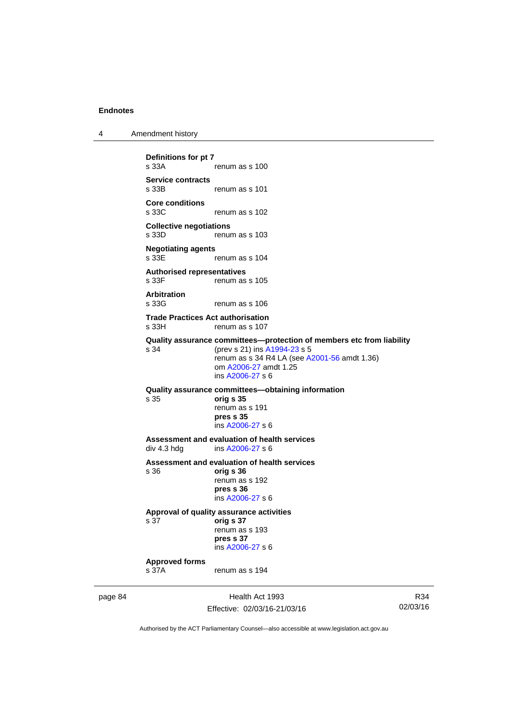| Amendment history |
|-------------------|
|                   |

```
Definitions for pt 7 
                 renum as s 100
Service contracts 
                 renum as s 101
Core conditions 
                 renum as s 102
Collective negotiations 
s 33D renum as s 103
Negotiating agents 
                 renum as s 104
Authorised representatives 
s 33F renum as s 105
Arbitration 
s 33G renum as s 106
Trade Practices Act authorisation 
s 33H renum as s 107
Quality assurance committees—protection of members etc from liability
s 34 (prev s 21) ins A1994-23 s 5 
                 renum as s 34 R4 LA (see A2001-56 amdt 1.36) 
                  om A2006-27 amdt 1.25
                  ins A2006-27 s 6
Quality assurance committees—obtaining information
s 35 orig s 35 
                  renum as s 191 
                 pres s 35 
                  ins A2006-27 s 6
Assessment and evaluation of health services<br>div 4.3 hdg ins A2006-27 s 6
                 A2006-27 s 6
Assessment and evaluation of health services 
s 36 orig s 36 
                 renum as s 192 
                 pres s 36 
                  ins A2006-27 s 6
Approval of quality assurance activities 
s 37 orig s 37 
                 renum as s 193 
                 pres s 37 
                  ins A2006-27 s 6
Approved forms 
s 37A renum as s 194
```
page 84 Health Act 1993 Effective: 02/03/16-21/03/16

R34 02/03/16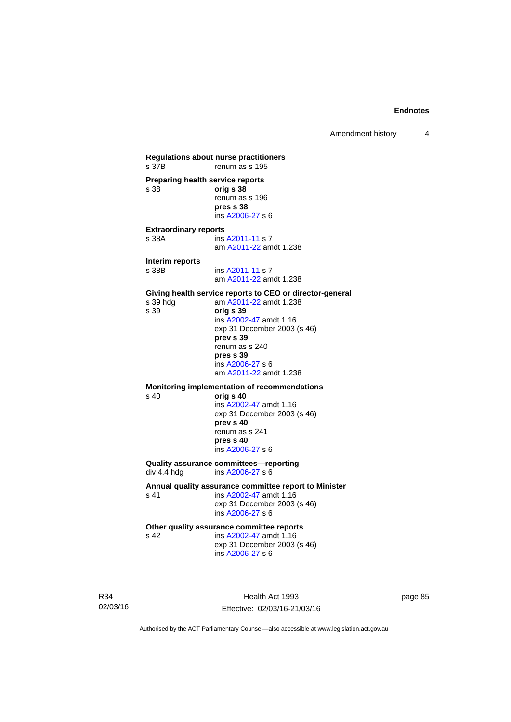**Regulations about nurse practitioners**  renum as s 195 **Preparing health service reports**  s 38 **orig s 38** renum as s 196 **pres s 38**  ins [A2006-27](http://www.legislation.act.gov.au/a/2006-27) s 6 **Extraordinary reports**<br>s 38A **ins** ins [A2011-11](http://www.legislation.act.gov.au/a/2011-11) s 7 am [A2011-22](http://www.legislation.act.gov.au/a/2011-22) amdt 1.238 **Interim reports**  ins [A2011-11](http://www.legislation.act.gov.au/a/2011-11) s 7 am [A2011-22](http://www.legislation.act.gov.au/a/2011-22) amdt 1.238 Giving health service reports to CEO or director-general<br>
s 39 hdg am A2011-22 amdt 1.238 s 39 hdg am [A2011-22](http://www.legislation.act.gov.au/a/2011-22) amdt 1.238<br>s 39 **orig s 39** s 39 **orig s 39**  ins [A2002-47](http://www.legislation.act.gov.au/a/2002-47) amdt 1.16 exp 31 December 2003 (s 46) **prev s 39**  renum as s 240 **pres s 39**  ins [A2006-27](http://www.legislation.act.gov.au/a/2006-27) s 6 am [A2011-22](http://www.legislation.act.gov.au/a/2011-22) amdt 1.238 **Monitoring implementation of recommendations**  s 40 **orig s 40**  ins [A2002-47](http://www.legislation.act.gov.au/a/2002-47) amdt 1.16 exp 31 December 2003 (s 46) **prev s 40**  renum as s 241 **pres s 40**  ins [A2006-27](http://www.legislation.act.gov.au/a/2006-27) s 6 **Quality assurance committees—reporting**  div 4.4 hdg ins [A2006-27](http://www.legislation.act.gov.au/a/2006-27) s 6 **Annual quality assurance committee report to Minister**  s 41 **ins A2002-47** amdt 1.16 exp 31 December 2003 (s 46) ins [A2006-27](http://www.legislation.act.gov.au/a/2006-27) s 6 **Other quality assurance committee reports** 

s 42 **ins A2002-47** amdt 1.16 exp 31 December 2003 (s 46) ins [A2006-27](http://www.legislation.act.gov.au/a/2006-27) s 6

R34 02/03/16

Health Act 1993 Effective: 02/03/16-21/03/16 page 85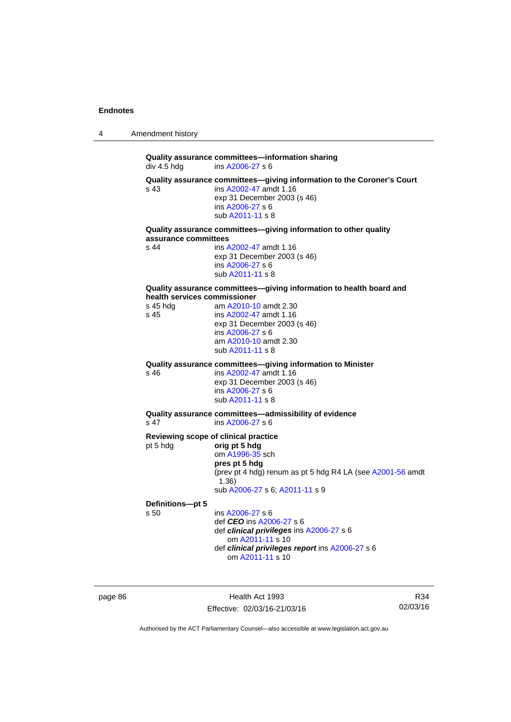4 Amendment history

**Quality assurance committees—information sharing div 4.5 hdg ins A2006-27 s 6** ins  $A2006 - 27$  s 6 **Quality assurance committees—giving information to the Coroner's Court**  s 43 ins [A2002-47](http://www.legislation.act.gov.au/a/2002-47) amdt 1.16 exp 31 December 2003 (s 46) ins [A2006-27](http://www.legislation.act.gov.au/a/2006-27) s 6 sub [A2011-11](http://www.legislation.act.gov.au/a/2011-11) s 8 **Quality assurance committees—giving information to other quality assurance committees**  s 44 ins [A2002-47](http://www.legislation.act.gov.au/a/2002-47) amdt 1.16 exp 31 December 2003 (s 46) ins [A2006-27](http://www.legislation.act.gov.au/a/2006-27) s 6 sub [A2011-11](http://www.legislation.act.gov.au/a/2011-11) s 8 **Quality assurance committees—giving information to health board and health services commissioner**<br>s 45 hdg am A2010-1 am [A2010-10](http://www.legislation.act.gov.au/a/2010-10) amdt 2.30 s 45 ins [A2002-47](http://www.legislation.act.gov.au/a/2002-47) amdt 1.16 exp 31 December 2003 (s 46) ins [A2006-27](http://www.legislation.act.gov.au/a/2006-27) s 6 am [A2010-10](http://www.legislation.act.gov.au/a/2010-10) amdt 2.30 sub [A2011-11](http://www.legislation.act.gov.au/a/2011-11) s 8 **Quality assurance committees—giving information to Minister**  ins [A2002-47](http://www.legislation.act.gov.au/a/2002-47) amdt 1.16 exp 31 December 2003 (s 46) ins [A2006-27](http://www.legislation.act.gov.au/a/2006-27) s 6 sub [A2011-11](http://www.legislation.act.gov.au/a/2011-11) s 8 **Quality assurance committees—admissibility of evidence**  s 47 ins [A2006-27](http://www.legislation.act.gov.au/a/2006-27) s 6 **Reviewing scope of clinical practice**<br>pt 5 hdg **orig pt 5 hdg** pt 5 hdg **orig pt 5 hdg** om [A1996-35](http://www.legislation.act.gov.au/a/1996-35) sch **pres pt 5 hdg**  (prev pt 4 hdg) renum as pt 5 hdg R4 LA (see [A2001-56](http://www.legislation.act.gov.au/a/2001-56) amdt 1.36) sub [A2006-27](http://www.legislation.act.gov.au/a/2006-27) s 6; [A2011-11](http://www.legislation.act.gov.au/a/2011-11) s 9 **Definitions—pt 5**   $ins A2006-27 s 6$  $ins A2006-27 s 6$  $ins A2006-27 s 6$  def *CEO* ins [A2006-27](http://www.legislation.act.gov.au/a/2006-27) s 6 def *clinical privileges* ins [A2006-27](http://www.legislation.act.gov.au/a/2006-27) s 6 om [A2011-11](http://www.legislation.act.gov.au/a/2011-11) s 10 def *clinical privileges report* ins [A2006-27](http://www.legislation.act.gov.au/a/2006-27) s 6 om [A2011-11](http://www.legislation.act.gov.au/a/2011-11) s 10

page 86 Health Act 1993 Effective: 02/03/16-21/03/16

R34 02/03/16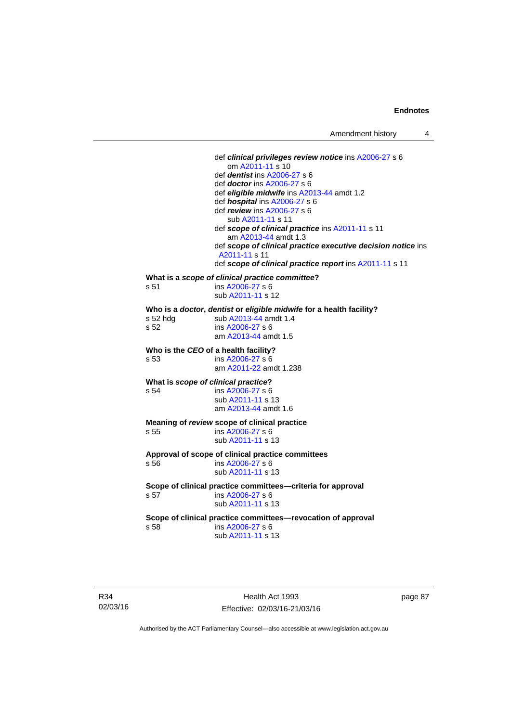def *clinical privileges review notice* ins [A2006-27](http://www.legislation.act.gov.au/a/2006-27) s 6 om [A2011-11](http://www.legislation.act.gov.au/a/2011-11) s 10 def *dentist* ins [A2006-27](http://www.legislation.act.gov.au/a/2006-27) s 6 def *doctor* ins [A2006-27](http://www.legislation.act.gov.au/a/2006-27) s 6 def *eligible midwife* ins [A2013-44](http://www.legislation.act.gov.au/a/2013-44) amdt 1.2 def *hospital* ins [A2006-27](http://www.legislation.act.gov.au/a/2006-27) s 6 def *review* ins [A2006-27](http://www.legislation.act.gov.au/a/2006-27) s 6 sub [A2011-11](http://www.legislation.act.gov.au/a/2011-11) s 11 def *scope of clinical practice* ins [A2011-11](http://www.legislation.act.gov.au/a/2011-11) s 11 am [A2013-44](http://www.legislation.act.gov.au/a/2013-44) amdt 1.3 def *scope of clinical practice executive decision notice* ins [A2011-11](http://www.legislation.act.gov.au/a/2011-11) s 11 def *scope of clinical practice report* ins [A2011-11](http://www.legislation.act.gov.au/a/2011-11) s 11 **What is a** *scope of clinical practice committee***?**  s 51 ins [A2006-27](http://www.legislation.act.gov.au/a/2006-27) s 6 sub [A2011-11](http://www.legislation.act.gov.au/a/2011-11) s 12 **Who is a** *doctor***,** *dentist* **or** *eligible midwife* **for a health facility? <br>
s 52 hdg sub A2013-44 amdt 1.4** sub [A2013-44](http://www.legislation.act.gov.au/a/2013-44) amdt 1.4 s 52 ins [A2006-27](http://www.legislation.act.gov.au/a/2006-27) s 6 am [A2013-44](http://www.legislation.act.gov.au/a/2013-44) amdt 1.5 **Who is the** *CEO* **of a health facility?**  s 53 ins [A2006-27](http://www.legislation.act.gov.au/a/2006-27) s 6 am [A2011-22](http://www.legislation.act.gov.au/a/2011-22) amdt 1.238 **What is** *scope of clinical practice***?**<br> **8 64 ins A2006-27 s 6** ins [A2006-27](http://www.legislation.act.gov.au/a/2006-27) s 6 sub [A2011-11](http://www.legislation.act.gov.au/a/2011-11) s 13 am [A2013-44](http://www.legislation.act.gov.au/a/2013-44) amdt 1.6 **Meaning of** *review* **scope of clinical practice**  s 55 ins [A2006-27](http://www.legislation.act.gov.au/a/2006-27) s 6 sub [A2011-11](http://www.legislation.act.gov.au/a/2011-11) s 13 **Approval of scope of clinical practice committees**  s 56 ins [A2006-27](http://www.legislation.act.gov.au/a/2006-27) s 6 sub [A2011-11](http://www.legislation.act.gov.au/a/2011-11) s 13 **Scope of clinical practice committees—criteria for approval**  s 57 ins [A2006-27](http://www.legislation.act.gov.au/a/2006-27) s 6 sub [A2011-11](http://www.legislation.act.gov.au/a/2011-11) s 13 **Scope of clinical practice committees—revocation of approval**  s 58 ins [A2006-27](http://www.legislation.act.gov.au/a/2006-27) s 6 sub [A2011-11](http://www.legislation.act.gov.au/a/2011-11) s 13

R34 02/03/16

Health Act 1993 Effective: 02/03/16-21/03/16 page 87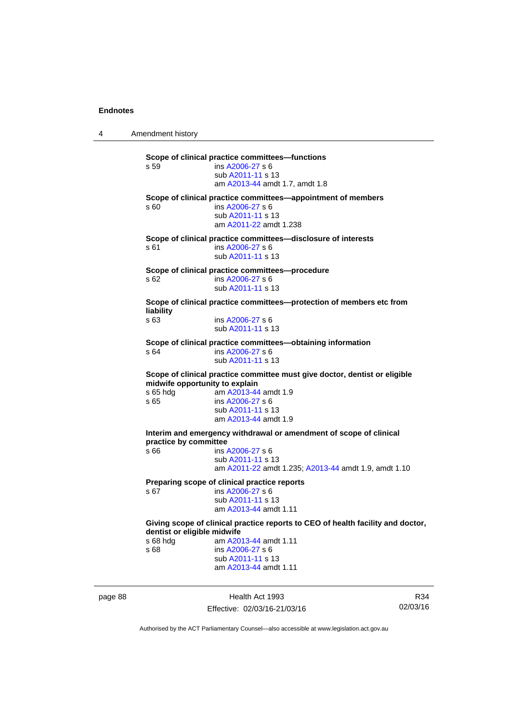4 Amendment history **Scope of clinical practice committees—functions**  s 59 ins [A2006-27](http://www.legislation.act.gov.au/a/2006-27) s 6 sub [A2011-11](http://www.legislation.act.gov.au/a/2011-11) s 13 am [A2013-44](http://www.legislation.act.gov.au/a/2013-44) amdt 1.7, amdt 1.8 **Scope of clinical practice committees—appointment of members**  s 60 ins [A2006-27](http://www.legislation.act.gov.au/a/2006-27) s 6 sub [A2011-11](http://www.legislation.act.gov.au/a/2011-11) s 13 am [A2011-22](http://www.legislation.act.gov.au/a/2011-22) amdt 1.238 **Scope of clinical practice committees—disclosure of interests**  s 61 ins [A2006-27](http://www.legislation.act.gov.au/a/2006-27) s 6 sub [A2011-11](http://www.legislation.act.gov.au/a/2011-11) s 13 **Scope of clinical practice committees—procedure**  s 62 ins [A2006-27](http://www.legislation.act.gov.au/a/2006-27) s 6 sub [A2011-11](http://www.legislation.act.gov.au/a/2011-11) s 13 **Scope of clinical practice committees—protection of members etc from liability**  s 63 ins [A2006-27](http://www.legislation.act.gov.au/a/2006-27) s 6 sub [A2011-11](http://www.legislation.act.gov.au/a/2011-11) s 13 **Scope of clinical practice committees—obtaining information**  $s$  64 **ins A2006-27 s 6** ins [A2006-27](http://www.legislation.act.gov.au/a/2006-27) s 6 sub [A2011-11](http://www.legislation.act.gov.au/a/2011-11) s 13 **Scope of clinical practice committee must give doctor, dentist or eligible midwife opportunity to explain**  s 65 hdg am [A2013-44](http://www.legislation.act.gov.au/a/2013-44) amdt 1.9 s 65 ins [A2006-27](http://www.legislation.act.gov.au/a/2006-27) s 6 sub [A2011-11](http://www.legislation.act.gov.au/a/2011-11) s 13 am [A2013-44](http://www.legislation.act.gov.au/a/2013-44) amdt 1.9 **Interim and emergency withdrawal or amendment of scope of clinical practice by committee**  s 66 ins [A2006-27](http://www.legislation.act.gov.au/a/2006-27) s 6 sub [A2011-11](http://www.legislation.act.gov.au/a/2011-11) s 13 am [A2011-22](http://www.legislation.act.gov.au/a/2011-22) amdt 1.235; [A2013-44](http://www.legislation.act.gov.au/a/2013-44) amdt 1.9, amdt 1.10 **Preparing scope of clinical practice reports**  s 67 ins [A2006-27](http://www.legislation.act.gov.au/a/2006-27) s 6 sub [A2011-11](http://www.legislation.act.gov.au/a/2011-11) s 13 am [A2013-44](http://www.legislation.act.gov.au/a/2013-44) amdt 1.11 **Giving scope of clinical practice reports to CEO of health facility and doctor, dentist or eligible midwife**  s 68 hdg am [A2013-44](http://www.legislation.act.gov.au/a/2013-44) amdt 1.11<br>s 68 ins A2006-27 s 6 ins [A2006-27](http://www.legislation.act.gov.au/a/2006-27) s 6 sub [A2011-11](http://www.legislation.act.gov.au/a/2011-11) s 13 am [A2013-44](http://www.legislation.act.gov.au/a/2013-44) amdt 1.11

page 88 Health Act 1993 Effective: 02/03/16-21/03/16

R34 02/03/16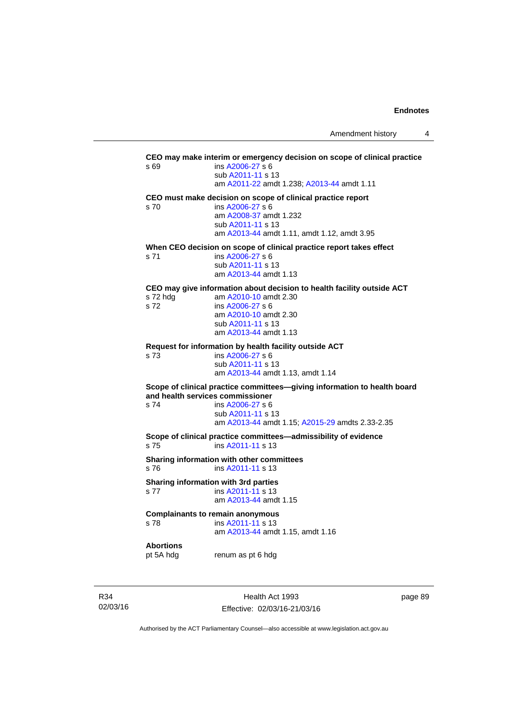**CEO may make interim or emergency decision on scope of clinical practice**  s 69 ins [A2006-27](http://www.legislation.act.gov.au/a/2006-27) s 6 sub [A2011-11](http://www.legislation.act.gov.au/a/2011-11) s 13 am [A2011-22](http://www.legislation.act.gov.au/a/2011-22) amdt 1.238; [A2013-44](http://www.legislation.act.gov.au/a/2013-44) amdt 1.11 **CEO must make decision on scope of clinical practice report**  s 70 ins [A2006-27](http://www.legislation.act.gov.au/a/2006-27) s 6 am [A2008-37](http://www.legislation.act.gov.au/a/2008-37) amdt 1.232 sub [A2011-11](http://www.legislation.act.gov.au/a/2011-11) s 13 am [A2013-44](http://www.legislation.act.gov.au/a/2013-44) amdt 1.11, amdt 1.12, amdt 3.95 **When CEO decision on scope of clinical practice report takes effect**  s 71 ins [A2006-27](http://www.legislation.act.gov.au/a/2006-27) s 6 sub [A2011-11](http://www.legislation.act.gov.au/a/2011-11) s 13 am [A2013-44](http://www.legislation.act.gov.au/a/2013-44) amdt 1.13 **CEO may give information about decision to health facility outside ACT**  s 72 hdg am  $A2010-10$  amdt 2.30<br>s 72 ins  $A2006-27$  s 6 ins [A2006-27](http://www.legislation.act.gov.au/a/2006-27) s 6 am [A2010-10](http://www.legislation.act.gov.au/a/2010-10) amdt 2.30 sub [A2011-11](http://www.legislation.act.gov.au/a/2011-11) s 13 am [A2013-44](http://www.legislation.act.gov.au/a/2013-44) amdt 1.13 **Request for information by health facility outside ACT**  s 73 ins [A2006-27](http://www.legislation.act.gov.au/a/2006-27) s 6 sub [A2011-11](http://www.legislation.act.gov.au/a/2011-11) s 13 am [A2013-44](http://www.legislation.act.gov.au/a/2013-44) amdt 1.13, amdt 1.14 **Scope of clinical practice committees—giving information to health board and health services commissioner**  s 74 ins [A2006-27](http://www.legislation.act.gov.au/a/2006-27) s 6 sub [A2011-11](http://www.legislation.act.gov.au/a/2011-11) s 13 am [A2013-44](http://www.legislation.act.gov.au/a/2013-44) amdt 1.15; [A2015-29](http://www.legislation.act.gov.au/a/2015-29/default.asp) amdts 2.33-2.35 **Scope of clinical practice committees—admissibility of evidence**  s 75 ins [A2011-11](http://www.legislation.act.gov.au/a/2011-11) s 13 **Sharing information with other committees**  s 76 ins [A2011-11](http://www.legislation.act.gov.au/a/2011-11) s 13 **Sharing information with 3rd parties**  s 77 ins [A2011-11](http://www.legislation.act.gov.au/a/2011-11) s 13 am [A2013-44](http://www.legislation.act.gov.au/a/2013-44) amdt 1.15 **Complainants to remain anonymous**  s 78 ins [A2011-11](http://www.legislation.act.gov.au/a/2011-11) s 13 am [A2013-44](http://www.legislation.act.gov.au/a/2013-44) amdt 1.15, amdt 1.16 **Abortions**  pt 5A hdg renum as pt 6 hdg

R34 02/03/16

Health Act 1993 Effective: 02/03/16-21/03/16 page 89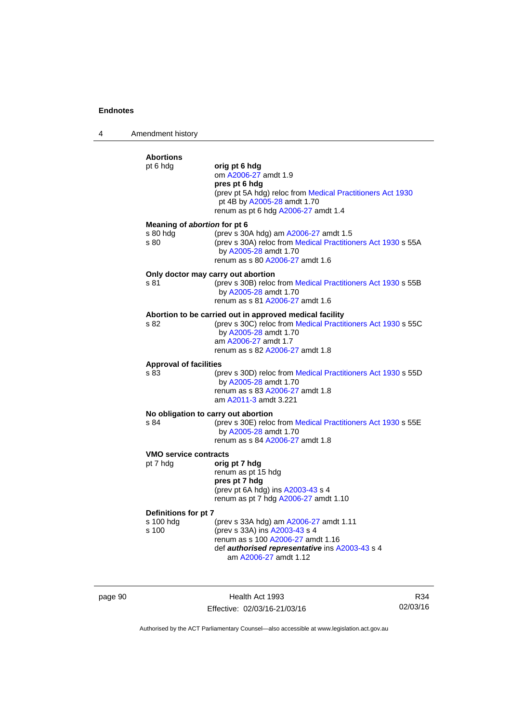4 Amendment history

### **Abortions**  pt 6 hdg **orig pt 6 hdg**  om [A2006-27](http://www.legislation.act.gov.au/a/2006-27) amdt 1.9 **pres pt 6 hdg**  (prev pt 5A hdg) reloc from [Medical Practitioners Act 1930](http://www.legislation.act.gov.au/a/1930-13) pt 4B by [A2005-28](http://www.legislation.act.gov.au/a/2005-28) amdt 1.70 renum as pt 6 hdg [A2006-27](http://www.legislation.act.gov.au/a/2006-27) amdt 1.4 **Meaning of** *abortion* **for pt 6**  s 80 hdg (prev s 30A hdg) am [A2006-27](http://www.legislation.act.gov.au/a/2006-27) amdt 1.5 s 80 (prev s 30A) reloc from [Medical Practitioners Act 1930](http://www.legislation.act.gov.au/a/1930-13) s 55A by [A2005-28](http://www.legislation.act.gov.au/a/2005-28) amdt 1.70 renum as s 80 [A2006-27](http://www.legislation.act.gov.au/a/2006-27) amdt 1.6 **Only doctor may carry out abortion**  s 81 (prev s 30B) reloc from [Medical Practitioners Act 1930](http://www.legislation.act.gov.au/a/1930-13) s 55B by [A2005-28](http://www.legislation.act.gov.au/a/2005-28) amdt 1.70 renum as s 81 [A2006-27](http://www.legislation.act.gov.au/a/2006-27) amdt 1.6 **Abortion to be carried out in approved medical facility**  s 82 (prev s 30C) reloc from [Medical Practitioners Act 1930](http://www.legislation.act.gov.au/a/1930-13) s 55C by [A2005-28](http://www.legislation.act.gov.au/a/2005-28) amdt 1.70 am [A2006-27](http://www.legislation.act.gov.au/a/2006-27) amdt 1.7 renum as s 82 [A2006-27](http://www.legislation.act.gov.au/a/2006-27) amdt 1.8 **Approval of facilities**  s 83 (prev s 30D) reloc from [Medical Practitioners Act 1930](http://www.legislation.act.gov.au/a/1930-13) s 55D by [A2005-28](http://www.legislation.act.gov.au/a/2005-28) amdt 1.70 renum as s 83 [A2006-27](http://www.legislation.act.gov.au/a/2006-27) amdt 1.8 am [A2011-3](http://www.legislation.act.gov.au/a/2011-3) amdt 3.221 **No obligation to carry out abortion**  s 84 (prev s 30E) reloc from [Medical Practitioners Act 1930](http://www.legislation.act.gov.au/a/1930-13) s 55E by [A2005-28](http://www.legislation.act.gov.au/a/2005-28) amdt 1.70 renum as s 84 [A2006-27](http://www.legislation.act.gov.au/a/2006-27) amdt 1.8 **VMO service contracts**  pt 7 hdg **orig pt 7 hdg**  renum as pt 15 hdg **pres pt 7 hdg**  (prev pt 6A hdg) ins [A2003-43](http://www.legislation.act.gov.au/a/2003-43) s 4 renum as pt 7 hdg [A2006-27](http://www.legislation.act.gov.au/a/2006-27) amdt 1.10 **Definitions for pt 7**  s 100 hdg (prev s 33A hdg) am [A2006-27](http://www.legislation.act.gov.au/a/2006-27) amdt 1.11 s 100 (prev s 33A) ins [A2003-43](http://www.legislation.act.gov.au/a/2003-43) s 4 renum as s 100 [A2006-27](http://www.legislation.act.gov.au/a/2006-27) amdt 1.16 def *authorised representative* ins [A2003-43](http://www.legislation.act.gov.au/a/2003-43) s 4 am [A2006-27](http://www.legislation.act.gov.au/a/2006-27) amdt 1.12

page 90 Health Act 1993 Effective: 02/03/16-21/03/16

R34 02/03/16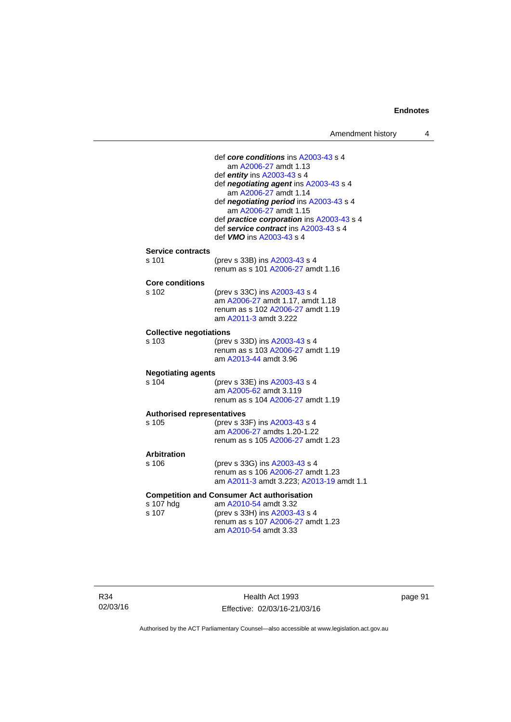def *core conditions* ins [A2003-43](http://www.legislation.act.gov.au/a/2003-43) s 4 am [A2006-27](http://www.legislation.act.gov.au/a/2006-27) amdt 1.13 def *entity* ins [A2003-43](http://www.legislation.act.gov.au/a/2003-43) s 4 def *negotiating agent* ins [A2003-43](http://www.legislation.act.gov.au/a/2003-43) s 4 am [A2006-27](http://www.legislation.act.gov.au/a/2006-27) amdt 1.14 def *negotiating period* ins [A2003-43](http://www.legislation.act.gov.au/a/2003-43) s 4 am [A2006-27](http://www.legislation.act.gov.au/a/2006-27) amdt 1.15 def *practice corporation* ins [A2003-43](http://www.legislation.act.gov.au/a/2003-43) s 4 def *service contract* ins [A2003-43](http://www.legislation.act.gov.au/a/2003-43) s 4 def *VMO* ins [A2003-43](http://www.legislation.act.gov.au/a/2003-43) s 4 **Service contracts**  (prev s 33B) ins [A2003-43](http://www.legislation.act.gov.au/a/2003-43) s 4 renum as s 101 [A2006-27](http://www.legislation.act.gov.au/a/2006-27) amdt 1.16 **Core conditions**  s 102 (prev s 33C) ins [A2003-43](http://www.legislation.act.gov.au/a/2003-43) s 4 am [A2006-27](http://www.legislation.act.gov.au/a/2006-27) amdt 1.17, amdt 1.18 renum as s 102 [A2006-27](http://www.legislation.act.gov.au/a/2006-27) amdt 1.19 am [A2011-3](http://www.legislation.act.gov.au/a/2011-3) amdt 3.222 **Collective negotiations**  s 103 (prev s 33D) ins [A2003-43](http://www.legislation.act.gov.au/a/2003-43) s 4 renum as s 103 [A2006-27](http://www.legislation.act.gov.au/a/2006-27) amdt 1.19 am [A2013-44](http://www.legislation.act.gov.au/a/2013-44) amdt 3.96 **Negotiating agents**  s 104 (prev s 33E) ins [A2003-43](http://www.legislation.act.gov.au/a/2003-43) s 4 am [A2005-62](http://www.legislation.act.gov.au/a/2005-62) amdt 3.119 renum as s 104 [A2006-27](http://www.legislation.act.gov.au/a/2006-27) amdt 1.19 **Authorised representatives**  s 105 (prev s 33F) ins [A2003-43](http://www.legislation.act.gov.au/a/2003-43) s 4 am [A2006-27](http://www.legislation.act.gov.au/a/2006-27) amdts 1.20-1.22 renum as s 105 [A2006-27](http://www.legislation.act.gov.au/a/2006-27) amdt 1.23 **Arbitration**  (prev s 33G) ins [A2003-43](http://www.legislation.act.gov.au/a/2003-43) s 4 renum as s 106 [A2006-27](http://www.legislation.act.gov.au/a/2006-27) amdt 1.23 am [A2011-3](http://www.legislation.act.gov.au/a/2011-3) amdt 3.223; [A2013-19](http://www.legislation.act.gov.au/a/2013-19) amdt 1.1 **Competition and Consumer Act authorisation**<br>s 107 hdg am A2010-54 amdt 3.32 s 107 hdg am [A2010-54](http://www.legislation.act.gov.au/a/2010-54) amdt 3.32<br>s 107 (prev s 33H) ins A2003-4 (prev s 33H) ins [A2003-43](http://www.legislation.act.gov.au/a/2003-43) s 4 renum as s 107 [A2006-27](http://www.legislation.act.gov.au/a/2006-27) amdt 1.23 am [A2010-54](http://www.legislation.act.gov.au/a/2010-54) amdt 3.33

R34 02/03/16

Health Act 1993 Effective: 02/03/16-21/03/16 page 91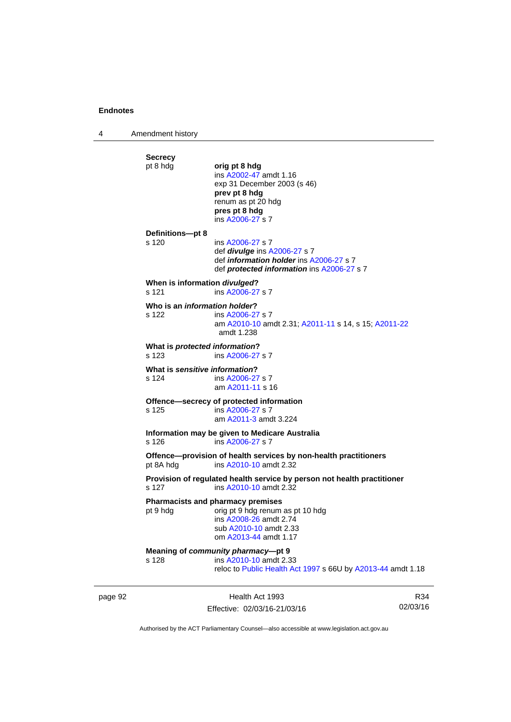4 Amendment history **Secrecy**  pt 8 hdg **orig pt 8 hdg**  ins [A2002-47](http://www.legislation.act.gov.au/a/2002-47) amdt 1.16 exp 31 December 2003 (s 46) **prev pt 8 hdg**  renum as pt 20 hdg **pres pt 8 hdg**  ins [A2006-27](http://www.legislation.act.gov.au/a/2006-27) s 7 **Definitions—pt 8**  s 120 ins [A2006-27](http://www.legislation.act.gov.au/a/2006-27) s 7 def *divulge* ins [A2006-27](http://www.legislation.act.gov.au/a/2006-27) s 7 def *information holder* ins [A2006-27](http://www.legislation.act.gov.au/a/2006-27) s 7 def *protected information* ins [A2006-27](http://www.legislation.act.gov.au/a/2006-27) s 7 **When is information** *divulged***?**  s 121 ins [A2006-27](http://www.legislation.act.gov.au/a/2006-27) s 7 **Who is an** *information holder***?**  s 122 ins [A2006-27](http://www.legislation.act.gov.au/a/2006-27) s 7 am [A2010-10](http://www.legislation.act.gov.au/a/2010-10) amdt 2.31; [A2011-11](http://www.legislation.act.gov.au/a/2011-11) s 14, s 15; [A2011-22](http://www.legislation.act.gov.au/a/2011-22) amdt 1.238 **What is** *protected information***?**  s 123 ins [A2006-27](http://www.legislation.act.gov.au/a/2006-27) s 7 **What is** *sensitive information***?**  s 124 ins [A2006-27](http://www.legislation.act.gov.au/a/2006-27) s 7 am [A2011-11](http://www.legislation.act.gov.au/a/2011-11) s 16 **Offence—secrecy of protected information**<br>s 125 **ins A2006-27 s** 7 ins [A2006-27](http://www.legislation.act.gov.au/a/2006-27) s 7 am [A2011-3](http://www.legislation.act.gov.au/a/2011-3) amdt 3.224 **Information may be given to Medicare Australia**  s 126 ins [A2006-27](http://www.legislation.act.gov.au/a/2006-27) s 7 **Offence—provision of health services by non-health practitioners**  pt 8A hdg ins [A2010-10](http://www.legislation.act.gov.au/a/2010-10) amdt 2.32 **Provision of regulated health service by person not health practitioner**  s 127 ins [A2010-10](http://www.legislation.act.gov.au/a/2010-10) amdt 2.32 **Pharmacists and pharmacy premises**  pt 9 hdg orig pt 9 hdg renum as pt 10 hdg ins [A2008-26](http://www.legislation.act.gov.au/a/2008-26) amdt 2.74 sub [A2010-10](http://www.legislation.act.gov.au/a/2010-10) amdt 2.33 om [A2013-44](http://www.legislation.act.gov.au/a/2013-44) amdt 1.17 **Meaning of** *community pharmacy***—pt 9**  s 128 ins [A2010-10](http://www.legislation.act.gov.au/a/2010-10) amdt 2.33 reloc to [Public Health Act 1997](http://www.legislation.act.gov.au/a/1997-69) s 66U by [A2013-44](http://www.legislation.act.gov.au/a/2013-44) amdt 1.18

page 92 Health Act 1993 Effective: 02/03/16-21/03/16

R34 02/03/16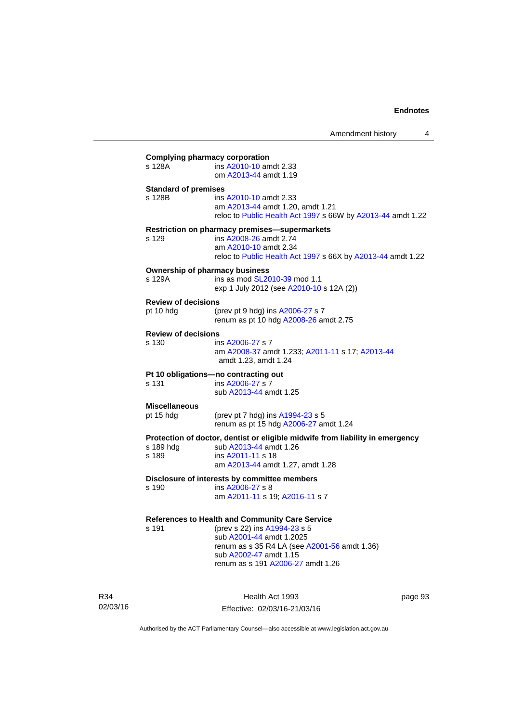| s 128A                                  | <b>Complying pharmacy corporation</b><br>ins A2010-10 amdt 2.33                                                                                                                                                            |
|-----------------------------------------|----------------------------------------------------------------------------------------------------------------------------------------------------------------------------------------------------------------------------|
|                                         | om A2013-44 amdt 1.19                                                                                                                                                                                                      |
| <b>Standard of premises</b><br>s 128B   | ins A2010-10 amdt 2.33<br>am A2013-44 amdt 1.20, amdt 1.21<br>reloc to Public Health Act 1997 s 66W by A2013-44 amdt 1.22                                                                                                  |
| s 129                                   | <b>Restriction on pharmacy premises-supermarkets</b><br>ins A2008-26 amdt 2.74<br>am A2010-10 amdt 2.34<br>reloc to Public Health Act 1997 s 66X by A2013-44 amdt 1.22                                                     |
| s 129A                                  | <b>Ownership of pharmacy business</b><br>ins as mod SL2010-39 mod 1.1<br>exp 1 July 2012 (see A2010-10 s 12A (2))                                                                                                          |
| <b>Review of decisions</b><br>pt 10 hdg | (prev pt 9 hdg) ins A2006-27 s 7<br>renum as pt 10 hdg A2008-26 amdt 2.75                                                                                                                                                  |
| <b>Review of decisions</b><br>s 130     | ins A2006-27 s 7<br>am A2008-37 amdt 1.233; A2011-11 s 17; A2013-44<br>amdt 1.23, amdt 1.24                                                                                                                                |
| s 131                                   | Pt 10 obligations-no contracting out<br>ins A2006-27 s 7<br>sub A2013-44 amdt 1.25                                                                                                                                         |
| <b>Miscellaneous</b><br>pt 15 hdg       | (prev pt 7 hdg) ins A1994-23 s 5<br>renum as pt 15 hdg A2006-27 amdt 1.24                                                                                                                                                  |
| s 189                                   | Protection of doctor, dentist or eligible midwife from liability in emergency<br>s 189 hdg sub A2013-44 amdt 1.26<br>ins A2011-11 s 18<br>am A2013-44 amdt 1.27, amdt 1.28                                                 |
| s 190                                   | Disclosure of interests by committee members<br>ins A2006-27 s 8<br>am A2011-11 s 19; A2016-11 s 7                                                                                                                         |
| s 191                                   | References to Health and Community Care Service<br>(prev s 22) ins A1994-23 s 5<br>sub A2001-44 amdt 1.2025<br>renum as s 35 R4 LA (see A2001-56 amdt 1.36)<br>sub A2002-47 amdt 1.15<br>renum as s 191 A2006-27 amdt 1.26 |

R34 02/03/16

Health Act 1993 Effective: 02/03/16-21/03/16 page 93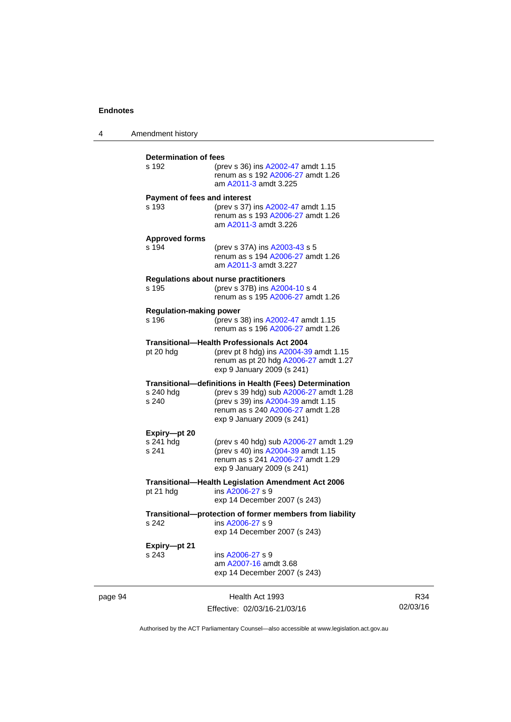4 Amendment history

|         | <b>Determination of fees</b><br>s 192                                                                                                                                           | (prev s 36) ins A2002-47 amdt 1.15<br>renum as s 192 A2006-27 amdt 1.26<br>am A2011-3 amdt 3.225                                                                                                           |  |
|---------|---------------------------------------------------------------------------------------------------------------------------------------------------------------------------------|------------------------------------------------------------------------------------------------------------------------------------------------------------------------------------------------------------|--|
|         | Payment of fees and interest<br>s 193                                                                                                                                           | (prev s 37) ins A2002-47 amdt 1.15<br>renum as s 193 A2006-27 amdt 1.26<br>am A2011-3 amdt 3.226                                                                                                           |  |
|         | <b>Approved forms</b><br>s 194                                                                                                                                                  | (prev s 37A) ins A2003-43 s 5<br>renum as s 194 A2006-27 amdt 1.26<br>am A2011-3 amdt 3.227                                                                                                                |  |
|         | s 195                                                                                                                                                                           | <b>Regulations about nurse practitioners</b><br>(prev s 37B) ins A2004-10 s 4<br>renum as s 195 A2006-27 amdt 1.26                                                                                         |  |
|         | <b>Regulation-making power</b><br>s 196                                                                                                                                         | (prev s 38) ins A2002-47 amdt 1.15<br>renum as s 196 A2006-27 amdt 1.26                                                                                                                                    |  |
|         | <b>Transitional-Health Professionals Act 2004</b><br>pt 20 hdg<br>(prev pt 8 hdg) ins A2004-39 amdt 1.15<br>renum as pt 20 hdg A2006-27 amdt 1.27<br>exp 9 January 2009 (s 241) |                                                                                                                                                                                                            |  |
|         | s 240 hdg<br>s 240                                                                                                                                                              | Transitional-definitions in Health (Fees) Determination<br>(prev s 39 hdg) sub A2006-27 amdt 1.28<br>(prev s 39) ins A2004-39 amdt 1.15<br>renum as s 240 A2006-27 amdt 1.28<br>exp 9 January 2009 (s 241) |  |
|         | Expiry-pt 20<br>s 241 hdg<br>s 241                                                                                                                                              | (prev s 40 hdg) sub A2006-27 amdt 1.29<br>(prev s 40) ins A2004-39 amdt 1.15<br>renum as s 241 A2006-27 amdt 1.29<br>exp 9 January 2009 (s 241)                                                            |  |
|         | pt 21 hdg                                                                                                                                                                       | <b>Transitional-Health Legislation Amendment Act 2006</b><br>ins A2006-27 s 9<br>exp 14 December 2007 (s 243)                                                                                              |  |
|         | s 242                                                                                                                                                                           | Transitional-protection of former members from liability<br>ins A2006-27 s 9<br>exp 14 December 2007 (s 243)                                                                                               |  |
|         | Expiry-pt 21<br>s 243                                                                                                                                                           | ins A2006-27 s 9<br>am A2007-16 amdt 3.68<br>exp 14 December 2007 (s 243)                                                                                                                                  |  |
| page 94 |                                                                                                                                                                                 | Health Act 1993                                                                                                                                                                                            |  |

R34 02/03/16

Authorised by the ACT Parliamentary Counsel—also accessible at www.legislation.act.gov.au

Effective: 02/03/16-21/03/16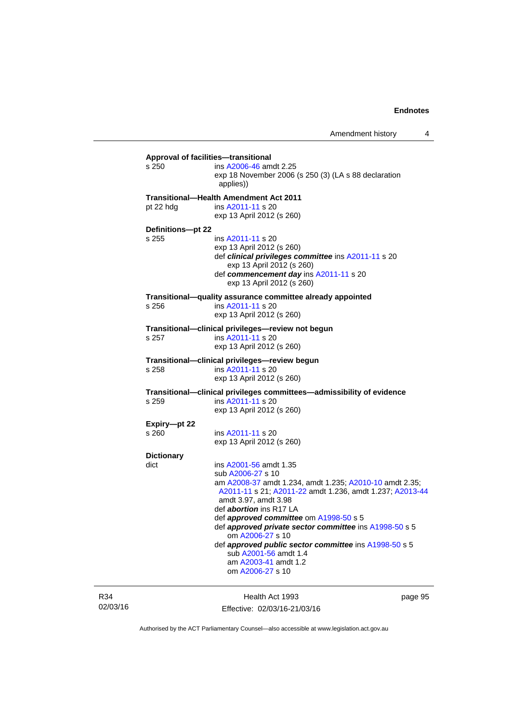Amendment history 4

**Approval of facilities—transitional**  s 250 ins [A2006-46](http://www.legislation.act.gov.au/a/2006-46) amdt 2.25 exp 18 November 2006 (s 250 (3) (LA s 88 declaration applies)) **Transitional—Health Amendment Act 2011**  pt 22 hdg ins [A2011-11](http://www.legislation.act.gov.au/a/2011-11) s 20 exp 13 April 2012 (s 260) **Definitions—pt 22**  ins [A2011-11](http://www.legislation.act.gov.au/a/2011-11) s 20 exp 13 April 2012 (s 260) def *clinical privileges committee* ins [A2011-11](http://www.legislation.act.gov.au/a/2011-11) s 20 exp 13 April 2012 (s 260) def *commencement day* ins [A2011-11](http://www.legislation.act.gov.au/a/2011-11) s 20 exp 13 April 2012 (s 260) **Transitional—quality assurance committee already appointed**  ins [A2011-11](http://www.legislation.act.gov.au/a/2011-11) s 20 exp 13 April 2012 (s 260) **Transitional—clinical privileges—review not begun**  s 257 ins [A2011-11](http://www.legislation.act.gov.au/a/2011-11) s 20 exp 13 April 2012 (s 260) **Transitional—clinical privileges—review begun**  s 258 ins [A2011-11](http://www.legislation.act.gov.au/a/2011-11) s 20 exp 13 April 2012 (s 260) **Transitional—clinical privileges committees—admissibility of evidence**  s 259 ins [A2011-11](http://www.legislation.act.gov.au/a/2011-11) s 20 exp 13 April 2012 (s 260) **Expiry—pt 22**  s 260 ins [A2011-11](http://www.legislation.act.gov.au/a/2011-11) s 20 exp 13 April 2012 (s 260) **Dictionary**   $dict$  ins  $A2001-56$  amdt 1.35 sub [A2006-27](http://www.legislation.act.gov.au/a/2006-27) s 10 am [A2008-37](http://www.legislation.act.gov.au/a/2008-37) amdt 1.234, amdt 1.235; [A2010-10](http://www.legislation.act.gov.au/a/2010-10) amdt 2.35; [A2011-11](http://www.legislation.act.gov.au/a/2011-11) s 21; [A2011-22](http://www.legislation.act.gov.au/a/2011-22) amdt 1.236, amdt 1.237; [A2013-44](http://www.legislation.act.gov.au/a/2013-44) amdt 3.97, amdt 3.98 def *abortion* ins R17 LA def *approved committee* om [A1998-50](http://www.legislation.act.gov.au/a/1998-50) s 5 def *approved private sector committee* ins [A1998-50](http://www.legislation.act.gov.au/a/1998-50) s 5 om [A2006-27](http://www.legislation.act.gov.au/a/2006-27) s 10 def *approved public sector committee* ins [A1998-50](http://www.legislation.act.gov.au/a/1998-50) s 5 sub [A2001-56](http://www.legislation.act.gov.au/a/2001-56) amdt 1.4 am [A2003-41](http://www.legislation.act.gov.au/a/2003-41) amdt 1.2 om [A2006-27](http://www.legislation.act.gov.au/a/2006-27) s 10

R34 02/03/16

Health Act 1993 Effective: 02/03/16-21/03/16 page 95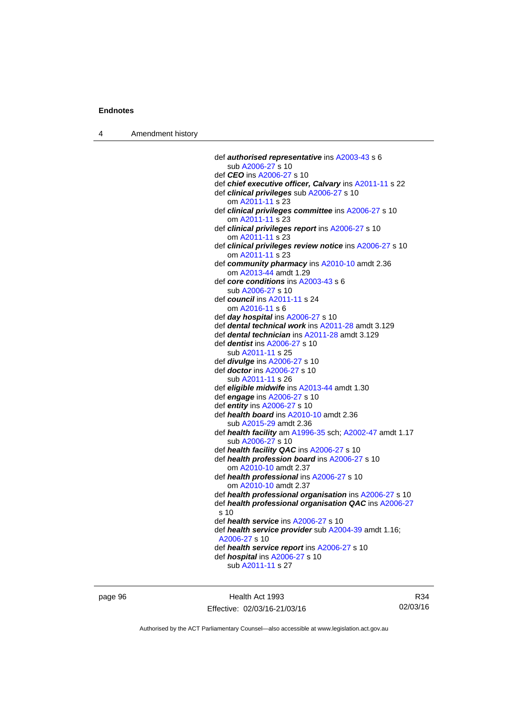4 Amendment history

 def *authorised representative* ins [A2003-43](http://www.legislation.act.gov.au/a/2003-43) s 6 sub [A2006-27](http://www.legislation.act.gov.au/a/2006-27) s 10 def *CEO* ins [A2006-27](http://www.legislation.act.gov.au/a/2006-27) s 10 def *chief executive officer, Calvary* ins [A2011-11](http://www.legislation.act.gov.au/a/2011-11) s 22 def *clinical privileges* sub [A2006-27](http://www.legislation.act.gov.au/a/2006-27) s 10 om [A2011-11](http://www.legislation.act.gov.au/a/2011-11) s 23 def *clinical privileges committee* ins [A2006-27](http://www.legislation.act.gov.au/a/2006-27) s 10 om [A2011-11](http://www.legislation.act.gov.au/a/2011-11) s 23 def *clinical privileges report* ins [A2006-27](http://www.legislation.act.gov.au/a/2006-27) s 10 om [A2011-11](http://www.legislation.act.gov.au/a/2011-11) s 23 def *clinical privileges review notice* ins [A2006-27](http://www.legislation.act.gov.au/a/2006-27) s 10 om [A2011-11](http://www.legislation.act.gov.au/a/2011-11) s 23 def *community pharmacy* ins [A2010-10](http://www.legislation.act.gov.au/a/2010-10) amdt 2.36 om [A2013-44](http://www.legislation.act.gov.au/a/2013-44) amdt 1.29 def *core conditions* ins [A2003-43](http://www.legislation.act.gov.au/a/2003-43) s 6 sub [A2006-27](http://www.legislation.act.gov.au/a/2006-27) s 10 def *council* ins [A2011-11](http://www.legislation.act.gov.au/a/2011-11) s 24 om [A2016-11](http://www.legislation.act.gov.au/a/2016-11) s 6 def *day hospital* ins [A2006-27](http://www.legislation.act.gov.au/a/2006-27) s 10 def *dental technical work* ins [A2011-28](http://www.legislation.act.gov.au/a/2011-28) amdt 3.129 def *dental technician* ins [A2011-28](http://www.legislation.act.gov.au/a/2011-28) amdt 3.129 def *dentist* ins [A2006-27](http://www.legislation.act.gov.au/a/2006-27) s 10 sub [A2011-11](http://www.legislation.act.gov.au/a/2011-11) s 25 def *divulge* ins [A2006-27](http://www.legislation.act.gov.au/a/2006-27) s 10 def *doctor* ins [A2006-27](http://www.legislation.act.gov.au/a/2006-27) s 10 sub [A2011-11](http://www.legislation.act.gov.au/a/2011-11) s 26 def *eligible midwife* ins [A2013-44](http://www.legislation.act.gov.au/a/2013-44) amdt 1.30 def *engage* ins [A2006-27](http://www.legislation.act.gov.au/a/2006-27) s 10 def *entity* ins [A2006-27](http://www.legislation.act.gov.au/a/2006-27) s 10 def *health board* ins [A2010-10](http://www.legislation.act.gov.au/a/2010-10) amdt 2.36 sub [A2015-29](http://www.legislation.act.gov.au/a/2015-29/default.asp) amdt 2.36 def *health facility* am [A1996-35](http://www.legislation.act.gov.au/a/1996-35) sch; [A2002-47](http://www.legislation.act.gov.au/a/2002-47) amdt 1.17 sub [A2006-27](http://www.legislation.act.gov.au/a/2006-27) s 10 def *health facility QAC* ins [A2006-27](http://www.legislation.act.gov.au/a/2006-27) s 10 def *health profession board* ins [A2006-27](http://www.legislation.act.gov.au/a/2006-27) s 10 om [A2010-10](http://www.legislation.act.gov.au/a/2010-10) amdt 2.37 def *health professional* ins [A2006-27](http://www.legislation.act.gov.au/a/2006-27) s 10 om [A2010-10](http://www.legislation.act.gov.au/a/2010-10) amdt 2.37 def *health professional organisation* ins [A2006-27](http://www.legislation.act.gov.au/a/2006-27) s 10 def *health professional organisation QAC* ins [A2006-27](http://www.legislation.act.gov.au/a/2006-27) s 10 def *health service* ins [A2006-27](http://www.legislation.act.gov.au/a/2006-27) s 10 def *health service provider* sub [A2004-39](http://www.legislation.act.gov.au/a/2004-39) amdt 1.16; [A2006-27](http://www.legislation.act.gov.au/a/2006-27) s 10 def *health service report* ins [A2006-27](http://www.legislation.act.gov.au/a/2006-27) s 10 def *hospital* ins [A2006-27](http://www.legislation.act.gov.au/a/2006-27) s 10 sub [A2011-11](http://www.legislation.act.gov.au/a/2011-11) s 27

page 96 Health Act 1993 Effective: 02/03/16-21/03/16

R34 02/03/16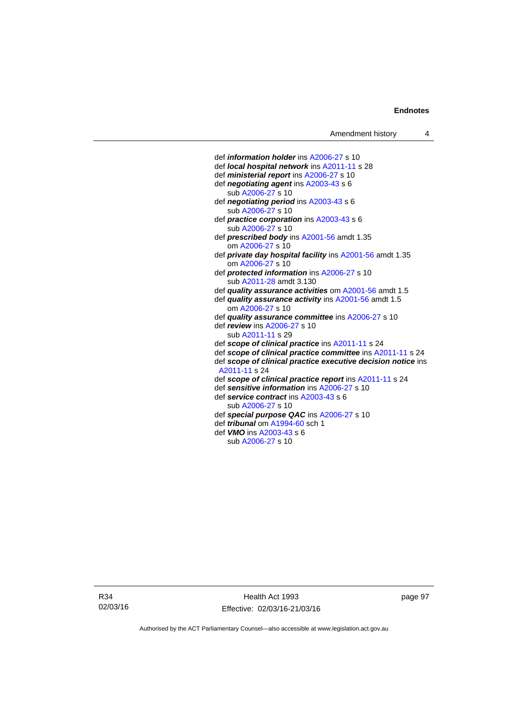def *information holder* ins [A2006-27](http://www.legislation.act.gov.au/a/2006-27) s 10 def *local hospital network* ins [A2011-11](http://www.legislation.act.gov.au/a/2011-11) s 28 def *ministerial report* ins [A2006-27](http://www.legislation.act.gov.au/a/2006-27) s 10 def *negotiating agent* ins [A2003-43](http://www.legislation.act.gov.au/a/2003-43) s 6 sub [A2006-27](http://www.legislation.act.gov.au/a/2006-27) s 10 def *negotiating period* ins [A2003-43](http://www.legislation.act.gov.au/a/2003-43) s 6 sub [A2006-27](http://www.legislation.act.gov.au/a/2006-27) s 10 def *practice corporation* ins [A2003-43](http://www.legislation.act.gov.au/a/2003-43) s 6 sub [A2006-27](http://www.legislation.act.gov.au/a/2006-27) s 10 def *prescribed body* ins [A2001-56](http://www.legislation.act.gov.au/a/2001-56) amdt 1.35 om [A2006-27](http://www.legislation.act.gov.au/a/2006-27) s 10 def *private day hospital facility* ins [A2001-56](http://www.legislation.act.gov.au/a/2001-56) amdt 1.35 om [A2006-27](http://www.legislation.act.gov.au/a/2006-27) s 10 def *protected information* ins [A2006-27](http://www.legislation.act.gov.au/a/2006-27) s 10 sub [A2011-28](http://www.legislation.act.gov.au/a/2011-28) amdt 3.130 def *quality assurance activities* om [A2001-56](http://www.legislation.act.gov.au/a/2001-56) amdt 1.5 def *quality assurance activity* ins [A2001-56](http://www.legislation.act.gov.au/a/2001-56) amdt 1.5 om [A2006-27](http://www.legislation.act.gov.au/a/2006-27) s 10 def *quality assurance committee* ins [A2006-27](http://www.legislation.act.gov.au/a/2006-27) s 10 def *review* ins [A2006-27](http://www.legislation.act.gov.au/a/2006-27) s 10 sub [A2011-11](http://www.legislation.act.gov.au/a/2011-11) s 29 def *scope of clinical practice* ins [A2011-11](http://www.legislation.act.gov.au/a/2011-11) s 24 def *scope of clinical practice committee* ins [A2011-11](http://www.legislation.act.gov.au/a/2011-11) s 24 def *scope of clinical practice executive decision notice* ins [A2011-11](http://www.legislation.act.gov.au/a/2011-11) s 24 def *scope of clinical practice report* ins [A2011-11](http://www.legislation.act.gov.au/a/2011-11) s 24 def *sensitive information* ins [A2006-27](http://www.legislation.act.gov.au/a/2006-27) s 10 def *service contract* ins [A2003-43](http://www.legislation.act.gov.au/a/2003-43) s 6 sub [A2006-27](http://www.legislation.act.gov.au/a/2006-27) s 10 def *special purpose QAC* ins [A2006-27](http://www.legislation.act.gov.au/a/2006-27) s 10 def *tribunal* om [A1994-60](http://www.legislation.act.gov.au/a/1994-60) sch 1 def *VMO* ins [A2003-43](http://www.legislation.act.gov.au/a/2003-43) s 6 sub [A2006-27](http://www.legislation.act.gov.au/a/2006-27) s 10

R34 02/03/16

Health Act 1993 Effective: 02/03/16-21/03/16 page 97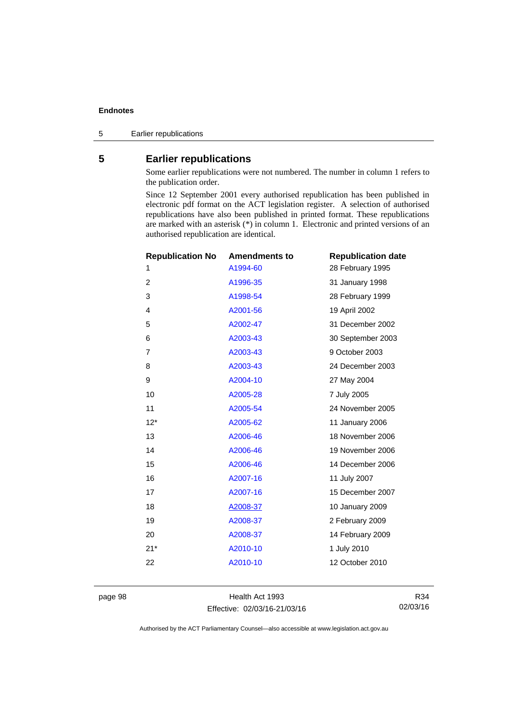5 Earlier republications

## **5 Earlier republications**

Some earlier republications were not numbered. The number in column 1 refers to the publication order.

Since 12 September 2001 every authorised republication has been published in electronic pdf format on the ACT legislation register. A selection of authorised republications have also been published in printed format. These republications are marked with an asterisk (\*) in column 1. Electronic and printed versions of an authorised republication are identical.

| <b>Republication No</b> | <b>Amendments to</b> | <b>Republication date</b> |
|-------------------------|----------------------|---------------------------|
| 1                       | A1994-60             | 28 February 1995          |
| $\overline{2}$          | A1996-35             | 31 January 1998           |
| 3                       | A1998-54             | 28 February 1999          |
| 4                       | A2001-56             | 19 April 2002             |
| 5                       | A2002-47             | 31 December 2002          |
| 6                       | A2003-43             | 30 September 2003         |
| 7                       | A2003-43             | 9 October 2003            |
| 8                       | A2003-43             | 24 December 2003          |
| 9                       | A2004-10             | 27 May 2004               |
| 10                      | A2005-28             | 7 July 2005               |
| 11                      | A2005-54             | 24 November 2005          |
| $12*$                   | A2005-62             | 11 January 2006           |
| 13                      | A2006-46             | 18 November 2006          |
| 14                      | A2006-46             | 19 November 2006          |
| 15                      | A2006-46             | 14 December 2006          |
| 16                      | A2007-16             | 11 July 2007              |
| 17                      | A2007-16             | 15 December 2007          |
| 18                      | A2008-37             | 10 January 2009           |
| 19                      | A2008-37             | 2 February 2009           |
| 20                      | A2008-37             | 14 February 2009          |
| $21*$                   | A2010-10             | 1 July 2010               |
| 22                      | A2010-10             | 12 October 2010           |
|                         |                      |                           |

page 98 Health Act 1993 Effective: 02/03/16-21/03/16

R34 02/03/16